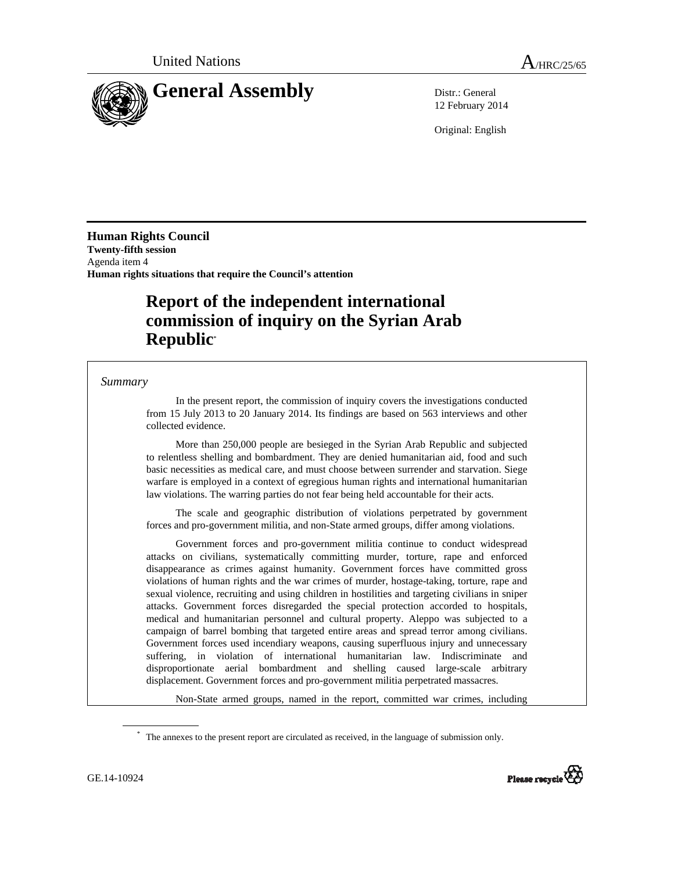

12 February 2014

Original: English

**Human Rights Council Twenty-fifth session** Agenda item 4 **Human rights situations that require the Council's attention** 

# **Report of the independent international commission of inquiry on the Syrian Arab Republic**\*

### *Summary*

 In the present report, the commission of inquiry covers the investigations conducted from 15 July 2013 to 20 January 2014. Its findings are based on 563 interviews and other collected evidence.

More than 250,000 people are besieged in the Syrian Arab Republic and subjected to relentless shelling and bombardment. They are denied humanitarian aid, food and such basic necessities as medical care, and must choose between surrender and starvation. Siege warfare is employed in a context of egregious human rights and international humanitarian law violations. The warring parties do not fear being held accountable for their acts.

The scale and geographic distribution of violations perpetrated by government forces and pro-government militia, and non-State armed groups, differ among violations.

Government forces and pro-government militia continue to conduct widespread attacks on civilians, systematically committing murder, torture, rape and enforced disappearance as crimes against humanity. Government forces have committed gross violations of human rights and the war crimes of murder, hostage-taking, torture, rape and sexual violence, recruiting and using children in hostilities and targeting civilians in sniper attacks. Government forces disregarded the special protection accorded to hospitals, medical and humanitarian personnel and cultural property. Aleppo was subjected to a campaign of barrel bombing that targeted entire areas and spread terror among civilians. Government forces used incendiary weapons, causing superfluous injury and unnecessary suffering, in violation of international humanitarian law. Indiscriminate and disproportionate aerial bombardment and shelling caused large-scale arbitrary displacement. Government forces and pro-government militia perpetrated massacres.

Non-State armed groups, named in the report, committed war crimes, including

 $\overline{a}$ 



 <sup>\*</sup> The annexes to the present report are circulated as received, in the language of submission only.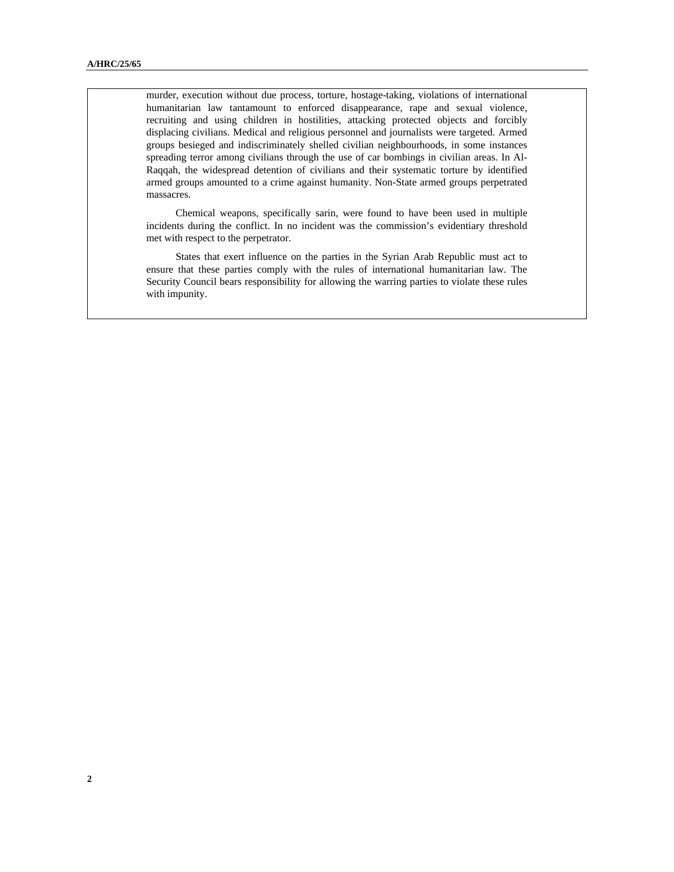murder, execution without due process, torture, hostage-taking, violations of international humanitarian law tantamount to enforced disappearance, rape and sexual violence, recruiting and using children in hostilities, attacking protected objects and forcibly displacing civilians. Medical and religious personnel and journalists were targeted. Armed groups besieged and indiscriminately shelled civilian neighbourhoods, in some instances spreading terror among civilians through the use of car bombings in civilian areas. In Al-Raqqah, the widespread detention of civilians and their systematic torture by identified armed groups amounted to a crime against humanity. Non-State armed groups perpetrated massacres.

Chemical weapons, specifically sarin, were found to have been used in multiple incidents during the conflict. In no incident was the commission's evidentiary threshold met with respect to the perpetrator.

States that exert influence on the parties in the Syrian Arab Republic must act to ensure that these parties comply with the rules of international humanitarian law. The Security Council bears responsibility for allowing the warring parties to violate these rules with impunity.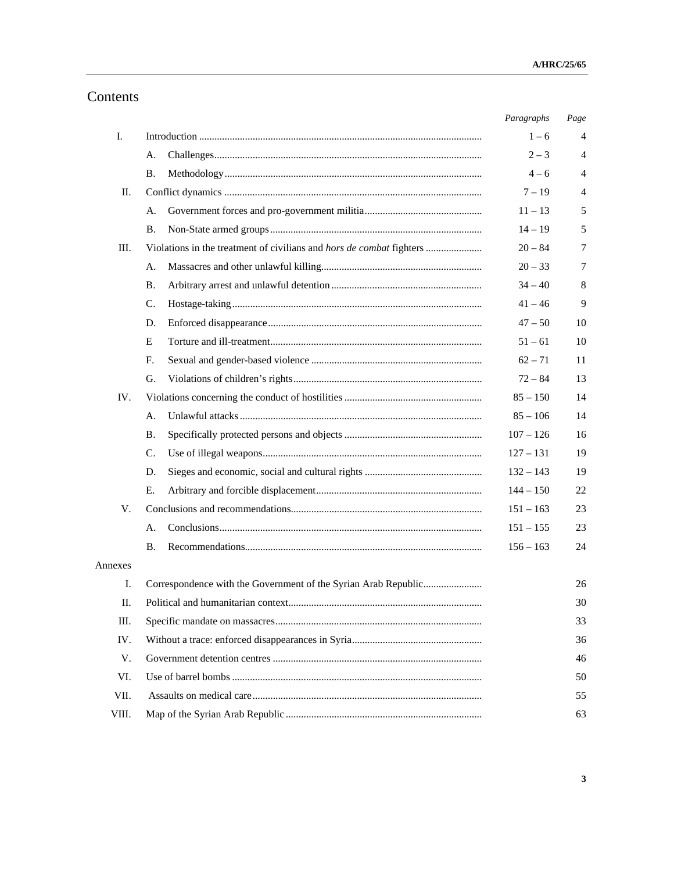# Contents

|         |                                                                      | Paragraphs  | Page           |  |  |  |  |  |
|---------|----------------------------------------------------------------------|-------------|----------------|--|--|--|--|--|
| Ι.      |                                                                      | $1 - 6$     | 4              |  |  |  |  |  |
|         | A.                                                                   | $2 - 3$     | 4              |  |  |  |  |  |
|         | В.                                                                   | $4 - 6$     | $\overline{4}$ |  |  |  |  |  |
| П.      |                                                                      | $7 - 19$    | $\overline{4}$ |  |  |  |  |  |
|         | А.                                                                   | $11 - 13$   | 5              |  |  |  |  |  |
|         | В.                                                                   | $14 - 19$   | 5              |  |  |  |  |  |
| Ш.      | Violations in the treatment of civilians and hors de combat fighters | $20 - 84$   | 7              |  |  |  |  |  |
|         | А.                                                                   | $20 - 33$   | 7              |  |  |  |  |  |
|         | В.                                                                   | $34 - 40$   | 8              |  |  |  |  |  |
|         | C.                                                                   | $41 - 46$   | 9              |  |  |  |  |  |
|         | D.                                                                   | $47 - 50$   | 10             |  |  |  |  |  |
|         | E                                                                    | $51 - 61$   | 10             |  |  |  |  |  |
|         | F.                                                                   | $62 - 71$   | 11             |  |  |  |  |  |
|         | G.                                                                   | $72 - 84$   | 13             |  |  |  |  |  |
| IV.     |                                                                      | $85 - 150$  | 14             |  |  |  |  |  |
|         | А.                                                                   | $85 - 106$  | 14             |  |  |  |  |  |
|         | <b>B.</b>                                                            | $107 - 126$ | 16             |  |  |  |  |  |
|         | C.                                                                   | $127 - 131$ | 19             |  |  |  |  |  |
|         | D.                                                                   | $132 - 143$ | 19             |  |  |  |  |  |
|         | Е.                                                                   | $144 - 150$ | 22             |  |  |  |  |  |
| V.      |                                                                      | $151 - 163$ | 23             |  |  |  |  |  |
|         | А.                                                                   | $151 - 155$ | 23             |  |  |  |  |  |
|         | Β.                                                                   | $156 - 163$ | 24             |  |  |  |  |  |
| Annexes |                                                                      |             |                |  |  |  |  |  |
| Ι.      | Correspondence with the Government of the Syrian Arab Republic<br>26 |             |                |  |  |  |  |  |
| П.      | 30                                                                   |             |                |  |  |  |  |  |
| III.    | 33                                                                   |             |                |  |  |  |  |  |
| IV.     | 36                                                                   |             |                |  |  |  |  |  |
| V.      | 46                                                                   |             |                |  |  |  |  |  |
| VI.     | 50                                                                   |             |                |  |  |  |  |  |
| VII.    | 55                                                                   |             |                |  |  |  |  |  |
| VIII.   | 63                                                                   |             |                |  |  |  |  |  |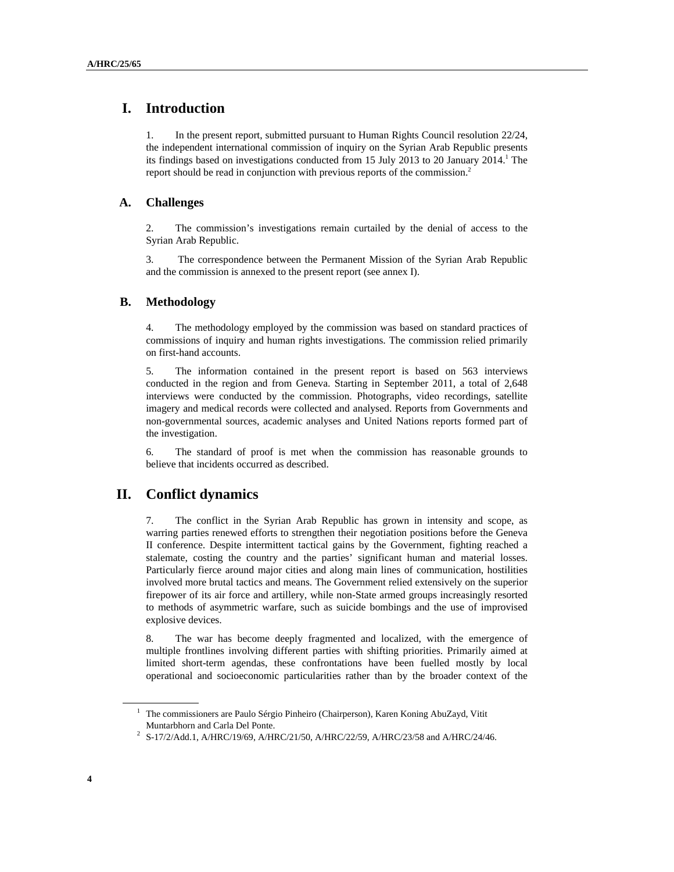## **I. Introduction**

1. In the present report, submitted pursuant to Human Rights Council resolution 22/24, the independent international commission of inquiry on the Syrian Arab Republic presents its findings based on investigations conducted from 15 July 2013 to 20 January 2014.<sup>1</sup> The report should be read in conjunction with previous reports of the commission.<sup>2</sup>

### **A. Challenges**

2. The commission's investigations remain curtailed by the denial of access to the Syrian Arab Republic.

3. The correspondence between the Permanent Mission of the Syrian Arab Republic and the commission is annexed to the present report (see annex I).

## **B. Methodology**

4. The methodology employed by the commission was based on standard practices of commissions of inquiry and human rights investigations. The commission relied primarily on first-hand accounts.

5. The information contained in the present report is based on 563 interviews conducted in the region and from Geneva. Starting in September 2011, a total of 2,648 interviews were conducted by the commission. Photographs, video recordings, satellite imagery and medical records were collected and analysed. Reports from Governments and non-governmental sources, academic analyses and United Nations reports formed part of the investigation.

6. The standard of proof is met when the commission has reasonable grounds to believe that incidents occurred as described.

## **II. Conflict dynamics**

7. The conflict in the Syrian Arab Republic has grown in intensity and scope, as warring parties renewed efforts to strengthen their negotiation positions before the Geneva II conference. Despite intermittent tactical gains by the Government, fighting reached a stalemate, costing the country and the parties' significant human and material losses. Particularly fierce around major cities and along main lines of communication, hostilities involved more brutal tactics and means. The Government relied extensively on the superior firepower of its air force and artillery, while non-State armed groups increasingly resorted to methods of asymmetric warfare, such as suicide bombings and the use of improvised explosive devices.

8. The war has become deeply fragmented and localized, with the emergence of multiple frontlines involving different parties with shifting priorities. Primarily aimed at limited short-term agendas, these confrontations have been fuelled mostly by local operational and socioeconomic particularities rather than by the broader context of the

 $\overline{a}$ 

<sup>&</sup>lt;sup>1</sup> The commissioners are Paulo Sérgio Pinheiro (Chairperson), Karen Koning AbuZayd, Vitit

Muntarbhorn and Carla Del Ponte.<br>
<sup>2</sup> S-17/2/Add.1, A/HRC/19/69, A/HRC/21/50, A/HRC/22/59, A/HRC/23/58 and A/HRC/24/46.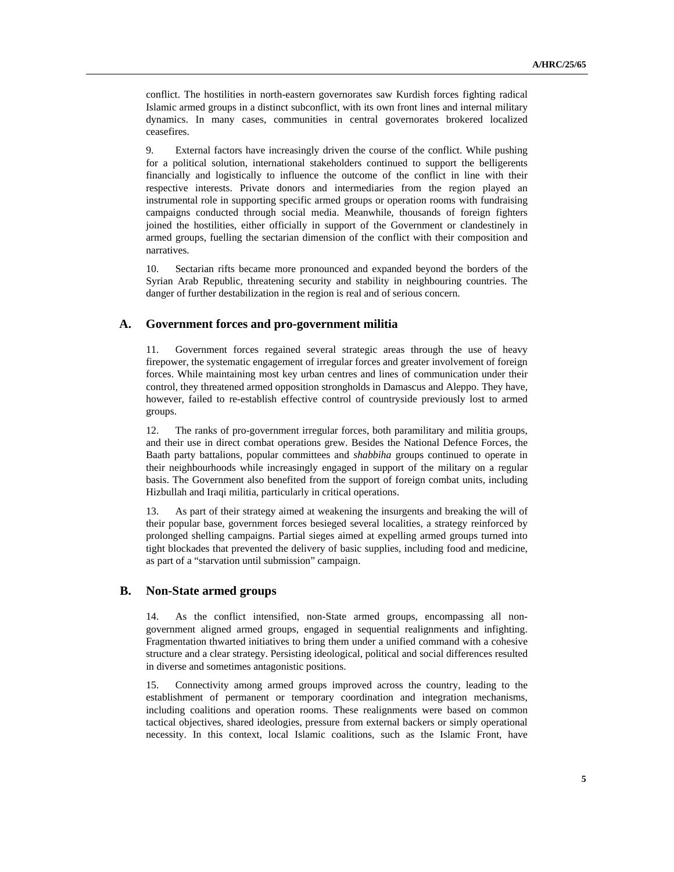conflict. The hostilities in north-eastern governorates saw Kurdish forces fighting radical Islamic armed groups in a distinct subconflict, with its own front lines and internal military dynamics. In many cases, communities in central governorates brokered localized ceasefires.

9. External factors have increasingly driven the course of the conflict. While pushing for a political solution, international stakeholders continued to support the belligerents financially and logistically to influence the outcome of the conflict in line with their respective interests. Private donors and intermediaries from the region played an instrumental role in supporting specific armed groups or operation rooms with fundraising campaigns conducted through social media. Meanwhile, thousands of foreign fighters joined the hostilities, either officially in support of the Government or clandestinely in armed groups, fuelling the sectarian dimension of the conflict with their composition and narratives.

10. Sectarian rifts became more pronounced and expanded beyond the borders of the Syrian Arab Republic, threatening security and stability in neighbouring countries. The danger of further destabilization in the region is real and of serious concern.

## **A. Government forces and pro-government militia**

11. Government forces regained several strategic areas through the use of heavy firepower, the systematic engagement of irregular forces and greater involvement of foreign forces. While maintaining most key urban centres and lines of communication under their control, they threatened armed opposition strongholds in Damascus and Aleppo. They have, however, failed to re-establish effective control of countryside previously lost to armed groups.

12. The ranks of pro-government irregular forces, both paramilitary and militia groups, and their use in direct combat operations grew. Besides the National Defence Forces, the Baath party battalions, popular committees and *shabbiha* groups continued to operate in their neighbourhoods while increasingly engaged in support of the military on a regular basis. The Government also benefited from the support of foreign combat units, including Hizbullah and Iraqi militia, particularly in critical operations.

13. As part of their strategy aimed at weakening the insurgents and breaking the will of their popular base, government forces besieged several localities, a strategy reinforced by prolonged shelling campaigns. Partial sieges aimed at expelling armed groups turned into tight blockades that prevented the delivery of basic supplies, including food and medicine, as part of a "starvation until submission" campaign.

### **B. Non-State armed groups**

14. As the conflict intensified, non-State armed groups, encompassing all nongovernment aligned armed groups, engaged in sequential realignments and infighting. Fragmentation thwarted initiatives to bring them under a unified command with a cohesive structure and a clear strategy. Persisting ideological, political and social differences resulted in diverse and sometimes antagonistic positions.

15. Connectivity among armed groups improved across the country, leading to the establishment of permanent or temporary coordination and integration mechanisms, including coalitions and operation rooms. These realignments were based on common tactical objectives, shared ideologies, pressure from external backers or simply operational necessity. In this context, local Islamic coalitions, such as the Islamic Front, have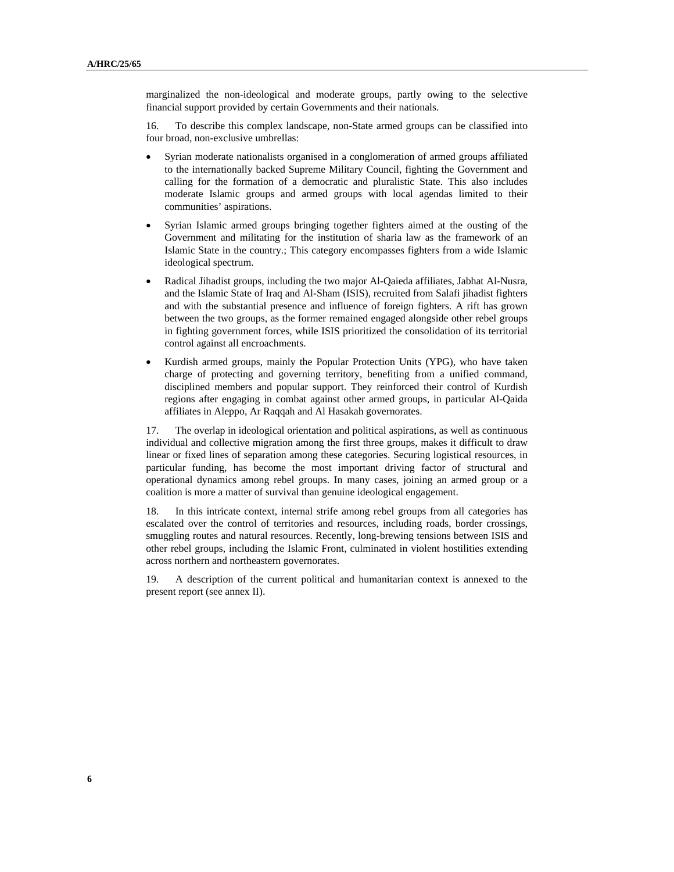marginalized the non-ideological and moderate groups, partly owing to the selective financial support provided by certain Governments and their nationals.

16. To describe this complex landscape, non-State armed groups can be classified into four broad, non-exclusive umbrellas:

- Syrian moderate nationalists organised in a conglomeration of armed groups affiliated to the internationally backed Supreme Military Council, fighting the Government and calling for the formation of a democratic and pluralistic State. This also includes moderate Islamic groups and armed groups with local agendas limited to their communities' aspirations.
- Syrian Islamic armed groups bringing together fighters aimed at the ousting of the Government and militating for the institution of sharia law as the framework of an Islamic State in the country.; This category encompasses fighters from a wide Islamic ideological spectrum.
- Radical Jihadist groups, including the two major Al-Qaieda affiliates, Jabhat Al-Nusra, and the Islamic State of Iraq and Al-Sham (ISIS), recruited from Salafi jihadist fighters and with the substantial presence and influence of foreign fighters. A rift has grown between the two groups, as the former remained engaged alongside other rebel groups in fighting government forces, while ISIS prioritized the consolidation of its territorial control against all encroachments.
- Kurdish armed groups, mainly the Popular Protection Units (YPG), who have taken charge of protecting and governing territory, benefiting from a unified command, disciplined members and popular support. They reinforced their control of Kurdish regions after engaging in combat against other armed groups, in particular Al-Qaida affiliates in Aleppo, Ar Raqqah and Al Hasakah governorates.

17. The overlap in ideological orientation and political aspirations, as well as continuous individual and collective migration among the first three groups, makes it difficult to draw linear or fixed lines of separation among these categories. Securing logistical resources, in particular funding, has become the most important driving factor of structural and operational dynamics among rebel groups. In many cases, joining an armed group or a coalition is more a matter of survival than genuine ideological engagement.

18. In this intricate context, internal strife among rebel groups from all categories has escalated over the control of territories and resources, including roads, border crossings, smuggling routes and natural resources. Recently, long-brewing tensions between ISIS and other rebel groups, including the Islamic Front, culminated in violent hostilities extending across northern and northeastern governorates.

19. A description of the current political and humanitarian context is annexed to the present report (see annex II).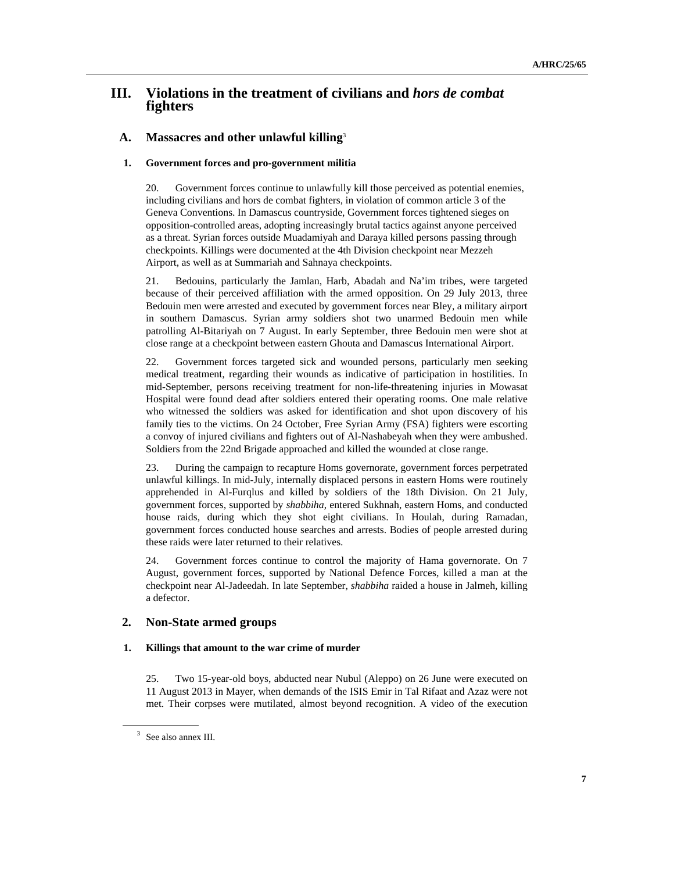## **III. Violations in the treatment of civilians and** *hors de combat* **fighters**

### **A. Massacres and other unlawful killing**<sup>3</sup>

### **1. Government forces and pro-government militia**

20. Government forces continue to unlawfully kill those perceived as potential enemies, including civilians and hors de combat fighters, in violation of common article 3 of the Geneva Conventions. In Damascus countryside, Government forces tightened sieges on opposition-controlled areas, adopting increasingly brutal tactics against anyone perceived as a threat. Syrian forces outside Muadamiyah and Daraya killed persons passing through checkpoints. Killings were documented at the 4th Division checkpoint near Mezzeh Airport, as well as at Summariah and Sahnaya checkpoints.

21. Bedouins, particularly the Jamlan, Harb, Abadah and Na'im tribes, were targeted because of their perceived affiliation with the armed opposition. On 29 July 2013, three Bedouin men were arrested and executed by government forces near Bley, a military airport in southern Damascus. Syrian army soldiers shot two unarmed Bedouin men while patrolling Al-Bitariyah on 7 August. In early September, three Bedouin men were shot at close range at a checkpoint between eastern Ghouta and Damascus International Airport.

22. Government forces targeted sick and wounded persons, particularly men seeking medical treatment, regarding their wounds as indicative of participation in hostilities. In mid-September, persons receiving treatment for non-life-threatening injuries in Mowasat Hospital were found dead after soldiers entered their operating rooms. One male relative who witnessed the soldiers was asked for identification and shot upon discovery of his family ties to the victims. On 24 October, Free Syrian Army (FSA) fighters were escorting a convoy of injured civilians and fighters out of Al-Nashabeyah when they were ambushed. Soldiers from the 22nd Brigade approached and killed the wounded at close range.

23. During the campaign to recapture Homs governorate, government forces perpetrated unlawful killings. In mid-July, internally displaced persons in eastern Homs were routinely apprehended in Al-Furqlus and killed by soldiers of the 18th Division. On 21 July, government forces, supported by *shabbiha*, entered Sukhnah, eastern Homs, and conducted house raids, during which they shot eight civilians. In Houlah, during Ramadan, government forces conducted house searches and arrests. Bodies of people arrested during these raids were later returned to their relatives.

24. Government forces continue to control the majority of Hama governorate. On 7 August, government forces, supported by National Defence Forces, killed a man at the checkpoint near Al-Jadeedah. In late September, *shabbiha* raided a house in Jalmeh, killing a defector.

## **2. Non-State armed groups**

### **1. Killings that amount to the war crime of murder**

25. Two 15-year-old boys, abducted near Nubul (Aleppo) on 26 June were executed on 11 August 2013 in Mayer, when demands of the ISIS Emir in Tal Rifaat and Azaz were not met. Their corpses were mutilated, almost beyond recognition. A video of the execution

 $\overline{a}$ 

<sup>&</sup>lt;sup>3</sup> See also annex III.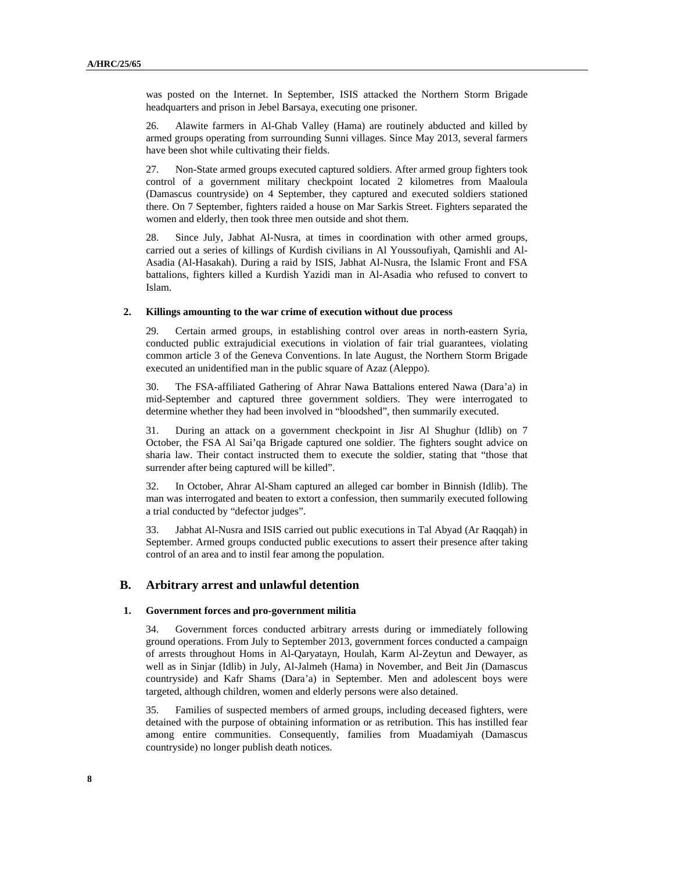was posted on the Internet. In September, ISIS attacked the Northern Storm Brigade headquarters and prison in Jebel Barsaya, executing one prisoner.

26. Alawite farmers in Al-Ghab Valley (Hama) are routinely abducted and killed by armed groups operating from surrounding Sunni villages. Since May 2013, several farmers have been shot while cultivating their fields.

27. Non-State armed groups executed captured soldiers. After armed group fighters took control of a government military checkpoint located 2 kilometres from Maaloula (Damascus countryside) on 4 September, they captured and executed soldiers stationed there. On 7 September, fighters raided a house on Mar Sarkis Street. Fighters separated the women and elderly, then took three men outside and shot them.

28. Since July, Jabhat Al-Nusra, at times in coordination with other armed groups, carried out a series of killings of Kurdish civilians in Al Youssoufiyah, Qamishli and Al-Asadia (Al-Hasakah). During a raid by ISIS, Jabhat Al-Nusra, the Islamic Front and FSA battalions, fighters killed a Kurdish Yazidi man in Al-Asadia who refused to convert to Islam.

#### **2. Killings amounting to the war crime of execution without due process**

29. Certain armed groups, in establishing control over areas in north-eastern Syria, conducted public extrajudicial executions in violation of fair trial guarantees, violating common article 3 of the Geneva Conventions. In late August, the Northern Storm Brigade executed an unidentified man in the public square of Azaz (Aleppo).

30. The FSA-affiliated Gathering of Ahrar Nawa Battalions entered Nawa (Dara'a) in mid-September and captured three government soldiers. They were interrogated to determine whether they had been involved in "bloodshed", then summarily executed.

31. During an attack on a government checkpoint in Jisr Al Shughur (Idlib) on 7 October, the FSA Al Sai'qa Brigade captured one soldier. The fighters sought advice on sharia law. Their contact instructed them to execute the soldier, stating that "those that surrender after being captured will be killed".

32. In October, Ahrar Al-Sham captured an alleged car bomber in Binnish (Idlib). The man was interrogated and beaten to extort a confession, then summarily executed following a trial conducted by "defector judges".

33. Jabhat Al-Nusra and ISIS carried out public executions in Tal Abyad (Ar Raqqah) in September. Armed groups conducted public executions to assert their presence after taking control of an area and to instil fear among the population.

### **B. Arbitrary arrest and unlawful detention**

#### **1. Government forces and pro-government militia**

34. Government forces conducted arbitrary arrests during or immediately following ground operations. From July to September 2013, government forces conducted a campaign of arrests throughout Homs in Al-Qaryatayn, Houlah, Karm Al-Zeytun and Dewayer, as well as in Sinjar (Idlib) in July, Al-Jalmeh (Hama) in November, and Beit Jin (Damascus countryside) and Kafr Shams (Dara'a) in September. Men and adolescent boys were targeted, although children, women and elderly persons were also detained.

35. Families of suspected members of armed groups, including deceased fighters, were detained with the purpose of obtaining information or as retribution. This has instilled fear among entire communities. Consequently, families from Muadamiyah (Damascus countryside) no longer publish death notices.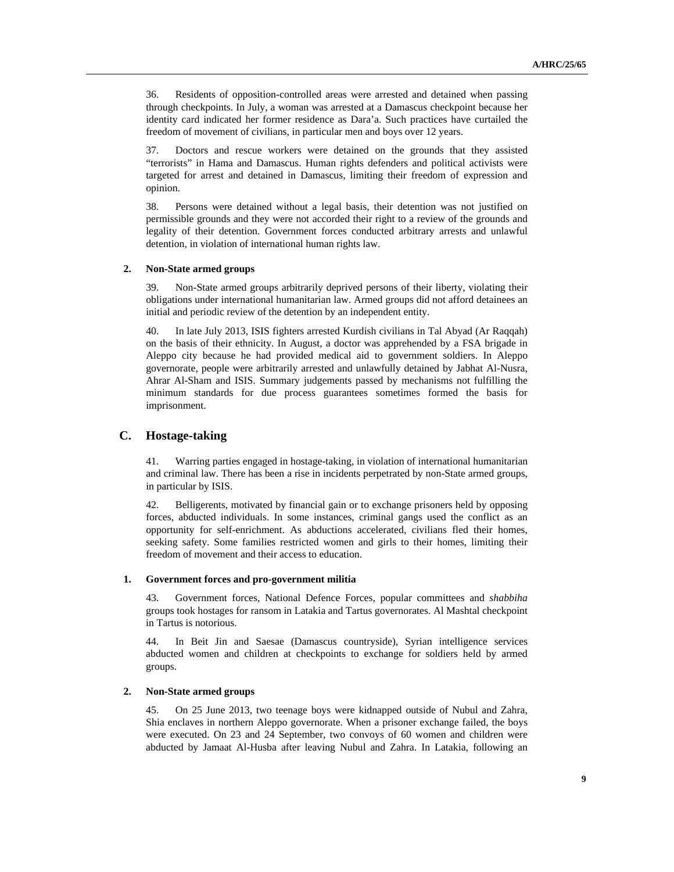36. Residents of opposition-controlled areas were arrested and detained when passing through checkpoints. In July, a woman was arrested at a Damascus checkpoint because her identity card indicated her former residence as Dara'a. Such practices have curtailed the freedom of movement of civilians, in particular men and boys over 12 years.

37. Doctors and rescue workers were detained on the grounds that they assisted "terrorists" in Hama and Damascus. Human rights defenders and political activists were targeted for arrest and detained in Damascus, limiting their freedom of expression and opinion.

38. Persons were detained without a legal basis, their detention was not justified on permissible grounds and they were not accorded their right to a review of the grounds and legality of their detention. Government forces conducted arbitrary arrests and unlawful detention, in violation of international human rights law.

#### **2. Non-State armed groups**

39. Non-State armed groups arbitrarily deprived persons of their liberty, violating their obligations under international humanitarian law. Armed groups did not afford detainees an initial and periodic review of the detention by an independent entity.

40. In late July 2013, ISIS fighters arrested Kurdish civilians in Tal Abyad (Ar Raqqah) on the basis of their ethnicity. In August, a doctor was apprehended by a FSA brigade in Aleppo city because he had provided medical aid to government soldiers. In Aleppo governorate, people were arbitrarily arrested and unlawfully detained by Jabhat Al-Nusra, Ahrar Al-Sham and ISIS. Summary judgements passed by mechanisms not fulfilling the minimum standards for due process guarantees sometimes formed the basis for imprisonment.

### **C. Hostage-taking**

41. Warring parties engaged in hostage-taking, in violation of international humanitarian and criminal law. There has been a rise in incidents perpetrated by non-State armed groups, in particular by ISIS.

42. Belligerents, motivated by financial gain or to exchange prisoners held by opposing forces, abducted individuals. In some instances, criminal gangs used the conflict as an opportunity for self-enrichment. As abductions accelerated, civilians fled their homes, seeking safety. Some families restricted women and girls to their homes, limiting their freedom of movement and their access to education.

### **1. Government forces and pro-government militia**

43. Government forces, National Defence Forces, popular committees and *shabbiha* groups took hostages for ransom in Latakia and Tartus governorates. Al Mashtal checkpoint in Tartus is notorious.

44. In Beit Jin and Saesae (Damascus countryside), Syrian intelligence services abducted women and children at checkpoints to exchange for soldiers held by armed groups.

### **2. Non-State armed groups**

45. On 25 June 2013, two teenage boys were kidnapped outside of Nubul and Zahra, Shia enclaves in northern Aleppo governorate. When a prisoner exchange failed, the boys were executed. On 23 and 24 September, two convoys of 60 women and children were abducted by Jamaat Al-Husba after leaving Nubul and Zahra. In Latakia, following an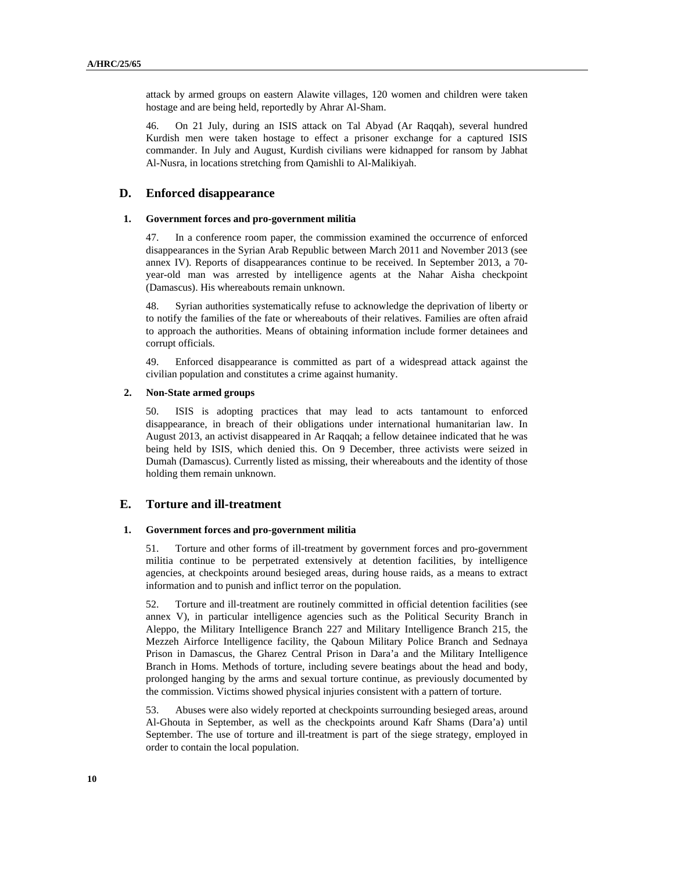attack by armed groups on eastern Alawite villages, 120 women and children were taken hostage and are being held, reportedly by Ahrar Al-Sham.

46. On 21 July, during an ISIS attack on Tal Abyad (Ar Raqqah), several hundred Kurdish men were taken hostage to effect a prisoner exchange for a captured ISIS commander. In July and August, Kurdish civilians were kidnapped for ransom by Jabhat Al-Nusra, in locations stretching from Qamishli to Al-Malikiyah.

### **D. Enforced disappearance**

#### **1. Government forces and pro-government militia**

47. In a conference room paper, the commission examined the occurrence of enforced disappearances in the Syrian Arab Republic between March 2011 and November 2013 (see annex IV). Reports of disappearances continue to be received. In September 2013, a 70 year-old man was arrested by intelligence agents at the Nahar Aisha checkpoint (Damascus). His whereabouts remain unknown.

48. Syrian authorities systematically refuse to acknowledge the deprivation of liberty or to notify the families of the fate or whereabouts of their relatives. Families are often afraid to approach the authorities. Means of obtaining information include former detainees and corrupt officials.

49. Enforced disappearance is committed as part of a widespread attack against the civilian population and constitutes a crime against humanity.

### **2. Non-State armed groups**

50. ISIS is adopting practices that may lead to acts tantamount to enforced disappearance, in breach of their obligations under international humanitarian law. In August 2013, an activist disappeared in Ar Raqqah; a fellow detainee indicated that he was being held by ISIS, which denied this. On 9 December, three activists were seized in Dumah (Damascus). Currently listed as missing, their whereabouts and the identity of those holding them remain unknown.

### **E. Torture and ill-treatment**

### **1. Government forces and pro-government militia**

51. Torture and other forms of ill-treatment by government forces and pro-government militia continue to be perpetrated extensively at detention facilities, by intelligence agencies, at checkpoints around besieged areas, during house raids, as a means to extract information and to punish and inflict terror on the population.

52. Torture and ill-treatment are routinely committed in official detention facilities (see annex V), in particular intelligence agencies such as the Political Security Branch in Aleppo, the Military Intelligence Branch 227 and Military Intelligence Branch 215, the Mezzeh Airforce Intelligence facility, the Qaboun Military Police Branch and Sednaya Prison in Damascus, the Gharez Central Prison in Dara'a and the Military Intelligence Branch in Homs. Methods of torture, including severe beatings about the head and body, prolonged hanging by the arms and sexual torture continue, as previously documented by the commission. Victims showed physical injuries consistent with a pattern of torture.

53. Abuses were also widely reported at checkpoints surrounding besieged areas, around Al-Ghouta in September, as well as the checkpoints around Kafr Shams (Dara'a) until September. The use of torture and ill-treatment is part of the siege strategy, employed in order to contain the local population.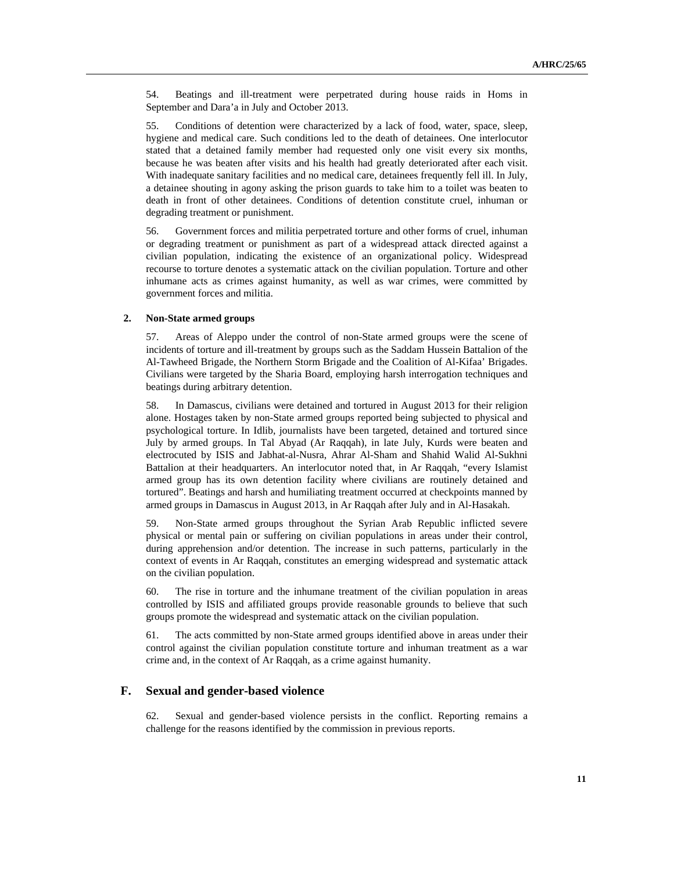54. Beatings and ill-treatment were perpetrated during house raids in Homs in September and Dara'a in July and October 2013.

55. Conditions of detention were characterized by a lack of food, water, space, sleep, hygiene and medical care. Such conditions led to the death of detainees. One interlocutor stated that a detained family member had requested only one visit every six months, because he was beaten after visits and his health had greatly deteriorated after each visit. With inadequate sanitary facilities and no medical care, detainees frequently fell ill. In July, a detainee shouting in agony asking the prison guards to take him to a toilet was beaten to death in front of other detainees. Conditions of detention constitute cruel, inhuman or degrading treatment or punishment.

56. Government forces and militia perpetrated torture and other forms of cruel, inhuman or degrading treatment or punishment as part of a widespread attack directed against a civilian population*,* indicating the existence of an organizational policy. Widespread recourse to torture denotes a systematic attack on the civilian population. Torture and other inhumane acts as crimes against humanity, as well as war crimes, were committed by government forces and militia.

#### **2. Non-State armed groups**

57. Areas of Aleppo under the control of non-State armed groups were the scene of incidents of torture and ill-treatment by groups such as the Saddam Hussein Battalion of the Al-Tawheed Brigade, the Northern Storm Brigade and the Coalition of Al-Kifaa' Brigades. Civilians were targeted by the Sharia Board, employing harsh interrogation techniques and beatings during arbitrary detention.

58. In Damascus, civilians were detained and tortured in August 2013 for their religion alone. Hostages taken by non-State armed groups reported being subjected to physical and psychological torture. In Idlib, journalists have been targeted, detained and tortured since July by armed groups. In Tal Abyad (Ar Raqqah), in late July, Kurds were beaten and electrocuted by ISIS and Jabhat-al-Nusra, Ahrar Al-Sham and Shahid Walid Al-Sukhni Battalion at their headquarters. An interlocutor noted that, in Ar Raqqah, "every Islamist armed group has its own detention facility where civilians are routinely detained and tortured". Beatings and harsh and humiliating treatment occurred at checkpoints manned by armed groups in Damascus in August 2013, in Ar Raqqah after July and in Al-Hasakah.

59. Non-State armed groups throughout the Syrian Arab Republic inflicted severe physical or mental pain or suffering on civilian populations in areas under their control, during apprehension and/or detention. The increase in such patterns, particularly in the context of events in Ar Raqqah, constitutes an emerging widespread and systematic attack on the civilian population.

60. The rise in torture and the inhumane treatment of the civilian population in areas controlled by ISIS and affiliated groups provide reasonable grounds to believe that such groups promote the widespread and systematic attack on the civilian population.

61. The acts committed by non-State armed groups identified above in areas under their control against the civilian population constitute torture and inhuman treatment as a war crime and, in the context of Ar Raqqah, as a crime against humanity.

### **F. Sexual and gender-based violence**

62. Sexual and gender-based violence persists in the conflict. Reporting remains a challenge for the reasons identified by the commission in previous reports.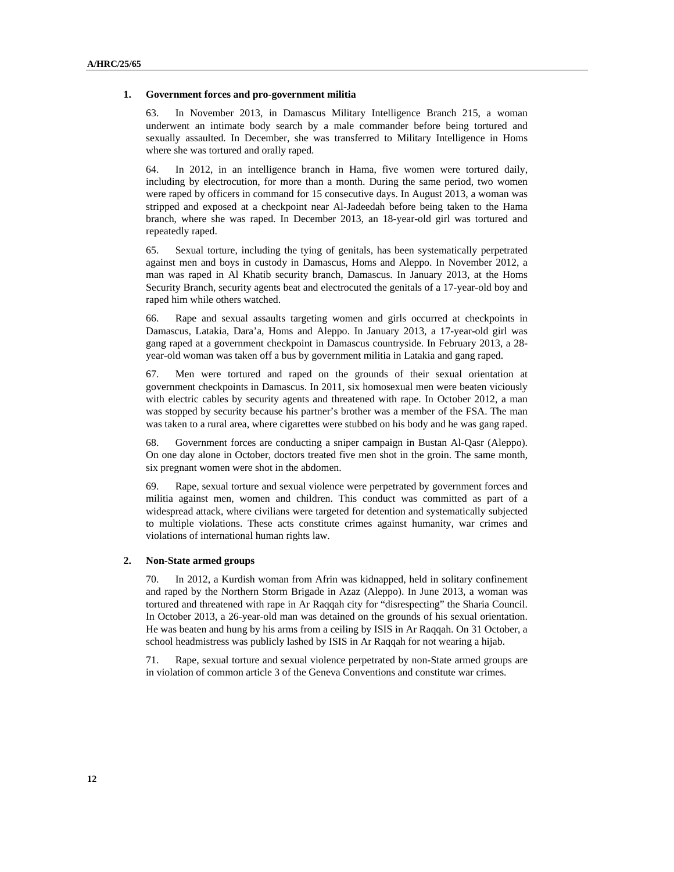#### **1. Government forces and pro-government militia**

63. In November 2013, in Damascus Military Intelligence Branch 215, a woman underwent an intimate body search by a male commander before being tortured and sexually assaulted. In December, she was transferred to Military Intelligence in Homs where she was tortured and orally raped.

64. In 2012, in an intelligence branch in Hama, five women were tortured daily, including by electrocution, for more than a month. During the same period, two women were raped by officers in command for 15 consecutive days. In August 2013, a woman was stripped and exposed at a checkpoint near Al-Jadeedah before being taken to the Hama branch, where she was raped. In December 2013, an 18-year-old girl was tortured and repeatedly raped.

65. Sexual torture, including the tying of genitals, has been systematically perpetrated against men and boys in custody in Damascus, Homs and Aleppo. In November 2012, a man was raped in Al Khatib security branch, Damascus. In January 2013, at the Homs Security Branch, security agents beat and electrocuted the genitals of a 17-year-old boy and raped him while others watched.

66. Rape and sexual assaults targeting women and girls occurred at checkpoints in Damascus, Latakia, Dara'a, Homs and Aleppo. In January 2013, a 17-year-old girl was gang raped at a government checkpoint in Damascus countryside. In February 2013, a 28 year-old woman was taken off a bus by government militia in Latakia and gang raped.

67. Men were tortured and raped on the grounds of their sexual orientation at government checkpoints in Damascus. In 2011, six homosexual men were beaten viciously with electric cables by security agents and threatened with rape. In October 2012, a man was stopped by security because his partner's brother was a member of the FSA. The man was taken to a rural area, where cigarettes were stubbed on his body and he was gang raped.

68. Government forces are conducting a sniper campaign in Bustan Al-Qasr (Aleppo). On one day alone in October, doctors treated five men shot in the groin. The same month, six pregnant women were shot in the abdomen.

69. Rape, sexual torture and sexual violence were perpetrated by government forces and militia against men, women and children. This conduct was committed as part of a widespread attack, where civilians were targeted for detention and systematically subjected to multiple violations. These acts constitute crimes against humanity, war crimes and violations of international human rights law.

### **2. Non-State armed groups**

70. In 2012, a Kurdish woman from Afrin was kidnapped, held in solitary confinement and raped by the Northern Storm Brigade in Azaz (Aleppo). In June 2013, a woman was tortured and threatened with rape in Ar Raqqah city for "disrespecting" the Sharia Council. In October 2013, a 26-year-old man was detained on the grounds of his sexual orientation. He was beaten and hung by his arms from a ceiling by ISIS in Ar Raqqah. On 31 October, a school headmistress was publicly lashed by ISIS in Ar Raqqah for not wearing a hijab.

71. Rape, sexual torture and sexual violence perpetrated by non-State armed groups are in violation of common article 3 of the Geneva Conventions and constitute war crimes.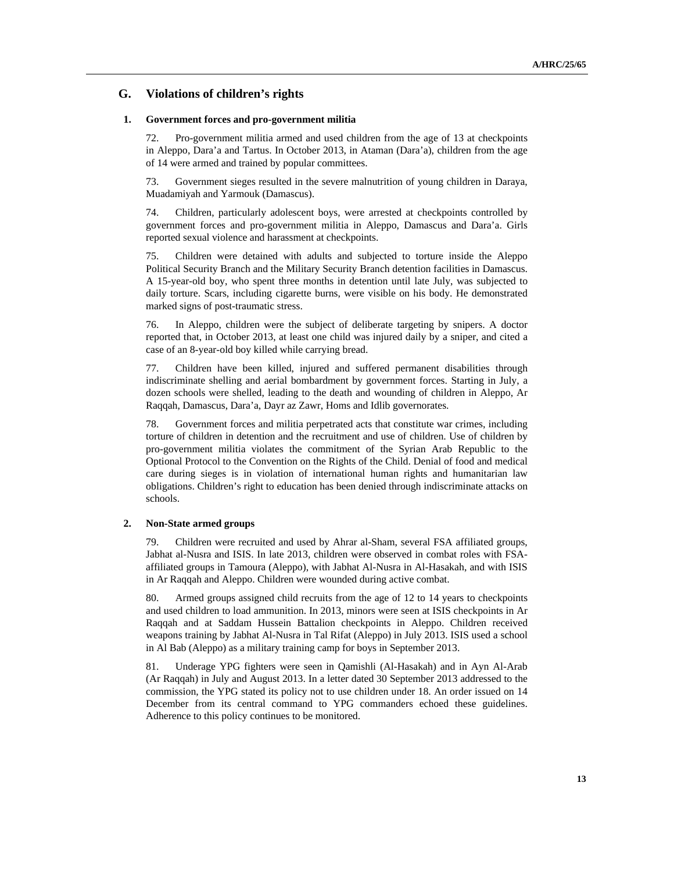## **G. Violations of children's rights**

### **1. Government forces and pro-government militia**

72. Pro-government militia armed and used children from the age of 13 at checkpoints in Aleppo, Dara'a and Tartus. In October 2013, in Ataman (Dara'a), children from the age of 14 were armed and trained by popular committees.

73. Government sieges resulted in the severe malnutrition of young children in Daraya, Muadamiyah and Yarmouk (Damascus).

74. Children, particularly adolescent boys, were arrested at checkpoints controlled by government forces and pro-government militia in Aleppo, Damascus and Dara'a. Girls reported sexual violence and harassment at checkpoints.

75. Children were detained with adults and subjected to torture inside the Aleppo Political Security Branch and the Military Security Branch detention facilities in Damascus. A 15-year-old boy, who spent three months in detention until late July, was subjected to daily torture. Scars, including cigarette burns, were visible on his body. He demonstrated marked signs of post-traumatic stress.

76. In Aleppo, children were the subject of deliberate targeting by snipers. A doctor reported that, in October 2013, at least one child was injured daily by a sniper, and cited a case of an 8-year-old boy killed while carrying bread.

77. Children have been killed, injured and suffered permanent disabilities through indiscriminate shelling and aerial bombardment by government forces. Starting in July, a dozen schools were shelled, leading to the death and wounding of children in Aleppo, Ar Raqqah, Damascus, Dara'a, Dayr az Zawr, Homs and Idlib governorates.

78. Government forces and militia perpetrated acts that constitute war crimes, including torture of children in detention and the recruitment and use of children. Use of children by pro-government militia violates the commitment of the Syrian Arab Republic to the Optional Protocol to the Convention on the Rights of the Child. Denial of food and medical care during sieges is in violation of international human rights and humanitarian law obligations. Children's right to education has been denied through indiscriminate attacks on schools.

### **2. Non-State armed groups**

79. Children were recruited and used by Ahrar al-Sham, several FSA affiliated groups, Jabhat al-Nusra and ISIS. In late 2013, children were observed in combat roles with FSAaffiliated groups in Tamoura (Aleppo), with Jabhat Al-Nusra in Al-Hasakah, and with ISIS in Ar Raqqah and Aleppo. Children were wounded during active combat.

80. Armed groups assigned child recruits from the age of 12 to 14 years to checkpoints and used children to load ammunition. In 2013, minors were seen at ISIS checkpoints in Ar Raqqah and at Saddam Hussein Battalion checkpoints in Aleppo. Children received weapons training by Jabhat Al-Nusra in Tal Rifat (Aleppo) in July 2013. ISIS used a school in Al Bab (Aleppo) as a military training camp for boys in September 2013.

81. Underage YPG fighters were seen in Qamishli (Al-Hasakah) and in Ayn Al-Arab (Ar Raqqah) in July and August 2013. In a letter dated 30 September 2013 addressed to the commission, the YPG stated its policy not to use children under 18. An order issued on 14 December from its central command to YPG commanders echoed these guidelines. Adherence to this policy continues to be monitored.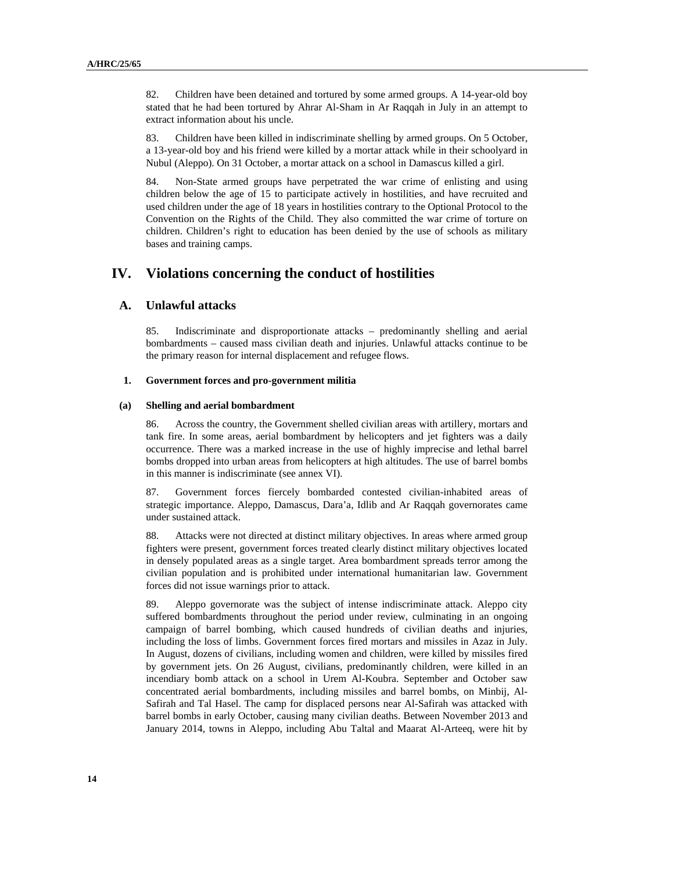82. Children have been detained and tortured by some armed groups. A 14-year-old boy stated that he had been tortured by Ahrar Al-Sham in Ar Raqqah in July in an attempt to extract information about his uncle.

83. Children have been killed in indiscriminate shelling by armed groups. On 5 October, a 13-year-old boy and his friend were killed by a mortar attack while in their schoolyard in Nubul (Aleppo). On 31 October, a mortar attack on a school in Damascus killed a girl.

84. Non-State armed groups have perpetrated the war crime of enlisting and using children below the age of 15 to participate actively in hostilities, and have recruited and used children under the age of 18 years in hostilities contrary to the Optional Protocol to the Convention on the Rights of the Child. They also committed the war crime of torture on children. Children's right to education has been denied by the use of schools as military bases and training camps.

## **IV. Violations concerning the conduct of hostilities**

### **A. Unlawful attacks**

85. Indiscriminate and disproportionate attacks – predominantly shelling and aerial bombardments – caused mass civilian death and injuries. Unlawful attacks continue to be the primary reason for internal displacement and refugee flows.

### **1. Government forces and pro-government militia**

#### **(a) Shelling and aerial bombardment**

86. Across the country, the Government shelled civilian areas with artillery, mortars and tank fire. In some areas, aerial bombardment by helicopters and jet fighters was a daily occurrence. There was a marked increase in the use of highly imprecise and lethal barrel bombs dropped into urban areas from helicopters at high altitudes. The use of barrel bombs in this manner is indiscriminate (see annex VI).

87. Government forces fiercely bombarded contested civilian-inhabited areas of strategic importance. Aleppo, Damascus, Dara'a, Idlib and Ar Raqqah governorates came under sustained attack.

88. Attacks were not directed at distinct military objectives. In areas where armed group fighters were present, government forces treated clearly distinct military objectives located in densely populated areas as a single target. Area bombardment spreads terror among the civilian population and is prohibited under international humanitarian law. Government forces did not issue warnings prior to attack.

89. Aleppo governorate was the subject of intense indiscriminate attack. Aleppo city suffered bombardments throughout the period under review, culminating in an ongoing campaign of barrel bombing, which caused hundreds of civilian deaths and injuries, including the loss of limbs. Government forces fired mortars and missiles in Azaz in July. In August, dozens of civilians, including women and children, were killed by missiles fired by government jets. On 26 August, civilians, predominantly children, were killed in an incendiary bomb attack on a school in Urem Al-Koubra. September and October saw concentrated aerial bombardments, including missiles and barrel bombs, on Minbij, Al-Safirah and Tal Hasel. The camp for displaced persons near Al-Safirah was attacked with barrel bombs in early October, causing many civilian deaths. Between November 2013 and January 2014, towns in Aleppo, including Abu Taltal and Maarat Al-Arteeq, were hit by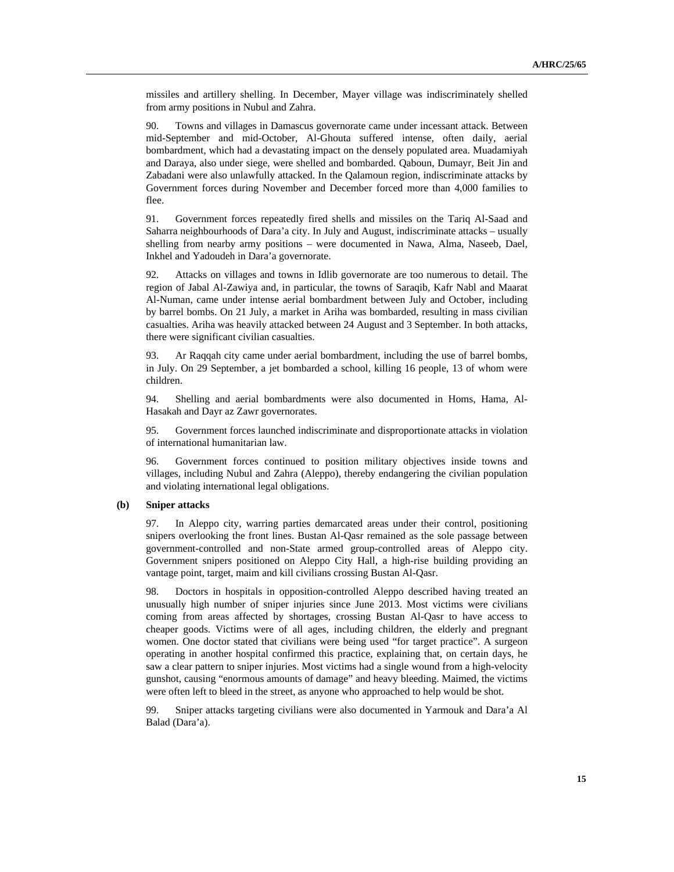missiles and artillery shelling. In December, Mayer village was indiscriminately shelled from army positions in Nubul and Zahra.

90. Towns and villages in Damascus governorate came under incessant attack. Between mid-September and mid-October, Al-Ghouta suffered intense, often daily, aerial bombardment, which had a devastating impact on the densely populated area. Muadamiyah and Daraya, also under siege, were shelled and bombarded. Qaboun, Dumayr, Beit Jin and Zabadani were also unlawfully attacked. In the Qalamoun region, indiscriminate attacks by Government forces during November and December forced more than 4,000 families to flee.

91. Government forces repeatedly fired shells and missiles on the Tariq Al-Saad and Saharra neighbourhoods of Dara'a city. In July and August, indiscriminate attacks – usually shelling from nearby army positions – were documented in Nawa, Alma, Naseeb, Dael, Inkhel and Yadoudeh in Dara'a governorate.

92. Attacks on villages and towns in Idlib governorate are too numerous to detail. The region of Jabal Al-Zawiya and, in particular, the towns of Saraqib, Kafr Nabl and Maarat Al-Numan, came under intense aerial bombardment between July and October, including by barrel bombs. On 21 July, a market in Ariha was bombarded, resulting in mass civilian casualties. Ariha was heavily attacked between 24 August and 3 September. In both attacks, there were significant civilian casualties.

93. Ar Raqqah city came under aerial bombardment, including the use of barrel bombs, in July. On 29 September, a jet bombarded a school, killing 16 people, 13 of whom were children.

94. Shelling and aerial bombardments were also documented in Homs, Hama, Al-Hasakah and Dayr az Zawr governorates.

95. Government forces launched indiscriminate and disproportionate attacks in violation of international humanitarian law.

96. Government forces continued to position military objectives inside towns and villages, including Nubul and Zahra (Aleppo), thereby endangering the civilian population and violating international legal obligations.

#### **(b) Sniper attacks**

97. In Aleppo city, warring parties demarcated areas under their control, positioning snipers overlooking the front lines. Bustan Al-Qasr remained as the sole passage between government-controlled and non-State armed group-controlled areas of Aleppo city. Government snipers positioned on Aleppo City Hall, a high-rise building providing an vantage point, target, maim and kill civilians crossing Bustan Al-Qasr.

98. Doctors in hospitals in opposition-controlled Aleppo described having treated an unusually high number of sniper injuries since June 2013. Most victims were civilians coming from areas affected by shortages, crossing Bustan Al-Qasr to have access to cheaper goods. Victims were of all ages, including children, the elderly and pregnant women. One doctor stated that civilians were being used "for target practice". A surgeon operating in another hospital confirmed this practice, explaining that, on certain days, he saw a clear pattern to sniper injuries. Most victims had a single wound from a high-velocity gunshot, causing "enormous amounts of damage" and heavy bleeding. Maimed, the victims were often left to bleed in the street, as anyone who approached to help would be shot.

99. Sniper attacks targeting civilians were also documented in Yarmouk and Dara'a Al Balad (Dara'a).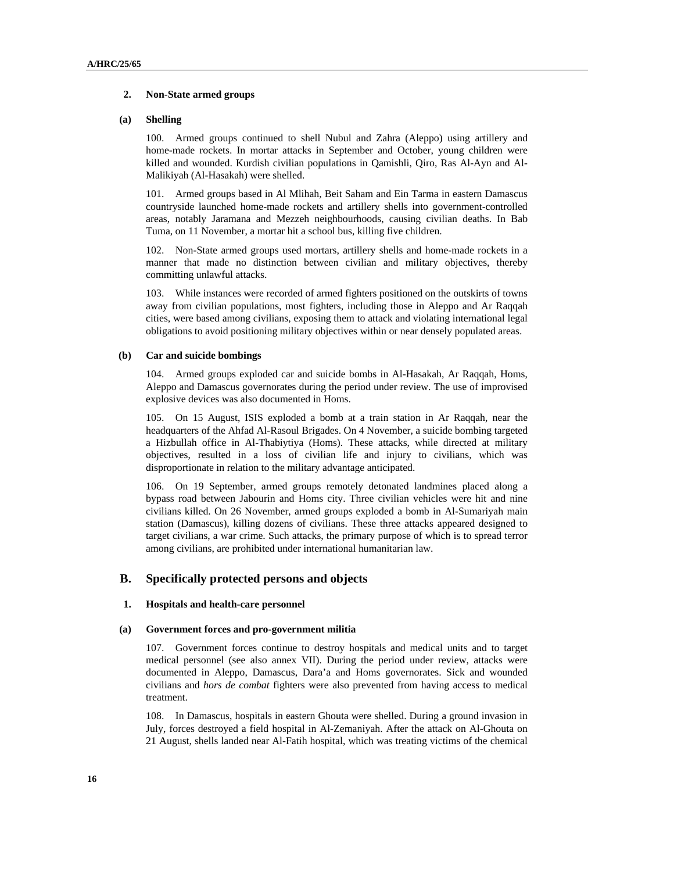### **2. Non-State armed groups**

### **(a) Shelling**

100. Armed groups continued to shell Nubul and Zahra (Aleppo) using artillery and home-made rockets. In mortar attacks in September and October, young children were killed and wounded. Kurdish civilian populations in Qamishli, Qiro, Ras Al-Ayn and Al-Malikiyah (Al-Hasakah) were shelled.

101. Armed groups based in Al Mlihah, Beit Saham and Ein Tarma in eastern Damascus countryside launched home-made rockets and artillery shells into government-controlled areas, notably Jaramana and Mezzeh neighbourhoods, causing civilian deaths. In Bab Tuma, on 11 November, a mortar hit a school bus, killing five children.

102. Non-State armed groups used mortars, artillery shells and home-made rockets in a manner that made no distinction between civilian and military objectives, thereby committing unlawful attacks.

103. While instances were recorded of armed fighters positioned on the outskirts of towns away from civilian populations, most fighters, including those in Aleppo and Ar Raqqah cities, were based among civilians, exposing them to attack and violating international legal obligations to avoid positioning military objectives within or near densely populated areas.

### **(b) Car and suicide bombings**

104. Armed groups exploded car and suicide bombs in Al-Hasakah, Ar Raqqah, Homs, Aleppo and Damascus governorates during the period under review. The use of improvised explosive devices was also documented in Homs.

105. On 15 August, ISIS exploded a bomb at a train station in Ar Raqqah, near the headquarters of the Ahfad Al-Rasoul Brigades. On 4 November, a suicide bombing targeted a Hizbullah office in Al-Thabiytiya (Homs). These attacks, while directed at military objectives, resulted in a loss of civilian life and injury to civilians, which was disproportionate in relation to the military advantage anticipated.

106. On 19 September, armed groups remotely detonated landmines placed along a bypass road between Jabourin and Homs city. Three civilian vehicles were hit and nine civilians killed. On 26 November, armed groups exploded a bomb in Al-Sumariyah main station (Damascus), killing dozens of civilians. These three attacks appeared designed to target civilians, a war crime. Such attacks, the primary purpose of which is to spread terror among civilians, are prohibited under international humanitarian law.

### **B. Specifically protected persons and objects**

#### **1. Hospitals and health-care personnel**

#### **(a) Government forces and pro-government militia**

107. Government forces continue to destroy hospitals and medical units and to target medical personnel (see also annex VII). During the period under review, attacks were documented in Aleppo, Damascus, Dara'a and Homs governorates. Sick and wounded civilians and *hors de combat* fighters were also prevented from having access to medical treatment.

108. In Damascus, hospitals in eastern Ghouta were shelled. During a ground invasion in July, forces destroyed a field hospital in Al-Zemaniyah. After the attack on Al-Ghouta on 21 August, shells landed near Al-Fatih hospital, which was treating victims of the chemical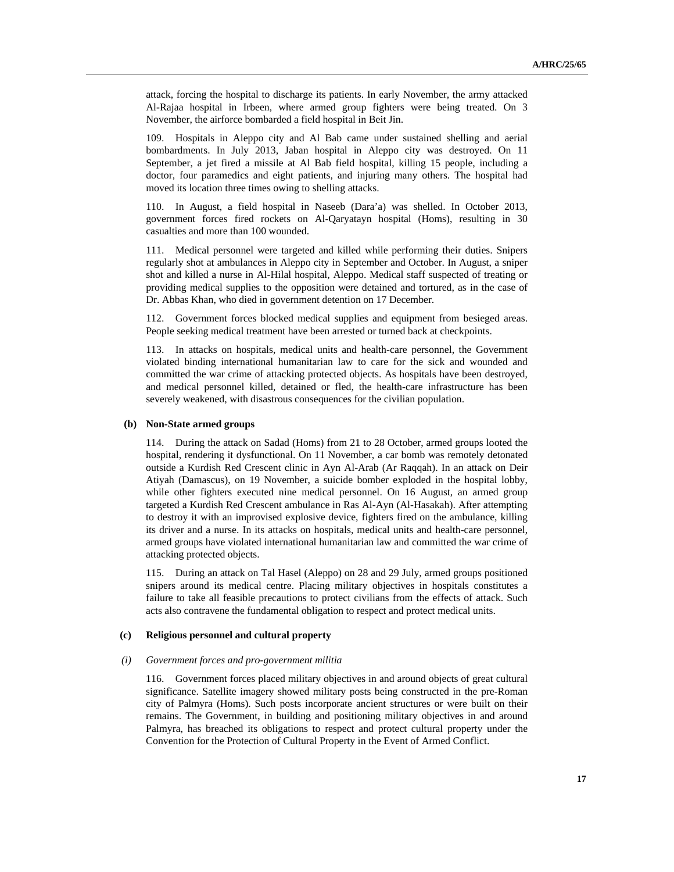attack, forcing the hospital to discharge its patients. In early November, the army attacked Al-Rajaa hospital in Irbeen, where armed group fighters were being treated. On 3 November, the airforce bombarded a field hospital in Beit Jin.

109. Hospitals in Aleppo city and Al Bab came under sustained shelling and aerial bombardments. In July 2013, Jaban hospital in Aleppo city was destroyed. On 11 September, a jet fired a missile at Al Bab field hospital, killing 15 people, including a doctor, four paramedics and eight patients, and injuring many others. The hospital had moved its location three times owing to shelling attacks.

110. In August, a field hospital in Naseeb (Dara'a) was shelled. In October 2013, government forces fired rockets on Al-Qaryatayn hospital (Homs), resulting in 30 casualties and more than 100 wounded.

111. Medical personnel were targeted and killed while performing their duties. Snipers regularly shot at ambulances in Aleppo city in September and October. In August, a sniper shot and killed a nurse in Al-Hilal hospital, Aleppo. Medical staff suspected of treating or providing medical supplies to the opposition were detained and tortured, as in the case of Dr. Abbas Khan, who died in government detention on 17 December.

112. Government forces blocked medical supplies and equipment from besieged areas. People seeking medical treatment have been arrested or turned back at checkpoints.

113. In attacks on hospitals, medical units and health-care personnel, the Government violated binding international humanitarian law to care for the sick and wounded and committed the war crime of attacking protected objects. As hospitals have been destroyed, and medical personnel killed, detained or fled, the health-care infrastructure has been severely weakened, with disastrous consequences for the civilian population.

### **(b) Non-State armed groups**

114. During the attack on Sadad (Homs) from 21 to 28 October, armed groups looted the hospital, rendering it dysfunctional. On 11 November, a car bomb was remotely detonated outside a Kurdish Red Crescent clinic in Ayn Al-Arab (Ar Raqqah). In an attack on Deir Atiyah (Damascus), on 19 November, a suicide bomber exploded in the hospital lobby, while other fighters executed nine medical personnel. On 16 August, an armed group targeted a Kurdish Red Crescent ambulance in Ras Al-Ayn (Al-Hasakah). After attempting to destroy it with an improvised explosive device, fighters fired on the ambulance, killing its driver and a nurse. In its attacks on hospitals, medical units and health-care personnel, armed groups have violated international humanitarian law and committed the war crime of attacking protected objects.

115. During an attack on Tal Hasel (Aleppo) on 28 and 29 July, armed groups positioned snipers around its medical centre. Placing military objectives in hospitals constitutes a failure to take all feasible precautions to protect civilians from the effects of attack. Such acts also contravene the fundamental obligation to respect and protect medical units.

### **(c) Religious personnel and cultural property**

#### *(i) Government forces and pro-government militia*

116. Government forces placed military objectives in and around objects of great cultural significance. Satellite imagery showed military posts being constructed in the pre-Roman city of Palmyra (Homs). Such posts incorporate ancient structures or were built on their remains. The Government, in building and positioning military objectives in and around Palmyra, has breached its obligations to respect and protect cultural property under the Convention for the Protection of Cultural Property in the Event of Armed Conflict.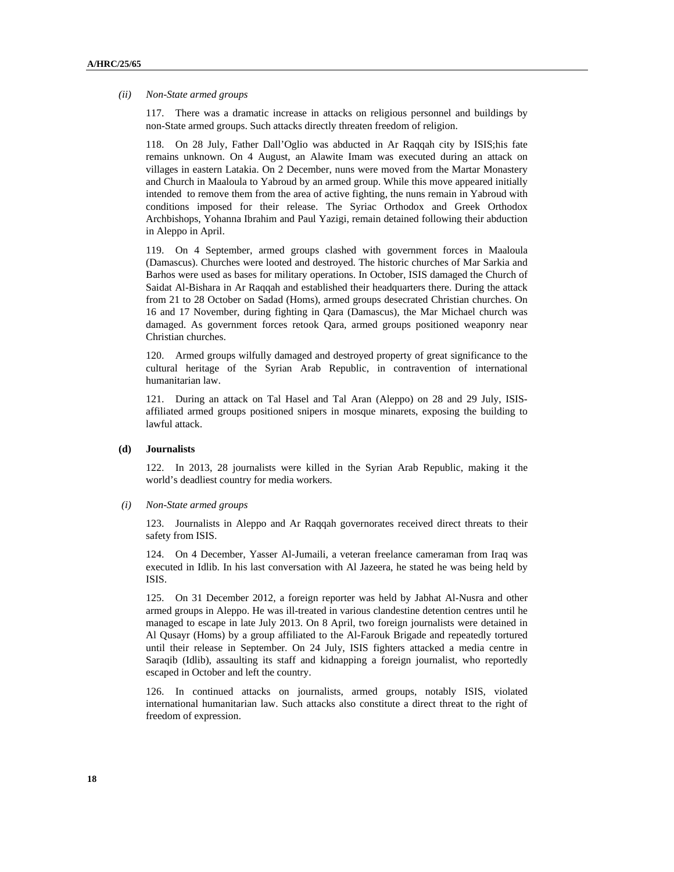#### *(ii) Non-State armed groups*

117. There was a dramatic increase in attacks on religious personnel and buildings by non-State armed groups. Such attacks directly threaten freedom of religion.

118. On 28 July, Father Dall'Oglio was abducted in Ar Raqqah city by ISIS;his fate remains unknown. On 4 August, an Alawite Imam was executed during an attack on villages in eastern Latakia. On 2 December, nuns were moved from the Martar Monastery and Church in Maaloula to Yabroud by an armed group. While this move appeared initially intended to remove them from the area of active fighting, the nuns remain in Yabroud with conditions imposed for their release. The Syriac Orthodox and Greek Orthodox Archbishops, Yohanna Ibrahim and Paul Yazigi, remain detained following their abduction in Aleppo in April.

119. On 4 September, armed groups clashed with government forces in Maaloula (Damascus). Churches were looted and destroyed. The historic churches of Mar Sarkia and Barhos were used as bases for military operations. In October, ISIS damaged the Church of Saidat Al-Bishara in Ar Raqqah and established their headquarters there. During the attack from 21 to 28 October on Sadad (Homs), armed groups desecrated Christian churches. On 16 and 17 November, during fighting in Qara (Damascus), the Mar Michael church was damaged. As government forces retook Qara, armed groups positioned weaponry near Christian churches.

120. Armed groups wilfully damaged and destroyed property of great significance to the cultural heritage of the Syrian Arab Republic, in contravention of international humanitarian law.

121. During an attack on Tal Hasel and Tal Aran (Aleppo) on 28 and 29 July, ISISaffiliated armed groups positioned snipers in mosque minarets, exposing the building to lawful attack.

### **(d) Journalists**

122. In 2013, 28 journalists were killed in the Syrian Arab Republic, making it the world's deadliest country for media workers.

*(i) Non-State armed groups* 

123. Journalists in Aleppo and Ar Raqqah governorates received direct threats to their safety from ISIS.

124. On 4 December, Yasser Al-Jumaili, a veteran freelance cameraman from Iraq was executed in Idlib. In his last conversation with Al Jazeera, he stated he was being held by ISIS.

125. On 31 December 2012, a foreign reporter was held by Jabhat Al-Nusra and other armed groups in Aleppo. He was ill-treated in various clandestine detention centres until he managed to escape in late July 2013. On 8 April, two foreign journalists were detained in Al Qusayr (Homs) by a group affiliated to the Al-Farouk Brigade and repeatedly tortured until their release in September. On 24 July, ISIS fighters attacked a media centre in Saraqib (Idlib), assaulting its staff and kidnapping a foreign journalist, who reportedly escaped in October and left the country.

126. In continued attacks on journalists, armed groups, notably ISIS, violated international humanitarian law. Such attacks also constitute a direct threat to the right of freedom of expression.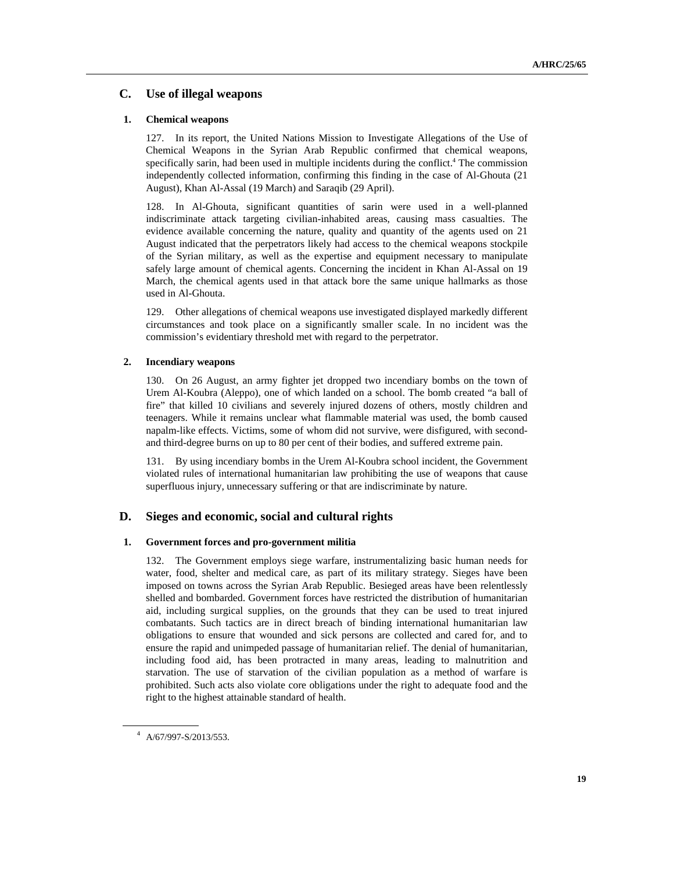## **C. Use of illegal weapons**

### **1. Chemical weapons**

127. In its report, the United Nations Mission to Investigate Allegations of the Use of Chemical Weapons in the Syrian Arab Republic confirmed that chemical weapons, specifically sarin, had been used in multiple incidents during the conflict.<sup>4</sup> The commission independently collected information, confirming this finding in the case of Al-Ghouta (21 August), Khan Al-Assal (19 March) and Saraqib (29 April).

128. In Al-Ghouta, significant quantities of sarin were used in a well-planned indiscriminate attack targeting civilian-inhabited areas, causing mass casualties. The evidence available concerning the nature, quality and quantity of the agents used on 21 August indicated that the perpetrators likely had access to the chemical weapons stockpile of the Syrian military, as well as the expertise and equipment necessary to manipulate safely large amount of chemical agents. Concerning the incident in Khan Al-Assal on 19 March, the chemical agents used in that attack bore the same unique hallmarks as those used in Al-Ghouta.

129. Other allegations of chemical weapons use investigated displayed markedly different circumstances and took place on a significantly smaller scale. In no incident was the commission's evidentiary threshold met with regard to the perpetrator.

### **2. Incendiary weapons**

130. On 26 August, an army fighter jet dropped two incendiary bombs on the town of Urem Al-Koubra (Aleppo), one of which landed on a school. The bomb created "a ball of fire" that killed 10 civilians and severely injured dozens of others, mostly children and teenagers. While it remains unclear what flammable material was used, the bomb caused napalm-like effects. Victims, some of whom did not survive, were disfigured, with secondand third-degree burns on up to 80 per cent of their bodies, and suffered extreme pain.

131. By using incendiary bombs in the Urem Al-Koubra school incident, the Government violated rules of international humanitarian law prohibiting the use of weapons that cause superfluous injury, unnecessary suffering or that are indiscriminate by nature.

### **D. Sieges and economic, social and cultural rights**

### **1. Government forces and pro-government militia**

132. The Government employs siege warfare, instrumentalizing basic human needs for water, food, shelter and medical care, as part of its military strategy. Sieges have been imposed on towns across the Syrian Arab Republic. Besieged areas have been relentlessly shelled and bombarded. Government forces have restricted the distribution of humanitarian aid, including surgical supplies, on the grounds that they can be used to treat injured combatants. Such tactics are in direct breach of binding international humanitarian law obligations to ensure that wounded and sick persons are collected and cared for, and to ensure the rapid and unimpeded passage of humanitarian relief. The denial of humanitarian, including food aid, has been protracted in many areas, leading to malnutrition and starvation. The use of starvation of the civilian population as a method of warfare is prohibited. Such acts also violate core obligations under the right to adequate food and the right to the highest attainable standard of health.

 $\overline{a}$ 

<sup>4</sup> A/67/997-S/2013/553.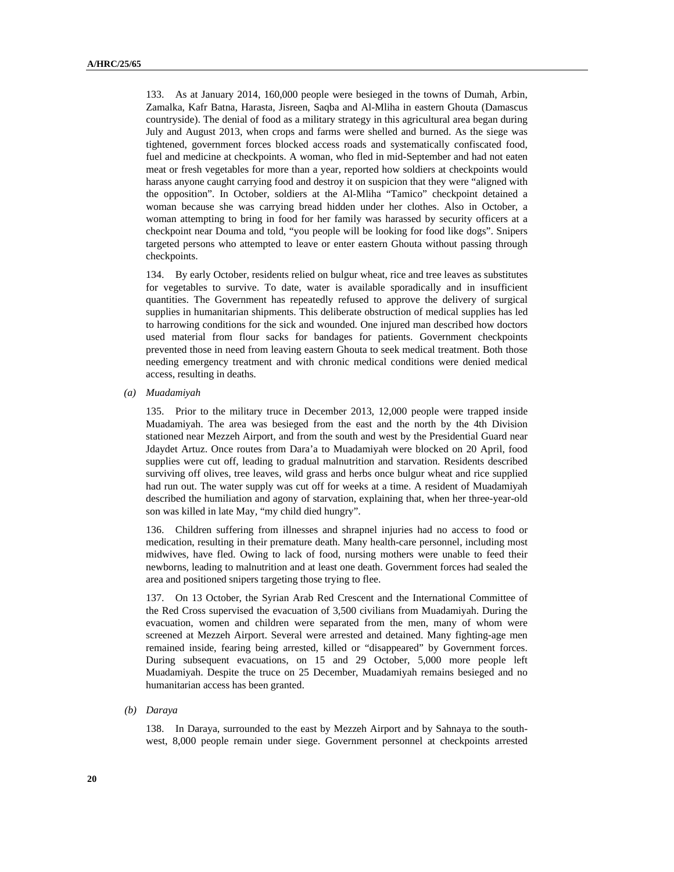133. As at January 2014, 160,000 people were besieged in the towns of Dumah, Arbin, Zamalka, Kafr Batna, Harasta, Jisreen, Saqba and Al-Mliha in eastern Ghouta (Damascus countryside). The denial of food as a military strategy in this agricultural area began during July and August 2013, when crops and farms were shelled and burned. As the siege was tightened, government forces blocked access roads and systematically confiscated food, fuel and medicine at checkpoints. A woman, who fled in mid-September and had not eaten meat or fresh vegetables for more than a year, reported how soldiers at checkpoints would harass anyone caught carrying food and destroy it on suspicion that they were "aligned with the opposition". In October, soldiers at the Al-Mliha "Tamico" checkpoint detained a woman because she was carrying bread hidden under her clothes. Also in October, a woman attempting to bring in food for her family was harassed by security officers at a checkpoint near Douma and told, "you people will be looking for food like dogs". Snipers targeted persons who attempted to leave or enter eastern Ghouta without passing through checkpoints.

134. By early October, residents relied on bulgur wheat, rice and tree leaves as substitutes for vegetables to survive. To date, water is available sporadically and in insufficient quantities. The Government has repeatedly refused to approve the delivery of surgical supplies in humanitarian shipments. This deliberate obstruction of medical supplies has led to harrowing conditions for the sick and wounded. One injured man described how doctors used material from flour sacks for bandages for patients. Government checkpoints prevented those in need from leaving eastern Ghouta to seek medical treatment. Both those needing emergency treatment and with chronic medical conditions were denied medical access, resulting in deaths.

*(a) Muadamiyah* 

135. Prior to the military truce in December 2013, 12,000 people were trapped inside Muadamiyah. The area was besieged from the east and the north by the 4th Division stationed near Mezzeh Airport, and from the south and west by the Presidential Guard near Jdaydet Artuz. Once routes from Dara'a to Muadamiyah were blocked on 20 April, food supplies were cut off, leading to gradual malnutrition and starvation. Residents described surviving off olives, tree leaves, wild grass and herbs once bulgur wheat and rice supplied had run out. The water supply was cut off for weeks at a time. A resident of Muadamiyah described the humiliation and agony of starvation, explaining that, when her three-year-old son was killed in late May, "my child died hungry".

136. Children suffering from illnesses and shrapnel injuries had no access to food or medication, resulting in their premature death. Many health-care personnel, including most midwives, have fled. Owing to lack of food, nursing mothers were unable to feed their newborns, leading to malnutrition and at least one death. Government forces had sealed the area and positioned snipers targeting those trying to flee.

137. On 13 October, the Syrian Arab Red Crescent and the International Committee of the Red Cross supervised the evacuation of 3,500 civilians from Muadamiyah. During the evacuation, women and children were separated from the men, many of whom were screened at Mezzeh Airport. Several were arrested and detained. Many fighting-age men remained inside, fearing being arrested, killed or "disappeared" by Government forces. During subsequent evacuations, on 15 and 29 October, 5,000 more people left Muadamiyah. Despite the truce on 25 December, Muadamiyah remains besieged and no humanitarian access has been granted.

*(b) Daraya* 

138. In Daraya, surrounded to the east by Mezzeh Airport and by Sahnaya to the southwest, 8,000 people remain under siege. Government personnel at checkpoints arrested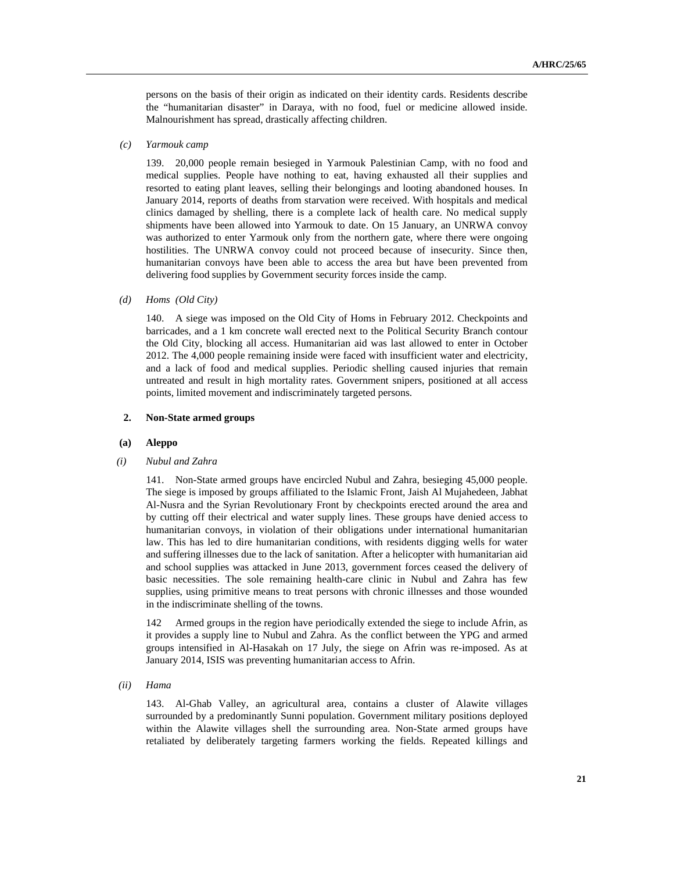persons on the basis of their origin as indicated on their identity cards. Residents describe the "humanitarian disaster" in Daraya, with no food, fuel or medicine allowed inside. Malnourishment has spread, drastically affecting children.

*(c) Yarmouk camp* 

139. 20,000 people remain besieged in Yarmouk Palestinian Camp, with no food and medical supplies. People have nothing to eat, having exhausted all their supplies and resorted to eating plant leaves, selling their belongings and looting abandoned houses. In January 2014, reports of deaths from starvation were received. With hospitals and medical clinics damaged by shelling, there is a complete lack of health care. No medical supply shipments have been allowed into Yarmouk to date. On 15 January, an UNRWA convoy was authorized to enter Yarmouk only from the northern gate, where there were ongoing hostilities. The UNRWA convoy could not proceed because of insecurity. Since then, humanitarian convoys have been able to access the area but have been prevented from delivering food supplies by Government security forces inside the camp.

#### *(d) Homs (Old City)*

140. A siege was imposed on the Old City of Homs in February 2012. Checkpoints and barricades, and a 1 km concrete wall erected next to the Political Security Branch contour the Old City, blocking all access. Humanitarian aid was last allowed to enter in October 2012. The 4,000 people remaining inside were faced with insufficient water and electricity, and a lack of food and medical supplies. Periodic shelling caused injuries that remain untreated and result in high mortality rates. Government snipers, positioned at all access points, limited movement and indiscriminately targeted persons.

#### **2. Non-State armed groups**

#### **(a) Aleppo**

#### *(i) Nubul and Zahra*

141. Non-State armed groups have encircled Nubul and Zahra, besieging 45,000 people. The siege is imposed by groups affiliated to the Islamic Front, Jaish Al Mujahedeen, Jabhat Al-Nusra and the Syrian Revolutionary Front by checkpoints erected around the area and by cutting off their electrical and water supply lines. These groups have denied access to humanitarian convoys, in violation of their obligations under international humanitarian law. This has led to dire humanitarian conditions, with residents digging wells for water and suffering illnesses due to the lack of sanitation. After a helicopter with humanitarian aid and school supplies was attacked in June 2013, government forces ceased the delivery of basic necessities. The sole remaining health-care clinic in Nubul and Zahra has few supplies, using primitive means to treat persons with chronic illnesses and those wounded in the indiscriminate shelling of the towns.

142 Armed groups in the region have periodically extended the siege to include Afrin, as it provides a supply line to Nubul and Zahra. As the conflict between the YPG and armed groups intensified in Al-Hasakah on 17 July, the siege on Afrin was re-imposed. As at January 2014, ISIS was preventing humanitarian access to Afrin.

 *(ii) Hama* 

143. Al-Ghab Valley, an agricultural area, contains a cluster of Alawite villages surrounded by a predominantly Sunni population. Government military positions deployed within the Alawite villages shell the surrounding area. Non-State armed groups have retaliated by deliberately targeting farmers working the fields. Repeated killings and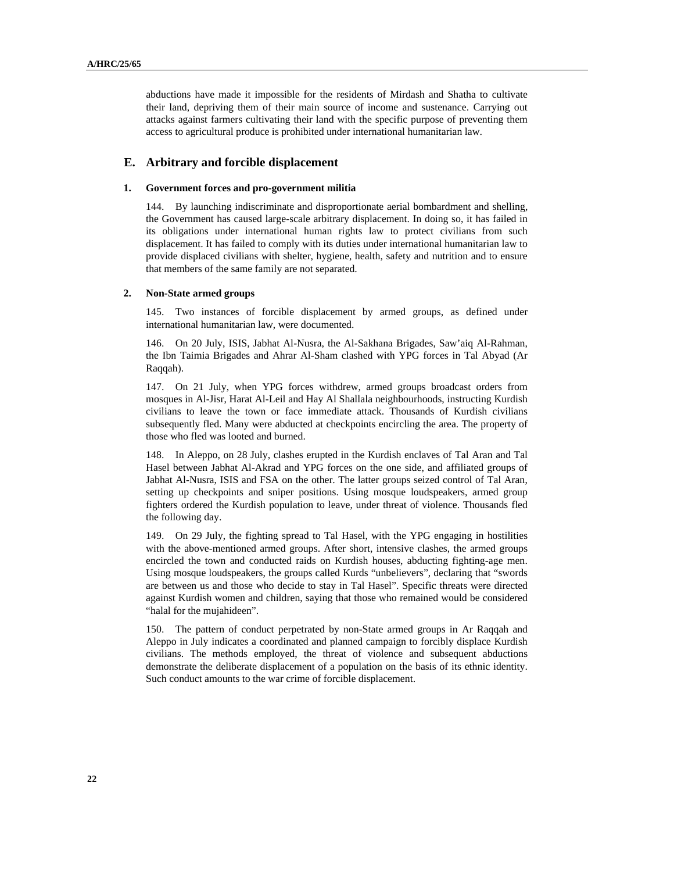abductions have made it impossible for the residents of Mirdash and Shatha to cultivate their land, depriving them of their main source of income and sustenance. Carrying out attacks against farmers cultivating their land with the specific purpose of preventing them access to agricultural produce is prohibited under international humanitarian law.

### **E. Arbitrary and forcible displacement**

### **1. Government forces and pro-government militia**

144. By launching indiscriminate and disproportionate aerial bombardment and shelling, the Government has caused large-scale arbitrary displacement. In doing so, it has failed in its obligations under international human rights law to protect civilians from such displacement. It has failed to comply with its duties under international humanitarian law to provide displaced civilians with shelter, hygiene, health, safety and nutrition and to ensure that members of the same family are not separated.

### **2. Non-State armed groups**

145. Two instances of forcible displacement by armed groups, as defined under international humanitarian law, were documented.

146. On 20 July, ISIS, Jabhat Al-Nusra, the Al-Sakhana Brigades, Saw'aiq Al-Rahman, the Ibn Taimia Brigades and Ahrar Al-Sham clashed with YPG forces in Tal Abyad (Ar Raqqah).

147. On 21 July, when YPG forces withdrew, armed groups broadcast orders from mosques in Al-Jisr, Harat Al-Leil and Hay Al Shallala neighbourhoods, instructing Kurdish civilians to leave the town or face immediate attack. Thousands of Kurdish civilians subsequently fled. Many were abducted at checkpoints encircling the area. The property of those who fled was looted and burned.

148. In Aleppo, on 28 July, clashes erupted in the Kurdish enclaves of Tal Aran and Tal Hasel between Jabhat Al-Akrad and YPG forces on the one side, and affiliated groups of Jabhat Al-Nusra, ISIS and FSA on the other. The latter groups seized control of Tal Aran, setting up checkpoints and sniper positions. Using mosque loudspeakers, armed group fighters ordered the Kurdish population to leave, under threat of violence. Thousands fled the following day.

149. On 29 July, the fighting spread to Tal Hasel, with the YPG engaging in hostilities with the above-mentioned armed groups. After short, intensive clashes, the armed groups encircled the town and conducted raids on Kurdish houses, abducting fighting-age men. Using mosque loudspeakers, the groups called Kurds "unbelievers", declaring that "swords are between us and those who decide to stay in Tal Hasel". Specific threats were directed against Kurdish women and children, saying that those who remained would be considered "halal for the mujahideen".

150. The pattern of conduct perpetrated by non-State armed groups in Ar Raqqah and Aleppo in July indicates a coordinated and planned campaign to forcibly displace Kurdish civilians. The methods employed, the threat of violence and subsequent abductions demonstrate the deliberate displacement of a population on the basis of its ethnic identity. Such conduct amounts to the war crime of forcible displacement.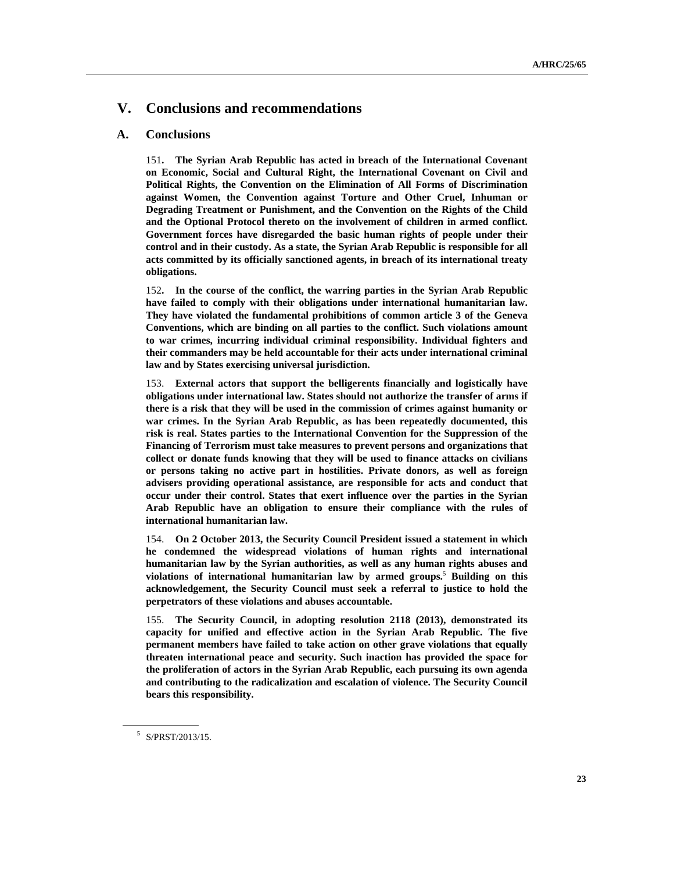## **V. Conclusions and recommendations**

### **A. Conclusions**

151**. The Syrian Arab Republic has acted in breach of the International Covenant on Economic, Social and Cultural Right, the International Covenant on Civil and Political Rights, the Convention on the Elimination of All Forms of Discrimination against Women, the Convention against Torture and Other Cruel, Inhuman or Degrading Treatment or Punishment, and the Convention on the Rights of the Child and the Optional Protocol thereto on the involvement of children in armed conflict. Government forces have disregarded the basic human rights of people under their control and in their custody. As a state, the Syrian Arab Republic is responsible for all acts committed by its officially sanctioned agents, in breach of its international treaty obligations.** 

152**. In the course of the conflict, the warring parties in the Syrian Arab Republic have failed to comply with their obligations under international humanitarian law. They have violated the fundamental prohibitions of common article 3 of the Geneva Conventions, which are binding on all parties to the conflict. Such violations amount to war crimes, incurring individual criminal responsibility. Individual fighters and their commanders may be held accountable for their acts under international criminal law and by States exercising universal jurisdiction.** 

153. **External actors that support the belligerents financially and logistically have obligations under international law. States should not authorize the transfer of arms if there is a risk that they will be used in the commission of crimes against humanity or war crimes. In the Syrian Arab Republic, as has been repeatedly documented, this risk is real. States parties to the International Convention for the Suppression of the Financing of Terrorism must take measures to prevent persons and organizations that collect or donate funds knowing that they will be used to finance attacks on civilians or persons taking no active part in hostilities. Private donors, as well as foreign advisers providing operational assistance, are responsible for acts and conduct that occur under their control. States that exert influence over the parties in the Syrian Arab Republic have an obligation to ensure their compliance with the rules of international humanitarian law.** 

154. **On 2 October 2013, the Security Council President issued a statement in which he condemned the widespread violations of human rights and international humanitarian law by the Syrian authorities, as well as any human rights abuses and violations of international humanitarian law by armed groups.**<sup>5</sup>  **Building on this acknowledgement, the Security Council must seek a referral to justice to hold the perpetrators of these violations and abuses accountable.** 

155. **The Security Council, in adopting resolution 2118 (2013), demonstrated its capacity for unified and effective action in the Syrian Arab Republic. The five permanent members have failed to take action on other grave violations that equally threaten international peace and security. Such inaction has provided the space for the proliferation of actors in the Syrian Arab Republic, each pursuing its own agenda and contributing to the radicalization and escalation of violence. The Security Council bears this responsibility.** 

 $\overline{a}$ 

<sup>5</sup> S/PRST/2013/15.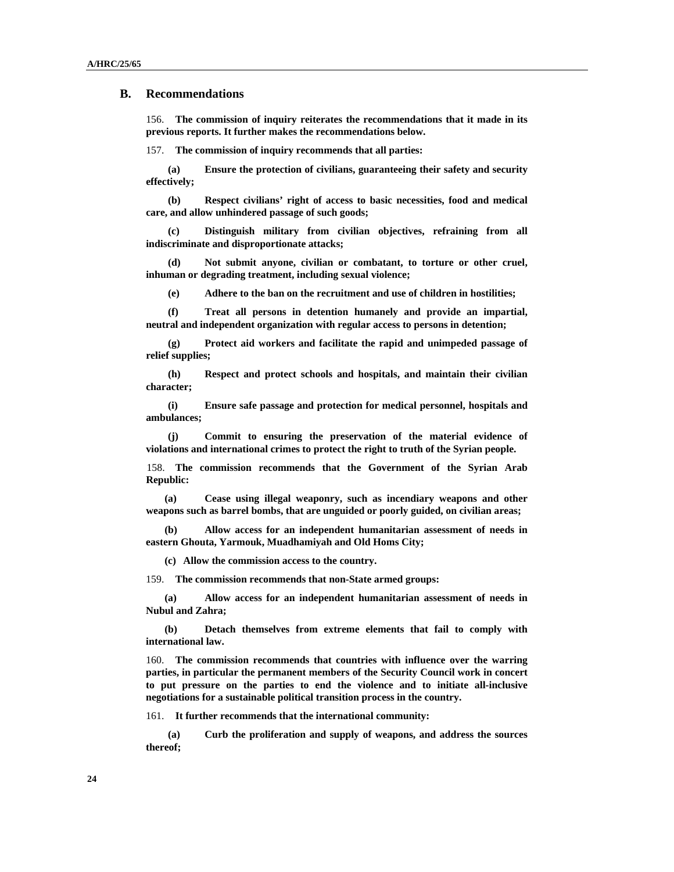### **B. Recommendations**

156. **The commission of inquiry reiterates the recommendations that it made in its previous reports. It further makes the recommendations below.** 

157. **The commission of inquiry recommends that all parties:**

**(a) Ensure the protection of civilians, guaranteeing their safety and security effectively;** 

**(b) Respect civilians' right of access to basic necessities, food and medical care, and allow unhindered passage of such goods;** 

**(c) Distinguish military from civilian objectives, refraining from all indiscriminate and disproportionate attacks;** 

**(d) Not submit anyone, civilian or combatant, to torture or other cruel, inhuman or degrading treatment, including sexual violence;** 

**(e) Adhere to the ban on the recruitment and use of children in hostilities;** 

**(f) Treat all persons in detention humanely and provide an impartial, neutral and independent organization with regular access to persons in detention;** 

**(g) Protect aid workers and facilitate the rapid and unimpeded passage of relief supplies;** 

**(h) Respect and protect schools and hospitals, and maintain their civilian character;** 

**(i) Ensure safe passage and protection for medical personnel, hospitals and ambulances;** 

**(j) Commit to ensuring the preservation of the material evidence of violations and international crimes to protect the right to truth of the Syrian people.** 

158. **The commission recommends that the Government of the Syrian Arab Republic:** 

**(a) Cease using illegal weaponry, such as incendiary weapons and other weapons such as barrel bombs, that are unguided or poorly guided, on civilian areas;** 

**(b) Allow access for an independent humanitarian assessment of needs in eastern Ghouta, Yarmouk, Muadhamiyah and Old Homs City;** 

**(c) Allow the commission access to the country.** 

159. **The commission recommends that non-State armed groups:** 

**(a) Allow access for an independent humanitarian assessment of needs in Nubul and Zahra;** 

**(b) Detach themselves from extreme elements that fail to comply with international law.** 

160. **The commission recommends that countries with influence over the warring parties, in particular the permanent members of the Security Council work in concert to put pressure on the parties to end the violence and to initiate all-inclusive negotiations for a sustainable political transition process in the country.** 

161. **It further recommends that the international community:** 

**(a) Curb the proliferation and supply of weapons, and address the sources thereof;**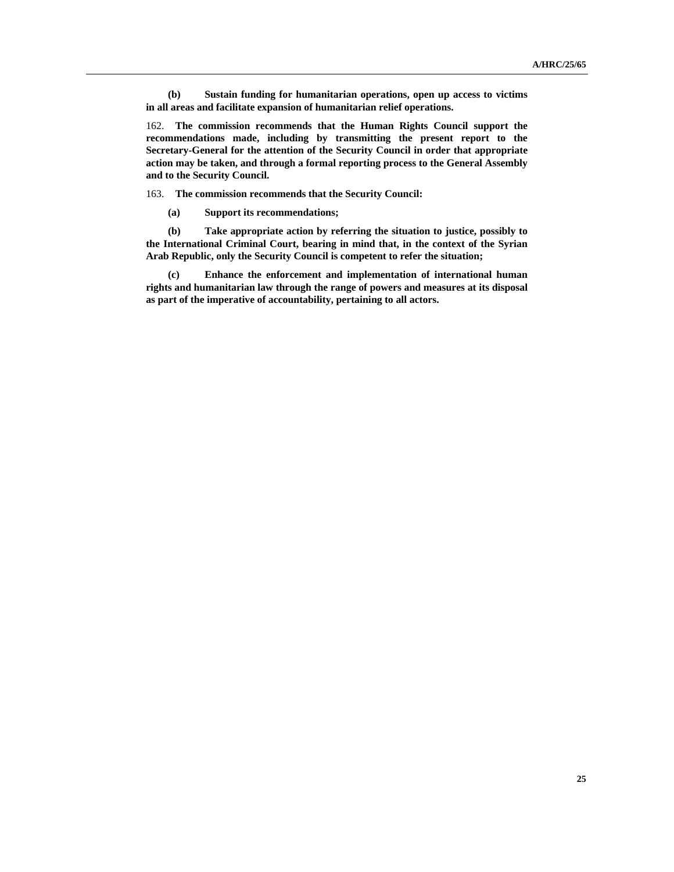**(b) Sustain funding for humanitarian operations, open up access to victims in all areas and facilitate expansion of humanitarian relief operations.** 

162. **The commission recommends that the Human Rights Council support the recommendations made, including by transmitting the present report to the Secretary-General for the attention of the Security Council in order that appropriate action may be taken, and through a formal reporting process to the General Assembly and to the Security Council.** 

163. **The commission recommends that the Security Council:**

**(a) Support its recommendations;** 

**(b) Take appropriate action by referring the situation to justice, possibly to the International Criminal Court, bearing in mind that, in the context of the Syrian Arab Republic, only the Security Council is competent to refer the situation;** 

**(c) Enhance the enforcement and implementation of international human rights and humanitarian law through the range of powers and measures at its disposal as part of the imperative of accountability, pertaining to all actors.**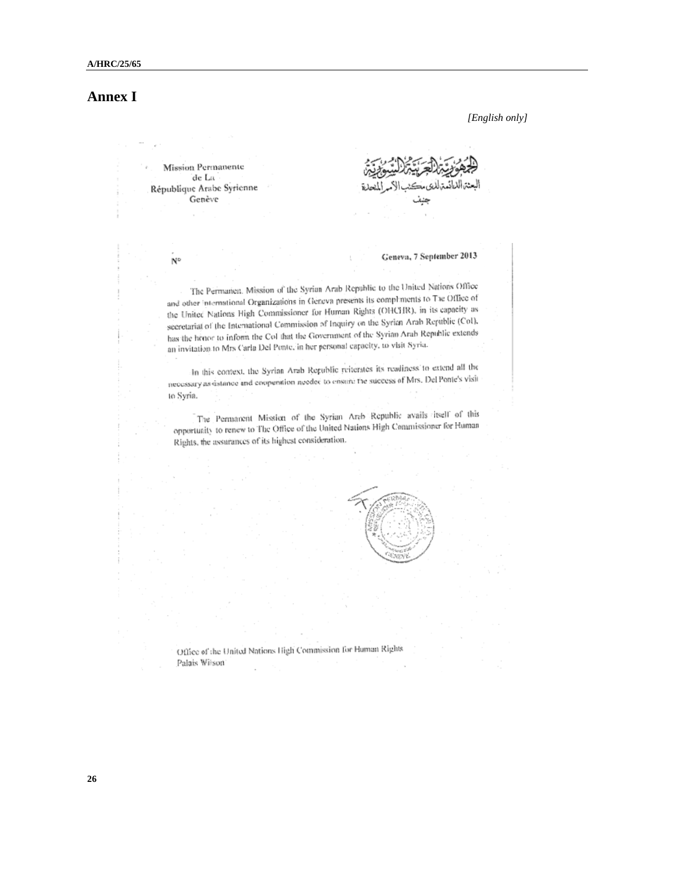## **Annex I**

*[English only]* 

**Mission Permanente** de La République Arabe Syrienne Genève

 $\mathsf{N}^\mathsf{o}$ 

Geneva, 7 September 2013

The Permanen. Mission of the Syrian Arab Republic to the United Nations Office The Permanen. Mission of the syrian Arab Republic to the context is and other international Organizations in Geneva presents its compliments to Tae Office of and other international Organizations in Geneva presents its companients to the United Nations High Commissioner for Human Rights (OHCHR), in its capacity as the United Nations High Commissioner for Human Kigals (Wieldam Arab Republic (Col),<br>secretariat of the International Commission of Inquiry on the Syrian Arab Republic (Col). has the honor to inform the Col that the Government of the Syrian Arab Republic extends an invitation to Mrs Carla Del Ponte, in her personal capacity, to visit Syria.

In this context, the Syrian Arab Republic referates its readiness to extend all the the unit comexit, the Syrian Arab isosporte vertexies by values.<br>
Recessary as distance and cooperation needed to ensure the success of Mrs. Del Ponte's visit to Syria.

The Permanent Mission of the Syrian Arch Republic avails itself of this The Permanent Mission of the System of Replace a called the componentially to renew to The Office of the United Nations High Commissioner for Human Rights, the assurances of its highest consideration.

Office of the United Nations High Commission for Human Rights Palais Wiison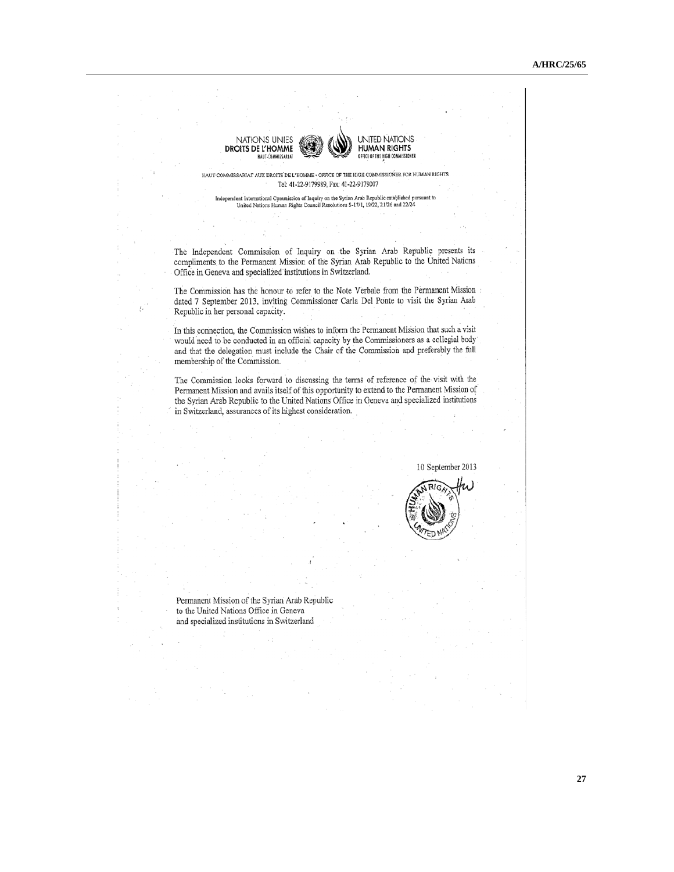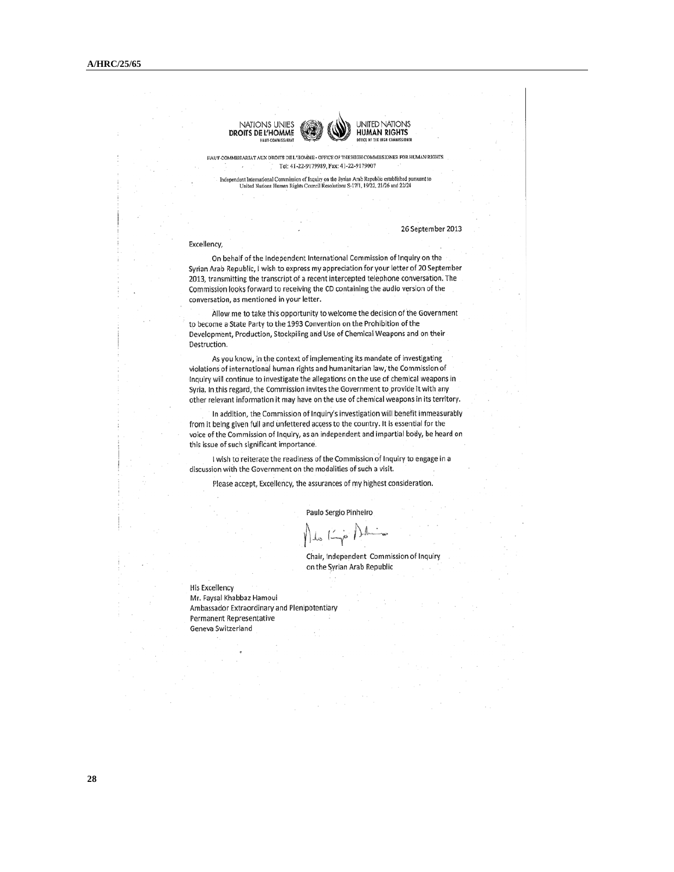



HAUT-COMMISSARIAT AUX DROITS DE L'HOMME . OPFICE OF THE HIGH COMMISSIONER FOR HUMAN RIGHTS Tel: 41-22-9179989, Fax: 41-22-9179007

Independent International Commission of Inquiry on the Syrian Arab Republic established pursuant to United Nations Human Rights Council Resolutions S-17/1, 19/22, 21/26 and 22/24

26 September 2013

#### Excellency,

On behalf of the Independent International Commission of Inquiry on the Syrian Arab Republic, I wish to express my appreciation for your letter of 20 September 2013, transmitting the transcript of a recent intercepted telephone conversation. The Commission looks forward to receiving the CD containing the audio version of the conversation, as mentioned in your letter.

Allow me to take this opportunity to welcome the decision of the Government to become a State Party to the 1993 Convention on the Prohibition of the Development, Production, Stockpiling and Use of Chemical Weapons and on their Destruction.

As you know, in the context of implementing its mandate of investigating violations of international human rights and humanitarian law, the Commission of Inquiry will continue to investigate the allegations on the use of chemical weapons in Syria. In this regard, the Commission invites the Government to provide it with any other relevant information it may have on the use of chemical weapons in its territory.

In addition, the Commission of Inquiry's investigation will benefit immeasurably from it being given full and unfettered access to the country. It is essential for the voice of the Commission of Inquiry, as an independent and impartial body, be heard on this issue of such significant importance.

I wish to reiterate the readiness of the Commission of Inquiry to engage in a discussion with the Government on the modalities of such a visit.

Please accept, Excellency, the assurances of my highest consideration.

Paulo Sergio Pinheiro

Chair, Independent Commission of Inquiry on the Syrian Arab Republic

**His Excellency** Mr. Faysal Khabbaz Hamoui Ambassador Extraordinary and Plenipotentiary **Permanent Representative** Geneva Switzerland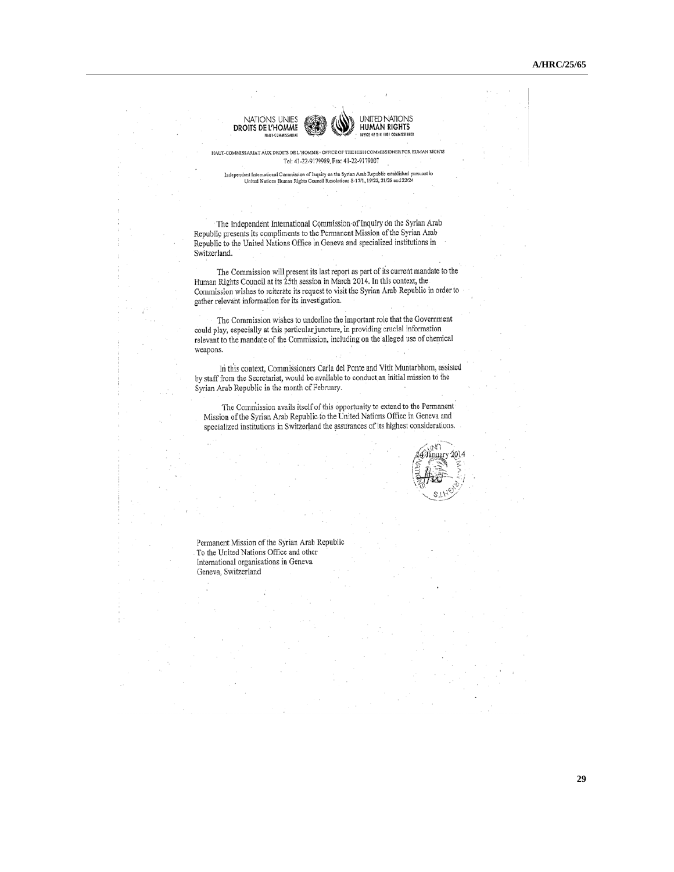



UNITED NATIONS<br>**HUMAN RIGHTS** 

HAUT-COMMISSARIAT AUX DROITS DE L'HOMME · OFFICE OF THE HIGH COMMISSIONER FOR HUMAN RIGHTS Tel: 41-22-9179989, Fax: 41-22-9179007

dent International Comr lent International Commission of Inquiry on the Syrian Arab Republic established pursuant to<br>United Nations Human Rights Council Resolutions S-17/1, 19/22, 21/26 and 22/24 Indepe

The Independent International Commission of Inquiry on the Syrian Arab Republic presents its compliments to the Permanent Mission of the Syrian Arab Republic to the United Nations Office in Geneva and specialized institutions in Switzerland.

The Commission will present its last report as part of its current mandate to the Human Rights Council at its 25th session in March 2014. In this context, the Commission wishes to reiterate its request to visit the Syrian Arab Republic in order to gather relevant information for its investigation.

The Commission wishes to underline the important role that the Government could play, especially at this particular juncture, in providing crucial information relevant to the mandate of the Commission, including on the alleged use of chemical weapons.

In this context, Commissioners Carla del Ponte and Vitit Muntarbhorn, assisted by staff from the Secretariat, would be available to conduct an initial mission to the Syrian Arab Republic in the month of February.

The Commission avails itself of this opportunity to extend to the Permanent Mission of the Syrian Arab Republic to the United Nations Office in Geneva and specialized institutions in Switzerland the assurances of its highest considerations.



Permanent Mission of the Syrian Arab Republic To the United Nations Office and other International organisations in Geneva Geneva, Switzerland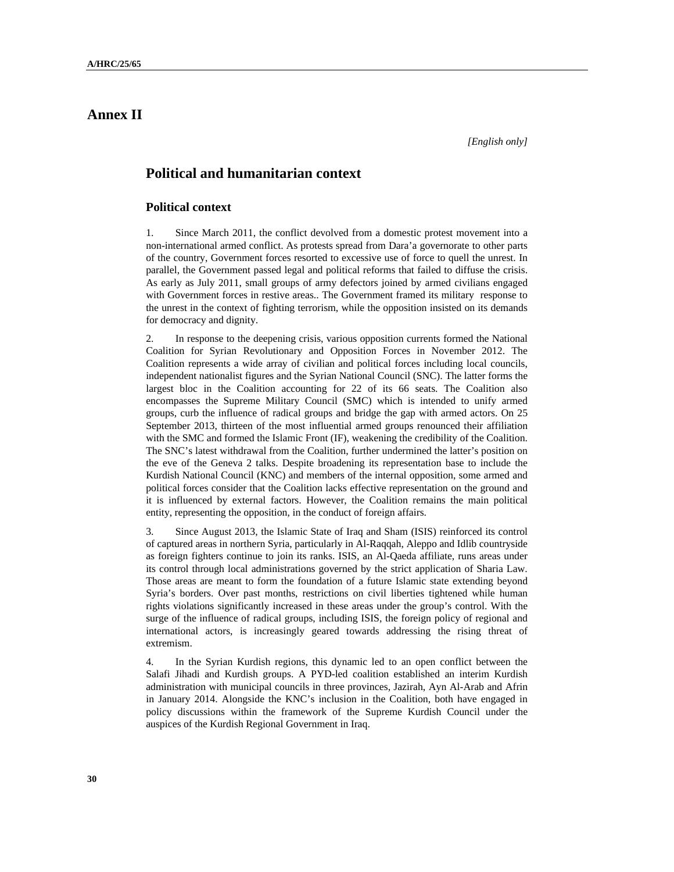## **Annex II**

## **Political and humanitarian context**

### **Political context**

1. Since March 2011, the conflict devolved from a domestic protest movement into a non-international armed conflict. As protests spread from Dara'a governorate to other parts of the country, Government forces resorted to excessive use of force to quell the unrest. In parallel, the Government passed legal and political reforms that failed to diffuse the crisis. As early as July 2011, small groups of army defectors joined by armed civilians engaged with Government forces in restive areas.. The Government framed its military response to the unrest in the context of fighting terrorism, while the opposition insisted on its demands for democracy and dignity.

2. In response to the deepening crisis, various opposition currents formed the National Coalition for Syrian Revolutionary and Opposition Forces in November 2012. The Coalition represents a wide array of civilian and political forces including local councils, independent nationalist figures and the Syrian National Council (SNC). The latter forms the largest bloc in the Coalition accounting for 22 of its 66 seats. The Coalition also encompasses the Supreme Military Council (SMC) which is intended to unify armed groups, curb the influence of radical groups and bridge the gap with armed actors. On 25 September 2013, thirteen of the most influential armed groups renounced their affiliation with the SMC and formed the Islamic Front (IF), weakening the credibility of the Coalition. The SNC's latest withdrawal from the Coalition, further undermined the latter's position on the eve of the Geneva 2 talks. Despite broadening its representation base to include the Kurdish National Council (KNC) and members of the internal opposition, some armed and political forces consider that the Coalition lacks effective representation on the ground and it is influenced by external factors. However, the Coalition remains the main political entity, representing the opposition, in the conduct of foreign affairs.

3. Since August 2013, the Islamic State of Iraq and Sham (ISIS) reinforced its control of captured areas in northern Syria, particularly in Al-Raqqah, Aleppo and Idlib countryside as foreign fighters continue to join its ranks. ISIS, an Al-Qaeda affiliate, runs areas under its control through local administrations governed by the strict application of Sharia Law. Those areas are meant to form the foundation of a future Islamic state extending beyond Syria's borders. Over past months, restrictions on civil liberties tightened while human rights violations significantly increased in these areas under the group's control. With the surge of the influence of radical groups, including ISIS, the foreign policy of regional and international actors, is increasingly geared towards addressing the rising threat of extremism.

4. In the Syrian Kurdish regions, this dynamic led to an open conflict between the Salafi Jihadi and Kurdish groups. A PYD-led coalition established an interim Kurdish administration with municipal councils in three provinces, Jazirah, Ayn Al-Arab and Afrin in January 2014. Alongside the KNC's inclusion in the Coalition, both have engaged in policy discussions within the framework of the Supreme Kurdish Council under the auspices of the Kurdish Regional Government in Iraq.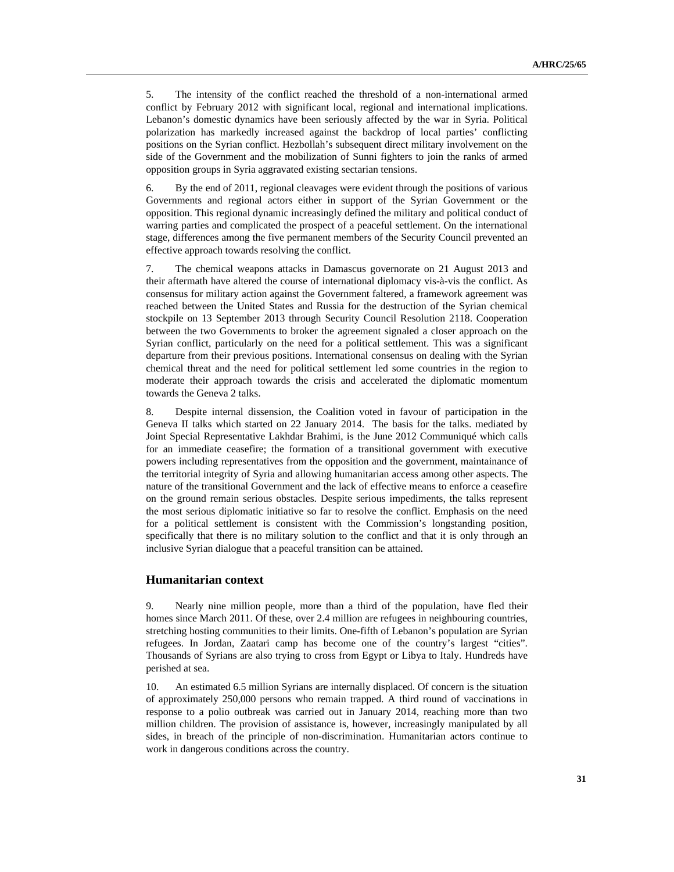5. The intensity of the conflict reached the threshold of a non-international armed conflict by February 2012 with significant local, regional and international implications. Lebanon's domestic dynamics have been seriously affected by the war in Syria. Political polarization has markedly increased against the backdrop of local parties' conflicting positions on the Syrian conflict. Hezbollah's subsequent direct military involvement on the side of the Government and the mobilization of Sunni fighters to join the ranks of armed opposition groups in Syria aggravated existing sectarian tensions.

6. By the end of 2011, regional cleavages were evident through the positions of various Governments and regional actors either in support of the Syrian Government or the opposition. This regional dynamic increasingly defined the military and political conduct of warring parties and complicated the prospect of a peaceful settlement. On the international stage, differences among the five permanent members of the Security Council prevented an effective approach towards resolving the conflict.

7. The chemical weapons attacks in Damascus governorate on 21 August 2013 and their aftermath have altered the course of international diplomacy vis-à-vis the conflict. As consensus for military action against the Government faltered, a framework agreement was reached between the United States and Russia for the destruction of the Syrian chemical stockpile on 13 September 2013 through Security Council Resolution 2118. Cooperation between the two Governments to broker the agreement signaled a closer approach on the Syrian conflict, particularly on the need for a political settlement. This was a significant departure from their previous positions. International consensus on dealing with the Syrian chemical threat and the need for political settlement led some countries in the region to moderate their approach towards the crisis and accelerated the diplomatic momentum towards the Geneva 2 talks.

8. Despite internal dissension, the Coalition voted in favour of participation in the Geneva II talks which started on 22 January 2014. The basis for the talks. mediated by Joint Special Representative Lakhdar Brahimi, is the June 2012 Communiqué which calls for an immediate ceasefire; the formation of a transitional government with executive powers including representatives from the opposition and the government, maintainance of the territorial integrity of Syria and allowing humanitarian access among other aspects. The nature of the transitional Government and the lack of effective means to enforce a ceasefire on the ground remain serious obstacles. Despite serious impediments, the talks represent the most serious diplomatic initiative so far to resolve the conflict. Emphasis on the need for a political settlement is consistent with the Commission's longstanding position, specifically that there is no military solution to the conflict and that it is only through an inclusive Syrian dialogue that a peaceful transition can be attained.

### **Humanitarian context**

9. Nearly nine million people, more than a third of the population, have fled their homes since March 2011. Of these, over 2.4 million are refugees in neighbouring countries, stretching hosting communities to their limits. One-fifth of Lebanon's population are Syrian refugees. In Jordan, Zaatari camp has become one of the country's largest "cities". Thousands of Syrians are also trying to cross from Egypt or Libya to Italy. Hundreds have perished at sea.

10. An estimated 6.5 million Syrians are internally displaced. Of concern is the situation of approximately 250,000 persons who remain trapped. A third round of vaccinations in response to a polio outbreak was carried out in January 2014, reaching more than two million children. The provision of assistance is, however, increasingly manipulated by all sides, in breach of the principle of non-discrimination. Humanitarian actors continue to work in dangerous conditions across the country.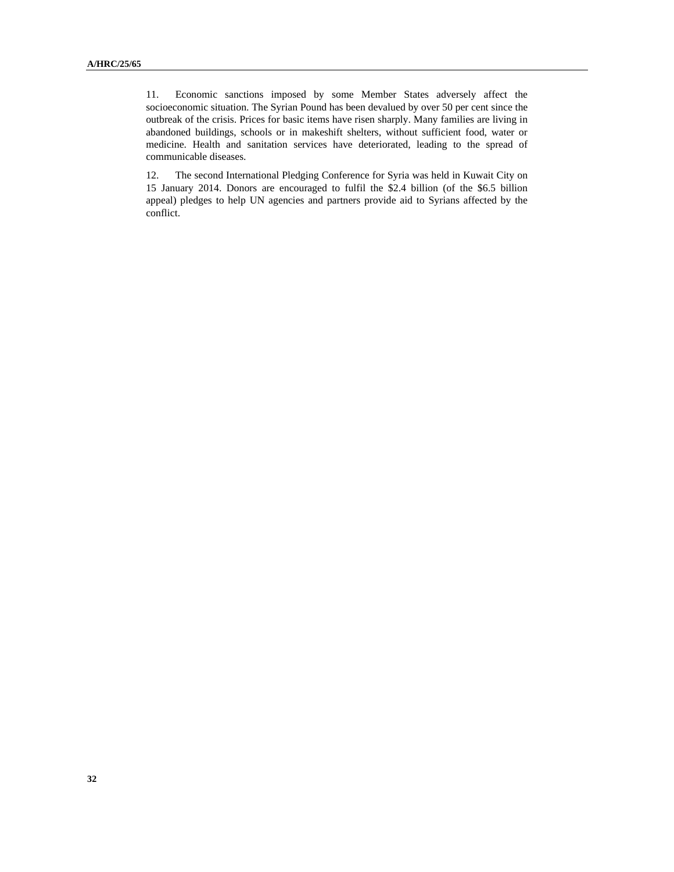11. Economic sanctions imposed by some Member States adversely affect the socioeconomic situation. The Syrian Pound has been devalued by over 50 per cent since the outbreak of the crisis. Prices for basic items have risen sharply. Many families are living in abandoned buildings, schools or in makeshift shelters, without sufficient food, water or medicine. Health and sanitation services have deteriorated, leading to the spread of communicable diseases.

12. The second International Pledging Conference for Syria was held in Kuwait City on 15 January 2014. Donors are encouraged to fulfil the \$2.4 billion (of the \$6.5 billion appeal) pledges to help UN agencies and partners provide aid to Syrians affected by the conflict.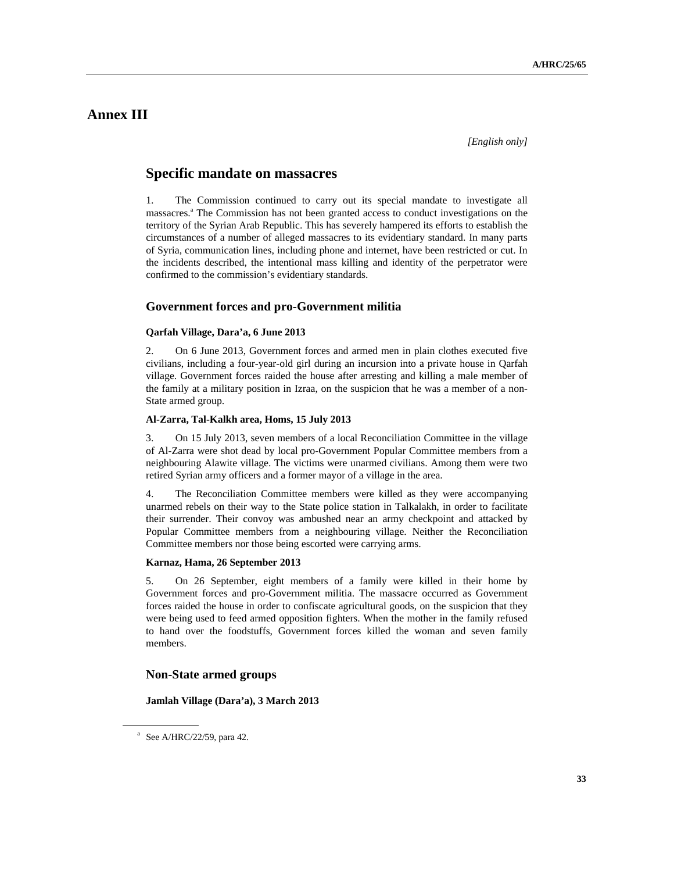## **Annex III**

*[English only]* 

## **Specific mandate on massacres**

1. The Commission continued to carry out its special mandate to investigate all massacres.<sup>a</sup> The Commission has not been granted access to conduct investigations on the territory of the Syrian Arab Republic. This has severely hampered its efforts to establish the circumstances of a number of alleged massacres to its evidentiary standard. In many parts of Syria, communication lines, including phone and internet, have been restricted or cut. In the incidents described, the intentional mass killing and identity of the perpetrator were confirmed to the commission's evidentiary standards.

### **Government forces and pro-Government militia**

### **Qarfah Village, Dara'a, 6 June 2013**

2. On 6 June 2013, Government forces and armed men in plain clothes executed five civilians, including a four-year-old girl during an incursion into a private house in Qarfah village. Government forces raided the house after arresting and killing a male member of the family at a military position in Izraa, on the suspicion that he was a member of a non-State armed group.

### **Al-Zarra, Tal-Kalkh area, Homs, 15 July 2013**

3. On 15 July 2013, seven members of a local Reconciliation Committee in the village of Al-Zarra were shot dead by local pro-Government Popular Committee members from a neighbouring Alawite village. The victims were unarmed civilians. Among them were two retired Syrian army officers and a former mayor of a village in the area.

4. The Reconciliation Committee members were killed as they were accompanying unarmed rebels on their way to the State police station in Talkalakh, in order to facilitate their surrender. Their convoy was ambushed near an army checkpoint and attacked by Popular Committee members from a neighbouring village. Neither the Reconciliation Committee members nor those being escorted were carrying arms.

### **Karnaz, Hama, 26 September 2013**

5. On 26 September, eight members of a family were killed in their home by Government forces and pro-Government militia. The massacre occurred as Government forces raided the house in order to confiscate agricultural goods, on the suspicion that they were being used to feed armed opposition fighters. When the mother in the family refused to hand over the foodstuffs, Government forces killed the woman and seven family members.

## **Non-State armed groups**

**Jamlah Village (Dara'a), 3 March 2013** 

 $\overline{a}$ 

a See A/HRC/22/59, para 42.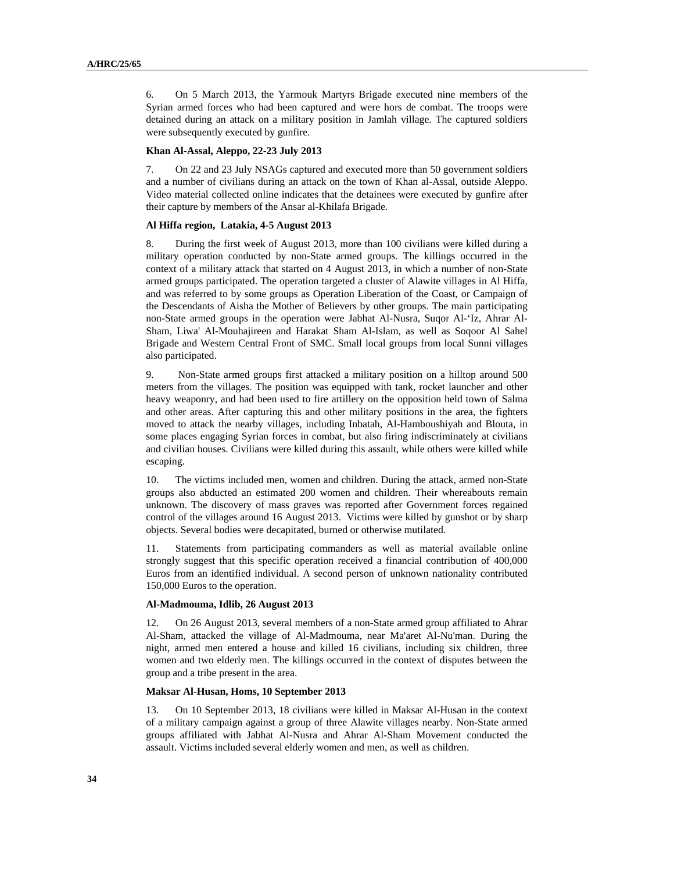6. On 5 March 2013, the Yarmouk Martyrs Brigade executed nine members of the Syrian armed forces who had been captured and were hors de combat. The troops were detained during an attack on a military position in Jamlah village. The captured soldiers were subsequently executed by gunfire.

#### **Khan Al-Assal, Aleppo, 22-23 July 2013**

7. On 22 and 23 July NSAGs captured and executed more than 50 government soldiers and a number of civilians during an attack on the town of Khan al-Assal, outside Aleppo. Video material collected online indicates that the detainees were executed by gunfire after their capture by members of the Ansar al-Khilafa Brigade.

### **Al Hiffa region, Latakia, 4-5 August 2013**

8. During the first week of August 2013, more than 100 civilians were killed during a military operation conducted by non-State armed groups. The killings occurred in the context of a military attack that started on 4 August 2013, in which a number of non-State armed groups participated. The operation targeted a cluster of Alawite villages in Al Hiffa, and was referred to by some groups as Operation Liberation of the Coast, or Campaign of the Descendants of Aisha the Mother of Believers by other groups. The main participating non-State armed groups in the operation were Jabhat Al-Nusra, Suqor Al-'Iz, Ahrar Al-Sham, Liwa' Al-Mouhajireen and Harakat Sham Al-Islam, as well as Soqoor Al Sahel Brigade and Western Central Front of SMC. Small local groups from local Sunni villages also participated.

9. Non-State armed groups first attacked a military position on a hilltop around 500 meters from the villages. The position was equipped with tank, rocket launcher and other heavy weaponry, and had been used to fire artillery on the opposition held town of Salma and other areas. After capturing this and other military positions in the area, the fighters moved to attack the nearby villages, including Inbatah, Al-Hamboushiyah and Blouta, in some places engaging Syrian forces in combat, but also firing indiscriminately at civilians and civilian houses. Civilians were killed during this assault, while others were killed while escaping.

10. The victims included men, women and children. During the attack, armed non-State groups also abducted an estimated 200 women and children. Their whereabouts remain unknown. The discovery of mass graves was reported after Government forces regained control of the villages around 16 August 2013. Victims were killed by gunshot or by sharp objects. Several bodies were decapitated, burned or otherwise mutilated.

11. Statements from participating commanders as well as material available online strongly suggest that this specific operation received a financial contribution of 400,000 Euros from an identified individual. A second person of unknown nationality contributed 150,000 Euros to the operation.

#### **Al-Madmouma, Idlib, 26 August 2013**

12. On 26 August 2013, several members of a non-State armed group affiliated to Ahrar Al-Sham, attacked the village of Al-Madmouma, near Ma'aret Al-Nu'man. During the night, armed men entered a house and killed 16 civilians, including six children, three women and two elderly men. The killings occurred in the context of disputes between the group and a tribe present in the area.

### **Maksar Al-Husan, Homs, 10 September 2013**

13. On 10 September 2013, 18 civilians were killed in Maksar Al-Husan in the context of a military campaign against a group of three Alawite villages nearby. Non-State armed groups affiliated with Jabhat Al-Nusra and Ahrar Al-Sham Movement conducted the assault. Victims included several elderly women and men, as well as children.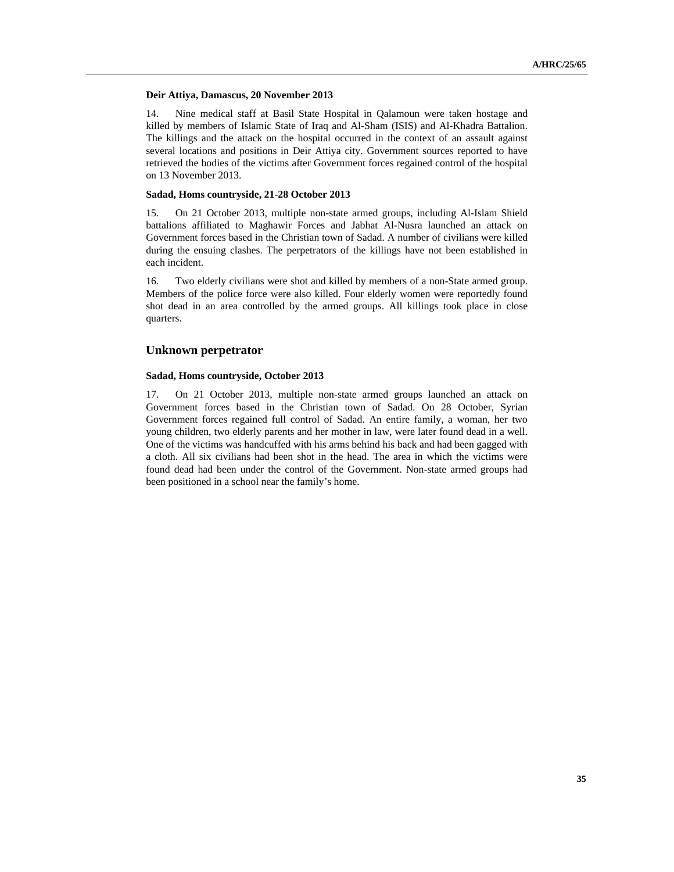#### **Deir Attiya, Damascus, 20 November 2013**

14. Nine medical staff at Basil State Hospital in Qalamoun were taken hostage and killed by members of Islamic State of Iraq and Al-Sham (ISIS) and Al-Khadra Battalion. The killings and the attack on the hospital occurred in the context of an assault against several locations and positions in Deir Attiya city. Government sources reported to have retrieved the bodies of the victims after Government forces regained control of the hospital on 13 November 2013.

### **Sadad, Homs countryside, 21-28 October 2013**

15. On 21 October 2013, multiple non-state armed groups, including Al-Islam Shield battalions affiliated to Maghawir Forces and Jabhat Al-Nusra launched an attack on Government forces based in the Christian town of Sadad. A number of civilians were killed during the ensuing clashes. The perpetrators of the killings have not been established in each incident.

16. Two elderly civilians were shot and killed by members of a non-State armed group. Members of the police force were also killed. Four elderly women were reportedly found shot dead in an area controlled by the armed groups. All killings took place in close quarters.

### **Unknown perpetrator**

### **Sadad, Homs countryside, October 2013**

17. On 21 October 2013, multiple non-state armed groups launched an attack on Government forces based in the Christian town of Sadad. On 28 October, Syrian Government forces regained full control of Sadad. An entire family, a woman, her two young children, two elderly parents and her mother in law, were later found dead in a well. One of the victims was handcuffed with his arms behind his back and had been gagged with a cloth. All six civilians had been shot in the head. The area in which the victims were found dead had been under the control of the Government. Non-state armed groups had been positioned in a school near the family's home.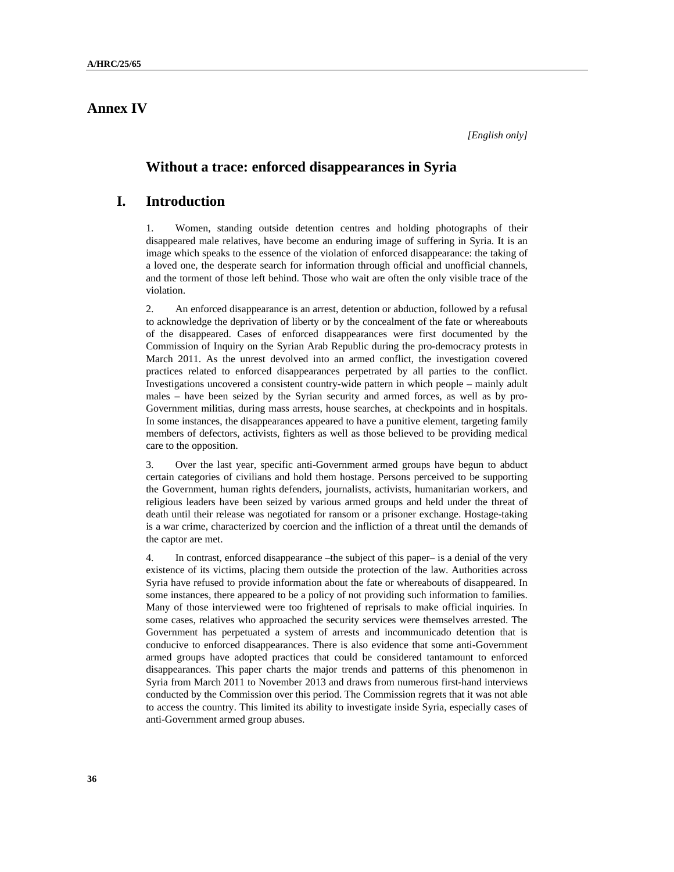## **Annex IV**

## **Without a trace: enforced disappearances in Syria**

## **I. Introduction**

1. Women, standing outside detention centres and holding photographs of their disappeared male relatives, have become an enduring image of suffering in Syria. It is an image which speaks to the essence of the violation of enforced disappearance: the taking of a loved one, the desperate search for information through official and unofficial channels, and the torment of those left behind. Those who wait are often the only visible trace of the violation.

2. An enforced disappearance is an arrest, detention or abduction, followed by a refusal to acknowledge the deprivation of liberty or by the concealment of the fate or whereabouts of the disappeared. Cases of enforced disappearances were first documented by the Commission of Inquiry on the Syrian Arab Republic during the pro-democracy protests in March 2011. As the unrest devolved into an armed conflict, the investigation covered practices related to enforced disappearances perpetrated by all parties to the conflict. Investigations uncovered a consistent country-wide pattern in which people – mainly adult males – have been seized by the Syrian security and armed forces, as well as by pro-Government militias, during mass arrests, house searches, at checkpoints and in hospitals. In some instances, the disappearances appeared to have a punitive element, targeting family members of defectors, activists, fighters as well as those believed to be providing medical care to the opposition.

3. Over the last year, specific anti-Government armed groups have begun to abduct certain categories of civilians and hold them hostage. Persons perceived to be supporting the Government, human rights defenders, journalists, activists, humanitarian workers, and religious leaders have been seized by various armed groups and held under the threat of death until their release was negotiated for ransom or a prisoner exchange. Hostage-taking is a war crime, characterized by coercion and the infliction of a threat until the demands of the captor are met.

4. In contrast, enforced disappearance –the subject of this paper– is a denial of the very existence of its victims, placing them outside the protection of the law. Authorities across Syria have refused to provide information about the fate or whereabouts of disappeared. In some instances, there appeared to be a policy of not providing such information to families. Many of those interviewed were too frightened of reprisals to make official inquiries. In some cases, relatives who approached the security services were themselves arrested. The Government has perpetuated a system of arrests and incommunicado detention that is conducive to enforced disappearances. There is also evidence that some anti-Government armed groups have adopted practices that could be considered tantamount to enforced disappearances. This paper charts the major trends and patterns of this phenomenon in Syria from March 2011 to November 2013 and draws from numerous first-hand interviews conducted by the Commission over this period. The Commission regrets that it was not able to access the country. This limited its ability to investigate inside Syria, especially cases of anti-Government armed group abuses.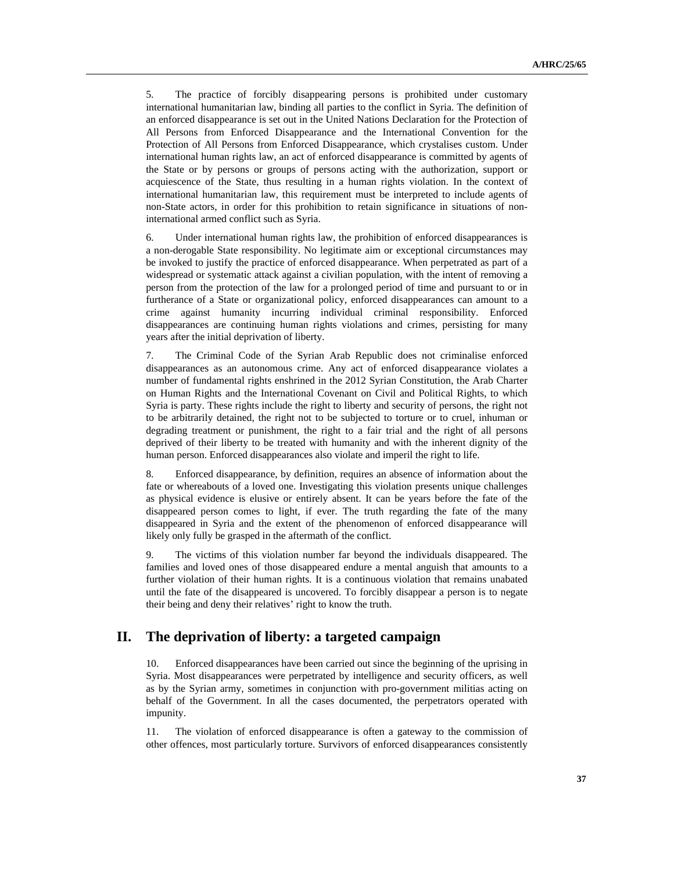5. The practice of forcibly disappearing persons is prohibited under customary international humanitarian law, binding all parties to the conflict in Syria. The definition of an enforced disappearance is set out in the United Nations Declaration for the Protection of All Persons from Enforced Disappearance and the International Convention for the Protection of All Persons from Enforced Disappearance, which crystalises custom. Under international human rights law, an act of enforced disappearance is committed by agents of the State or by persons or groups of persons acting with the authorization, support or acquiescence of the State, thus resulting in a human rights violation. In the context of international humanitarian law, this requirement must be interpreted to include agents of non-State actors, in order for this prohibition to retain significance in situations of noninternational armed conflict such as Syria.

6. Under international human rights law, the prohibition of enforced disappearances is a non-derogable State responsibility. No legitimate aim or exceptional circumstances may be invoked to justify the practice of enforced disappearance. When perpetrated as part of a widespread or systematic attack against a civilian population, with the intent of removing a person from the protection of the law for a prolonged period of time and pursuant to or in furtherance of a State or organizational policy, enforced disappearances can amount to a crime against humanity incurring individual criminal responsibility. Enforced disappearances are continuing human rights violations and crimes, persisting for many years after the initial deprivation of liberty.

7. The Criminal Code of the Syrian Arab Republic does not criminalise enforced disappearances as an autonomous crime. Any act of enforced disappearance violates a number of fundamental rights enshrined in the 2012 Syrian Constitution, the Arab Charter on Human Rights and the International Covenant on Civil and Political Rights, to which Syria is party. These rights include the right to liberty and security of persons, the right not to be arbitrarily detained, the right not to be subjected to torture or to cruel, inhuman or degrading treatment or punishment, the right to a fair trial and the right of all persons deprived of their liberty to be treated with humanity and with the inherent dignity of the human person. Enforced disappearances also violate and imperil the right to life.

8. Enforced disappearance, by definition, requires an absence of information about the fate or whereabouts of a loved one. Investigating this violation presents unique challenges as physical evidence is elusive or entirely absent. It can be years before the fate of the disappeared person comes to light, if ever. The truth regarding the fate of the many disappeared in Syria and the extent of the phenomenon of enforced disappearance will likely only fully be grasped in the aftermath of the conflict.

9. The victims of this violation number far beyond the individuals disappeared. The families and loved ones of those disappeared endure a mental anguish that amounts to a further violation of their human rights. It is a continuous violation that remains unabated until the fate of the disappeared is uncovered. To forcibly disappear a person is to negate their being and deny their relatives' right to know the truth.

## **II. The deprivation of liberty: a targeted campaign**

10. Enforced disappearances have been carried out since the beginning of the uprising in Syria. Most disappearances were perpetrated by intelligence and security officers, as well as by the Syrian army, sometimes in conjunction with pro-government militias acting on behalf of the Government. In all the cases documented, the perpetrators operated with impunity.

11. The violation of enforced disappearance is often a gateway to the commission of other offences, most particularly torture. Survivors of enforced disappearances consistently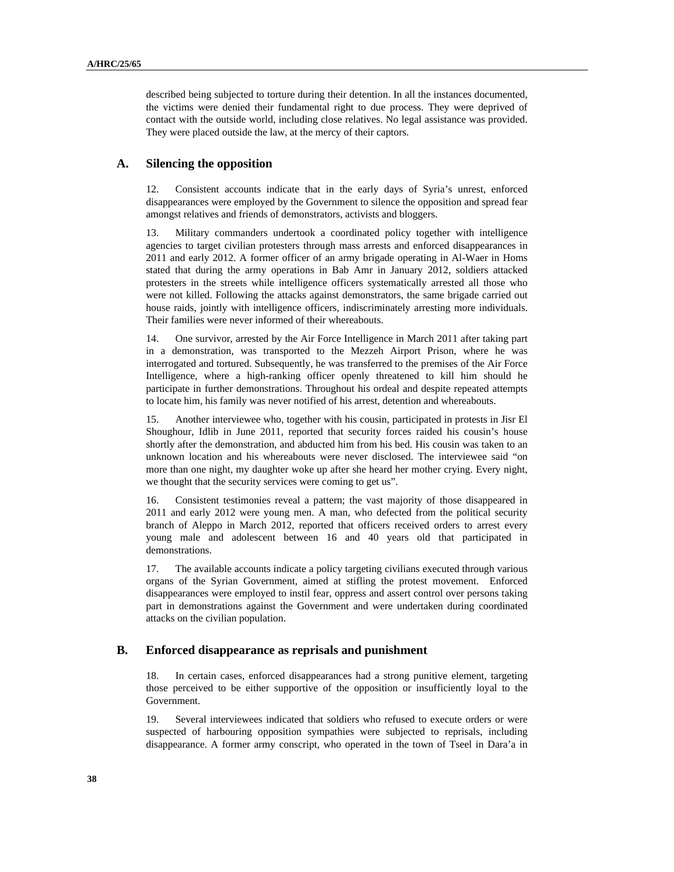described being subjected to torture during their detention. In all the instances documented, the victims were denied their fundamental right to due process. They were deprived of contact with the outside world, including close relatives. No legal assistance was provided. They were placed outside the law, at the mercy of their captors.

## **A. Silencing the opposition**

12. Consistent accounts indicate that in the early days of Syria's unrest, enforced disappearances were employed by the Government to silence the opposition and spread fear amongst relatives and friends of demonstrators, activists and bloggers.

13. Military commanders undertook a coordinated policy together with intelligence agencies to target civilian protesters through mass arrests and enforced disappearances in 2011 and early 2012. A former officer of an army brigade operating in Al-Waer in Homs stated that during the army operations in Bab Amr in January 2012, soldiers attacked protesters in the streets while intelligence officers systematically arrested all those who were not killed. Following the attacks against demonstrators, the same brigade carried out house raids, jointly with intelligence officers, indiscriminately arresting more individuals. Their families were never informed of their whereabouts.

14. One survivor, arrested by the Air Force Intelligence in March 2011 after taking part in a demonstration, was transported to the Mezzeh Airport Prison, where he was interrogated and tortured. Subsequently, he was transferred to the premises of the Air Force Intelligence, where a high-ranking officer openly threatened to kill him should he participate in further demonstrations. Throughout his ordeal and despite repeated attempts to locate him, his family was never notified of his arrest, detention and whereabouts.

15. Another interviewee who, together with his cousin, participated in protests in Jisr El Shoughour, Idlib in June 2011, reported that security forces raided his cousin's house shortly after the demonstration, and abducted him from his bed. His cousin was taken to an unknown location and his whereabouts were never disclosed. The interviewee said "on more than one night, my daughter woke up after she heard her mother crying. Every night, we thought that the security services were coming to get us".

16. Consistent testimonies reveal a pattern; the vast majority of those disappeared in 2011 and early 2012 were young men. A man, who defected from the political security branch of Aleppo in March 2012, reported that officers received orders to arrest every young male and adolescent between 16 and 40 years old that participated in demonstrations.

17. The available accounts indicate a policy targeting civilians executed through various organs of the Syrian Government, aimed at stifling the protest movement. Enforced disappearances were employed to instil fear, oppress and assert control over persons taking part in demonstrations against the Government and were undertaken during coordinated attacks on the civilian population.

## **B. Enforced disappearance as reprisals and punishment**

18. In certain cases, enforced disappearances had a strong punitive element, targeting those perceived to be either supportive of the opposition or insufficiently loyal to the Government.

19. Several interviewees indicated that soldiers who refused to execute orders or were suspected of harbouring opposition sympathies were subjected to reprisals, including disappearance. A former army conscript, who operated in the town of Tseel in Dara'a in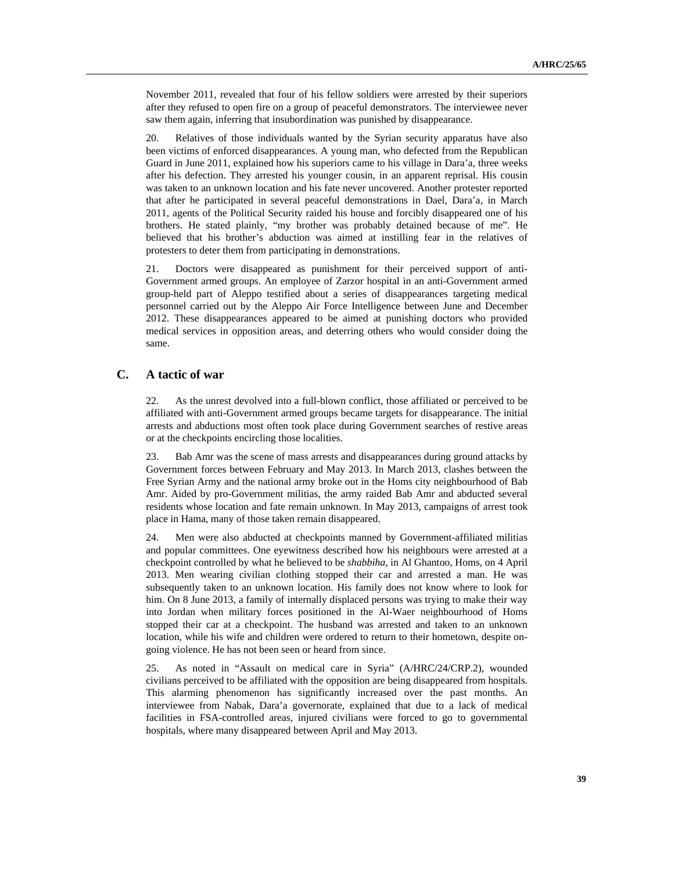November 2011, revealed that four of his fellow soldiers were arrested by their superiors after they refused to open fire on a group of peaceful demonstrators. The interviewee never saw them again, inferring that insubordination was punished by disappearance.

20. Relatives of those individuals wanted by the Syrian security apparatus have also been victims of enforced disappearances. A young man, who defected from the Republican Guard in June 2011, explained how his superiors came to his village in Dara'a, three weeks after his defection. They arrested his younger cousin, in an apparent reprisal. His cousin was taken to an unknown location and his fate never uncovered. Another protester reported that after he participated in several peaceful demonstrations in Dael, Dara'a, in March 2011, agents of the Political Security raided his house and forcibly disappeared one of his brothers. He stated plainly, "my brother was probably detained because of me". He believed that his brother's abduction was aimed at instilling fear in the relatives of protesters to deter them from participating in demonstrations.

21. Doctors were disappeared as punishment for their perceived support of anti-Government armed groups. An employee of Zarzor hospital in an anti-Government armed group-held part of Aleppo testified about a series of disappearances targeting medical personnel carried out by the Aleppo Air Force Intelligence between June and December 2012. These disappearances appeared to be aimed at punishing doctors who provided medical services in opposition areas, and deterring others who would consider doing the same.

## **C. A tactic of war**

22. As the unrest devolved into a full-blown conflict, those affiliated or perceived to be affiliated with anti-Government armed groups became targets for disappearance. The initial arrests and abductions most often took place during Government searches of restive areas or at the checkpoints encircling those localities.

23. Bab Amr was the scene of mass arrests and disappearances during ground attacks by Government forces between February and May 2013. In March 2013, clashes between the Free Syrian Army and the national army broke out in the Homs city neighbourhood of Bab Amr. Aided by pro-Government militias, the army raided Bab Amr and abducted several residents whose location and fate remain unknown. In May 2013, campaigns of arrest took place in Hama, many of those taken remain disappeared.

24. Men were also abducted at checkpoints manned by Government-affiliated militias and popular committees. One eyewitness described how his neighbours were arrested at a checkpoint controlled by what he believed to be *shabbiha*, in Al Ghantoo, Homs, on 4 April 2013. Men wearing civilian clothing stopped their car and arrested a man. He was subsequently taken to an unknown location. His family does not know where to look for him. On 8 June 2013, a family of internally displaced persons was trying to make their way into Jordan when military forces positioned in the Al-Waer neighbourhood of Homs stopped their car at a checkpoint. The husband was arrested and taken to an unknown location, while his wife and children were ordered to return to their hometown, despite ongoing violence. He has not been seen or heard from since.

25. As noted in "Assault on medical care in Syria" (A/HRC/24/CRP.2), wounded civilians perceived to be affiliated with the opposition are being disappeared from hospitals. This alarming phenomenon has significantly increased over the past months. An interviewee from Nabak, Dara'a governorate, explained that due to a lack of medical facilities in FSA-controlled areas, injured civilians were forced to go to governmental hospitals, where many disappeared between April and May 2013.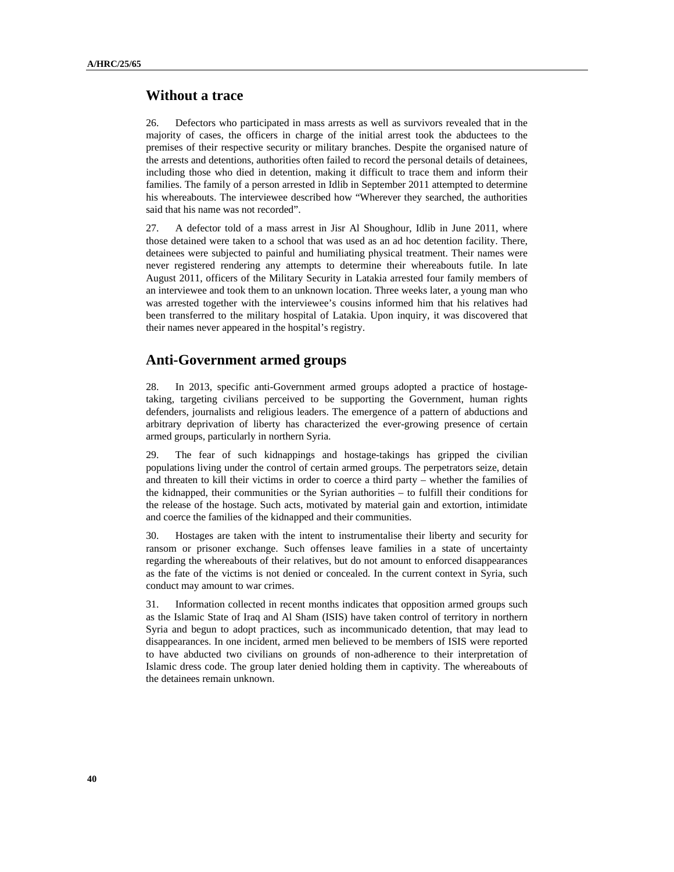## **Without a trace**

26. Defectors who participated in mass arrests as well as survivors revealed that in the majority of cases, the officers in charge of the initial arrest took the abductees to the premises of their respective security or military branches. Despite the organised nature of the arrests and detentions, authorities often failed to record the personal details of detainees, including those who died in detention, making it difficult to trace them and inform their families. The family of a person arrested in Idlib in September 2011 attempted to determine his whereabouts. The interviewee described how "Wherever they searched, the authorities said that his name was not recorded".

27. A defector told of a mass arrest in Jisr Al Shoughour, Idlib in June 2011, where those detained were taken to a school that was used as an ad hoc detention facility. There, detainees were subjected to painful and humiliating physical treatment. Their names were never registered rendering any attempts to determine their whereabouts futile. In late August 2011, officers of the Military Security in Latakia arrested four family members of an interviewee and took them to an unknown location. Three weeks later, a young man who was arrested together with the interviewee's cousins informed him that his relatives had been transferred to the military hospital of Latakia. Upon inquiry, it was discovered that their names never appeared in the hospital's registry.

## **Anti-Government armed groups**

28. In 2013, specific anti-Government armed groups adopted a practice of hostagetaking, targeting civilians perceived to be supporting the Government, human rights defenders, journalists and religious leaders. The emergence of a pattern of abductions and arbitrary deprivation of liberty has characterized the ever-growing presence of certain armed groups, particularly in northern Syria.

29. The fear of such kidnappings and hostage-takings has gripped the civilian populations living under the control of certain armed groups. The perpetrators seize, detain and threaten to kill their victims in order to coerce a third party – whether the families of the kidnapped, their communities or the Syrian authorities – to fulfill their conditions for the release of the hostage. Such acts, motivated by material gain and extortion, intimidate and coerce the families of the kidnapped and their communities.

30. Hostages are taken with the intent to instrumentalise their liberty and security for ransom or prisoner exchange. Such offenses leave families in a state of uncertainty regarding the whereabouts of their relatives, but do not amount to enforced disappearances as the fate of the victims is not denied or concealed. In the current context in Syria, such conduct may amount to war crimes.

31. Information collected in recent months indicates that opposition armed groups such as the Islamic State of Iraq and Al Sham (ISIS) have taken control of territory in northern Syria and begun to adopt practices, such as incommunicado detention, that may lead to disappearances. In one incident, armed men believed to be members of ISIS were reported to have abducted two civilians on grounds of non-adherence to their interpretation of Islamic dress code. The group later denied holding them in captivity. The whereabouts of the detainees remain unknown.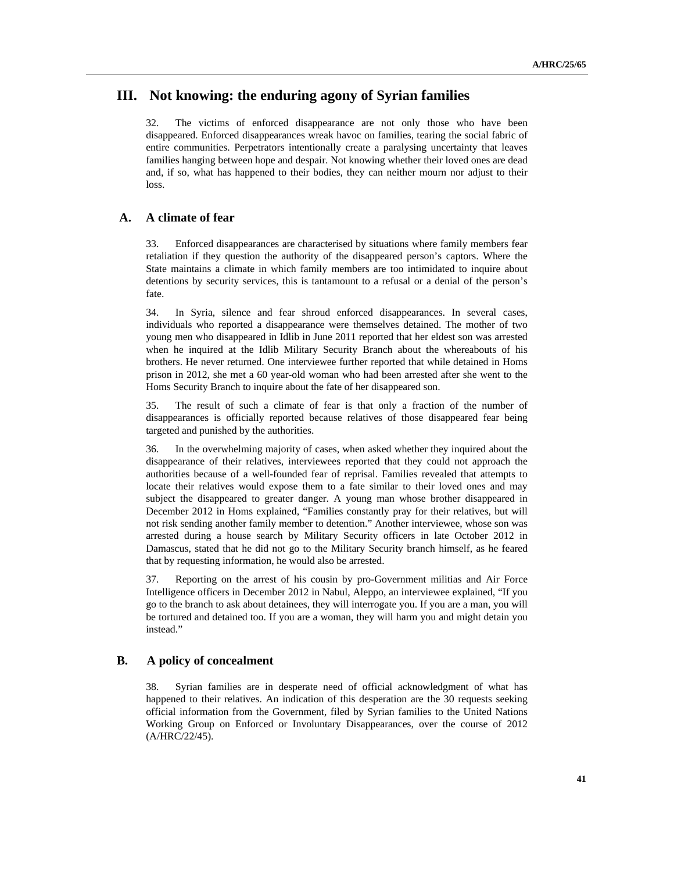## **III. Not knowing: the enduring agony of Syrian families**

32. The victims of enforced disappearance are not only those who have been disappeared. Enforced disappearances wreak havoc on families, tearing the social fabric of entire communities. Perpetrators intentionally create a paralysing uncertainty that leaves families hanging between hope and despair. Not knowing whether their loved ones are dead and, if so, what has happened to their bodies, they can neither mourn nor adjust to their loss.

## **A. A climate of fear**

33. Enforced disappearances are characterised by situations where family members fear retaliation if they question the authority of the disappeared person's captors. Where the State maintains a climate in which family members are too intimidated to inquire about detentions by security services, this is tantamount to a refusal or a denial of the person's fate.

34. In Syria, silence and fear shroud enforced disappearances. In several cases, individuals who reported a disappearance were themselves detained. The mother of two young men who disappeared in Idlib in June 2011 reported that her eldest son was arrested when he inquired at the Idlib Military Security Branch about the whereabouts of his brothers. He never returned. One interviewee further reported that while detained in Homs prison in 2012, she met a 60 year-old woman who had been arrested after she went to the Homs Security Branch to inquire about the fate of her disappeared son.

35. The result of such a climate of fear is that only a fraction of the number of disappearances is officially reported because relatives of those disappeared fear being targeted and punished by the authorities.

36. In the overwhelming majority of cases, when asked whether they inquired about the disappearance of their relatives, interviewees reported that they could not approach the authorities because of a well-founded fear of reprisal. Families revealed that attempts to locate their relatives would expose them to a fate similar to their loved ones and may subject the disappeared to greater danger. A young man whose brother disappeared in December 2012 in Homs explained, "Families constantly pray for their relatives, but will not risk sending another family member to detention." Another interviewee, whose son was arrested during a house search by Military Security officers in late October 2012 in Damascus, stated that he did not go to the Military Security branch himself, as he feared that by requesting information, he would also be arrested.

37. Reporting on the arrest of his cousin by pro-Government militias and Air Force Intelligence officers in December 2012 in Nabul, Aleppo, an interviewee explained, "If you go to the branch to ask about detainees, they will interrogate you. If you are a man, you will be tortured and detained too. If you are a woman, they will harm you and might detain you instead."

## **B. A policy of concealment**

38. Syrian families are in desperate need of official acknowledgment of what has happened to their relatives. An indication of this desperation are the 30 requests seeking official information from the Government, filed by Syrian families to the United Nations Working Group on Enforced or Involuntary Disappearances, over the course of 2012 (A/HRC/22/45).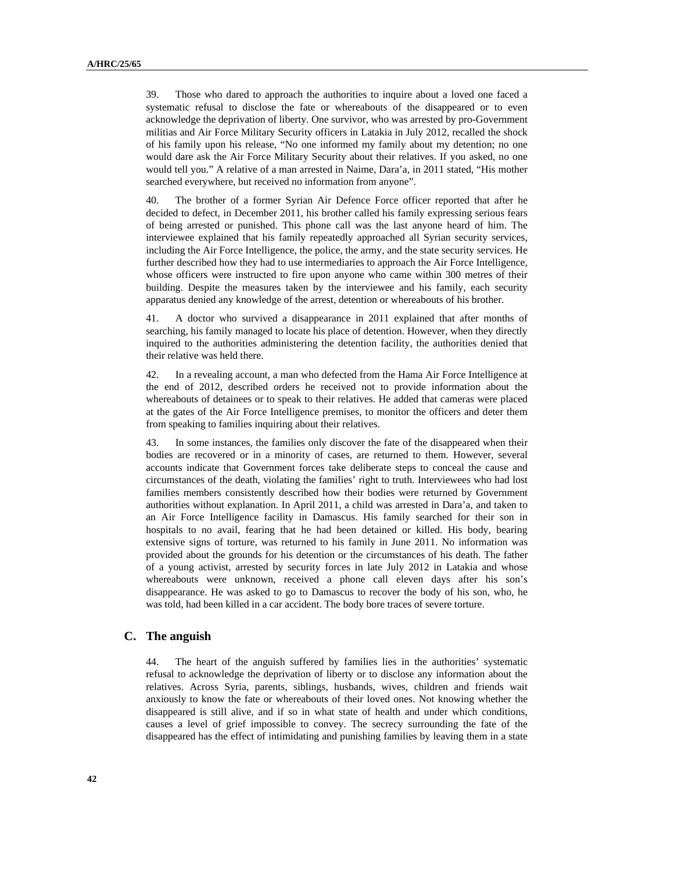39. Those who dared to approach the authorities to inquire about a loved one faced a systematic refusal to disclose the fate or whereabouts of the disappeared or to even acknowledge the deprivation of liberty. One survivor, who was arrested by pro-Government militias and Air Force Military Security officers in Latakia in July 2012, recalled the shock of his family upon his release, "No one informed my family about my detention; no one would dare ask the Air Force Military Security about their relatives. If you asked, no one would tell you." A relative of a man arrested in Naime, Dara'a, in 2011 stated, "His mother searched everywhere, but received no information from anyone".

40. The brother of a former Syrian Air Defence Force officer reported that after he decided to defect, in December 2011, his brother called his family expressing serious fears of being arrested or punished. This phone call was the last anyone heard of him. The interviewee explained that his family repeatedly approached all Syrian security services, including the Air Force Intelligence, the police, the army, and the state security services. He further described how they had to use intermediaries to approach the Air Force Intelligence, whose officers were instructed to fire upon anyone who came within 300 metres of their building. Despite the measures taken by the interviewee and his family, each security apparatus denied any knowledge of the arrest, detention or whereabouts of his brother.

41. A doctor who survived a disappearance in 2011 explained that after months of searching, his family managed to locate his place of detention. However, when they directly inquired to the authorities administering the detention facility, the authorities denied that their relative was held there.

42. In a revealing account, a man who defected from the Hama Air Force Intelligence at the end of 2012, described orders he received not to provide information about the whereabouts of detainees or to speak to their relatives. He added that cameras were placed at the gates of the Air Force Intelligence premises, to monitor the officers and deter them from speaking to families inquiring about their relatives.

43. In some instances, the families only discover the fate of the disappeared when their bodies are recovered or in a minority of cases, are returned to them. However, several accounts indicate that Government forces take deliberate steps to conceal the cause and circumstances of the death, violating the families' right to truth. Interviewees who had lost families members consistently described how their bodies were returned by Government authorities without explanation. In April 2011, a child was arrested in Dara'a, and taken to an Air Force Intelligence facility in Damascus. His family searched for their son in hospitals to no avail, fearing that he had been detained or killed. His body, bearing extensive signs of torture, was returned to his family in June 2011. No information was provided about the grounds for his detention or the circumstances of his death. The father of a young activist, arrested by security forces in late July 2012 in Latakia and whose whereabouts were unknown, received a phone call eleven days after his son's disappearance. He was asked to go to Damascus to recover the body of his son, who, he was told, had been killed in a car accident. The body bore traces of severe torture.

## **C. The anguish**

44. The heart of the anguish suffered by families lies in the authorities' systematic refusal to acknowledge the deprivation of liberty or to disclose any information about the relatives. Across Syria, parents, siblings, husbands, wives, children and friends wait anxiously to know the fate or whereabouts of their loved ones. Not knowing whether the disappeared is still alive, and if so in what state of health and under which conditions, causes a level of grief impossible to convey. The secrecy surrounding the fate of the disappeared has the effect of intimidating and punishing families by leaving them in a state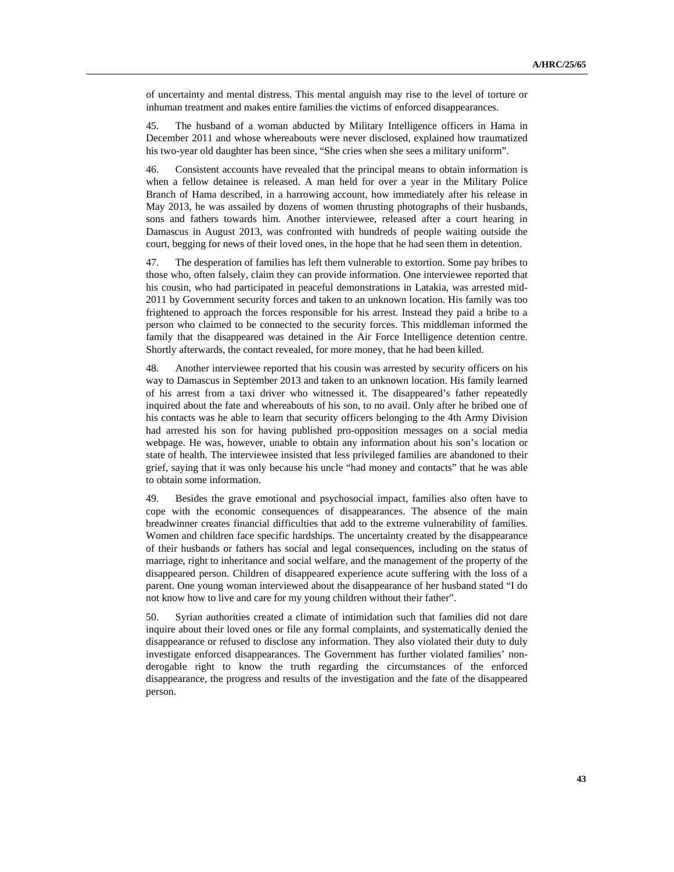of uncertainty and mental distress. This mental anguish may rise to the level of torture or inhuman treatment and makes entire families the victims of enforced disappearances.

45. The husband of a woman abducted by Military Intelligence officers in Hama in December 2011 and whose whereabouts were never disclosed, explained how traumatized his two-year old daughter has been since, "She cries when she sees a military uniform".

46. Consistent accounts have revealed that the principal means to obtain information is when a fellow detainee is released. A man held for over a year in the Military Police Branch of Hama described, in a harrowing account, how immediately after his release in May 2013, he was assailed by dozens of women thrusting photographs of their husbands, sons and fathers towards him. Another interviewee, released after a court hearing in Damascus in August 2013, was confronted with hundreds of people waiting outside the court, begging for news of their loved ones, in the hope that he had seen them in detention.

47. The desperation of families has left them vulnerable to extortion. Some pay bribes to those who, often falsely, claim they can provide information. One interviewee reported that his cousin, who had participated in peaceful demonstrations in Latakia, was arrested mid-2011 by Government security forces and taken to an unknown location. His family was too frightened to approach the forces responsible for his arrest. Instead they paid a bribe to a person who claimed to be connected to the security forces. This middleman informed the family that the disappeared was detained in the Air Force Intelligence detention centre. Shortly afterwards, the contact revealed, for more money, that he had been killed.

48. Another interviewee reported that his cousin was arrested by security officers on his way to Damascus in September 2013 and taken to an unknown location. His family learned of his arrest from a taxi driver who witnessed it. The disappeared's father repeatedly inquired about the fate and whereabouts of his son, to no avail. Only after he bribed one of his contacts was he able to learn that security officers belonging to the 4th Army Division had arrested his son for having published pro-opposition messages on a social media webpage. He was, however, unable to obtain any information about his son's location or state of health. The interviewee insisted that less privileged families are abandoned to their grief, saying that it was only because his uncle "had money and contacts" that he was able to obtain some information.

49. Besides the grave emotional and psychosocial impact, families also often have to cope with the economic consequences of disappearances. The absence of the main breadwinner creates financial difficulties that add to the extreme vulnerability of families. Women and children face specific hardships. The uncertainty created by the disappearance of their husbands or fathers has social and legal consequences, including on the status of marriage, right to inheritance and social welfare, and the management of the property of the disappeared person. Children of disappeared experience acute suffering with the loss of a parent. One young woman interviewed about the disappearance of her husband stated "I do not know how to live and care for my young children without their father".

50. Syrian authorities created a climate of intimidation such that families did not dare inquire about their loved ones or file any formal complaints, and systematically denied the disappearance or refused to disclose any information. They also violated their duty to duly investigate enforced disappearances. The Government has further violated families' nonderogable right to know the truth regarding the circumstances of the enforced disappearance, the progress and results of the investigation and the fate of the disappeared person.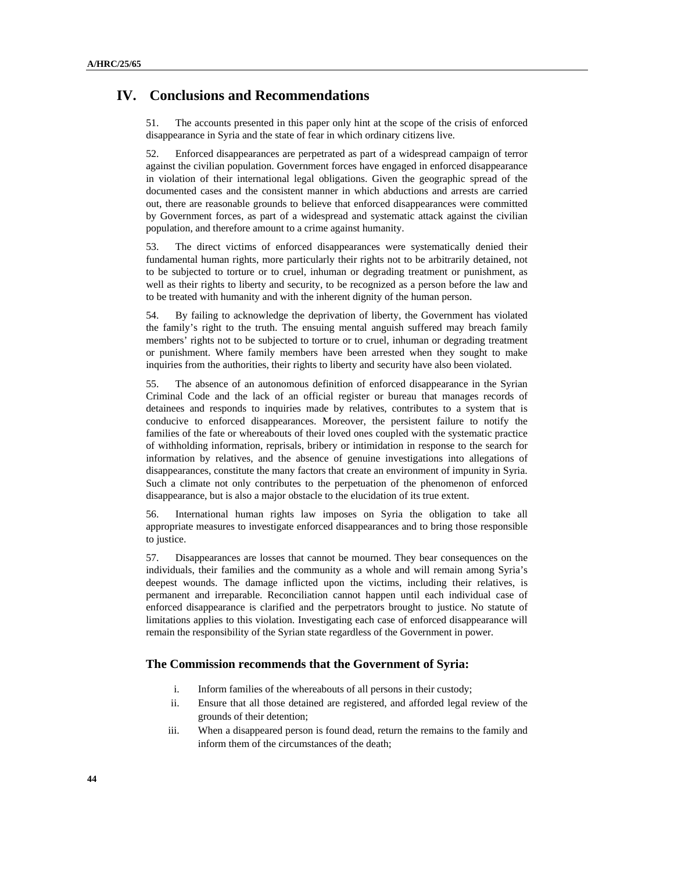## **IV. Conclusions and Recommendations**

51. The accounts presented in this paper only hint at the scope of the crisis of enforced disappearance in Syria and the state of fear in which ordinary citizens live.

52. Enforced disappearances are perpetrated as part of a widespread campaign of terror against the civilian population. Government forces have engaged in enforced disappearance in violation of their international legal obligations. Given the geographic spread of the documented cases and the consistent manner in which abductions and arrests are carried out, there are reasonable grounds to believe that enforced disappearances were committed by Government forces, as part of a widespread and systematic attack against the civilian population, and therefore amount to a crime against humanity.

53. The direct victims of enforced disappearances were systematically denied their fundamental human rights, more particularly their rights not to be arbitrarily detained, not to be subjected to torture or to cruel, inhuman or degrading treatment or punishment, as well as their rights to liberty and security, to be recognized as a person before the law and to be treated with humanity and with the inherent dignity of the human person.

54. By failing to acknowledge the deprivation of liberty, the Government has violated the family's right to the truth. The ensuing mental anguish suffered may breach family members' rights not to be subjected to torture or to cruel, inhuman or degrading treatment or punishment. Where family members have been arrested when they sought to make inquiries from the authorities, their rights to liberty and security have also been violated.

55. The absence of an autonomous definition of enforced disappearance in the Syrian Criminal Code and the lack of an official register or bureau that manages records of detainees and responds to inquiries made by relatives, contributes to a system that is conducive to enforced disappearances. Moreover, the persistent failure to notify the families of the fate or whereabouts of their loved ones coupled with the systematic practice of withholding information, reprisals, bribery or intimidation in response to the search for information by relatives, and the absence of genuine investigations into allegations of disappearances, constitute the many factors that create an environment of impunity in Syria. Such a climate not only contributes to the perpetuation of the phenomenon of enforced disappearance, but is also a major obstacle to the elucidation of its true extent.

56. International human rights law imposes on Syria the obligation to take all appropriate measures to investigate enforced disappearances and to bring those responsible to justice.

57. Disappearances are losses that cannot be mourned. They bear consequences on the individuals, their families and the community as a whole and will remain among Syria's deepest wounds. The damage inflicted upon the victims, including their relatives, is permanent and irreparable. Reconciliation cannot happen until each individual case of enforced disappearance is clarified and the perpetrators brought to justice. No statute of limitations applies to this violation. Investigating each case of enforced disappearance will remain the responsibility of the Syrian state regardless of the Government in power.

### **The Commission recommends that the Government of Syria:**

- i. Inform families of the whereabouts of all persons in their custody;
- ii. Ensure that all those detained are registered, and afforded legal review of the grounds of their detention;
- iii. When a disappeared person is found dead, return the remains to the family and inform them of the circumstances of the death;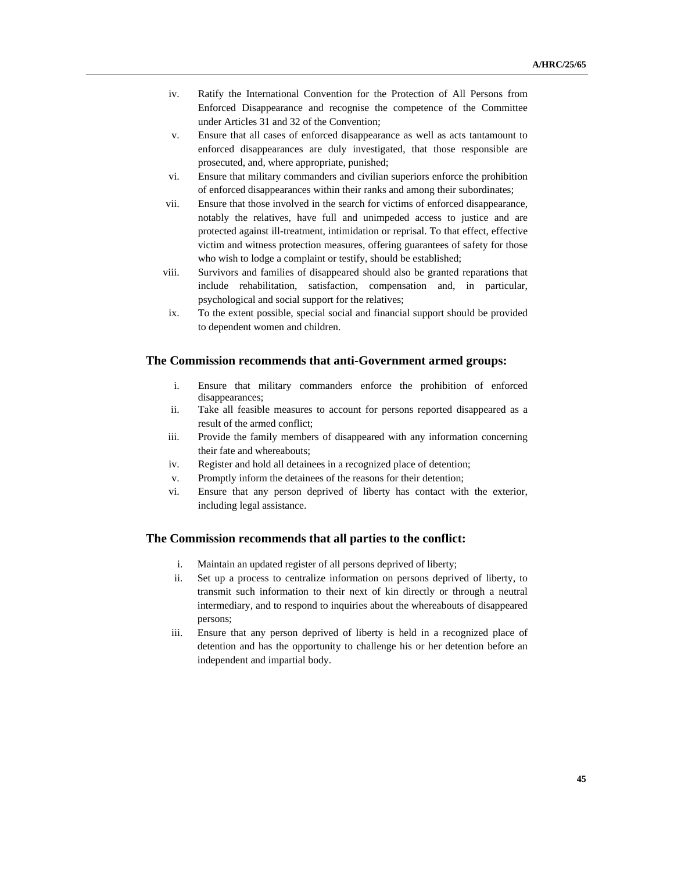- iv. Ratify the International Convention for the Protection of All Persons from Enforced Disappearance and recognise the competence of the Committee under Articles 31 and 32 of the Convention;
- v. Ensure that all cases of enforced disappearance as well as acts tantamount to enforced disappearances are duly investigated, that those responsible are prosecuted, and, where appropriate, punished;
- vi. Ensure that military commanders and civilian superiors enforce the prohibition of enforced disappearances within their ranks and among their subordinates;
- vii. Ensure that those involved in the search for victims of enforced disappearance, notably the relatives, have full and unimpeded access to justice and are protected against ill-treatment, intimidation or reprisal. To that effect, effective victim and witness protection measures, offering guarantees of safety for those who wish to lodge a complaint or testify, should be established;
- viii. Survivors and families of disappeared should also be granted reparations that include rehabilitation, satisfaction, compensation and, in particular, psychological and social support for the relatives;
- ix. To the extent possible, special social and financial support should be provided to dependent women and children.

## **The Commission recommends that anti-Government armed groups:**

- i. Ensure that military commanders enforce the prohibition of enforced disappearances;
- ii. Take all feasible measures to account for persons reported disappeared as a result of the armed conflict;
- iii. Provide the family members of disappeared with any information concerning their fate and whereabouts;
- iv. Register and hold all detainees in a recognized place of detention;
- v. Promptly inform the detainees of the reasons for their detention;
- vi. Ensure that any person deprived of liberty has contact with the exterior, including legal assistance.

## **The Commission recommends that all parties to the conflict:**

- i. Maintain an updated register of all persons deprived of liberty;
- ii. Set up a process to centralize information on persons deprived of liberty, to transmit such information to their next of kin directly or through a neutral intermediary, and to respond to inquiries about the whereabouts of disappeared persons;
- iii. Ensure that any person deprived of liberty is held in a recognized place of detention and has the opportunity to challenge his or her detention before an independent and impartial body.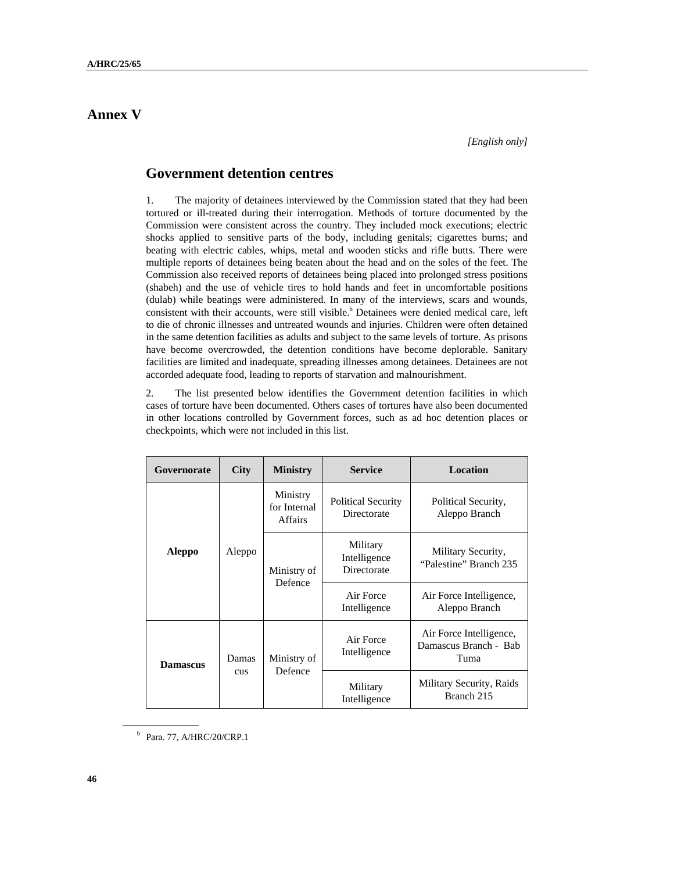## **Annex V**

## **Government detention centres**

1. The majority of detainees interviewed by the Commission stated that they had been tortured or ill-treated during their interrogation. Methods of torture documented by the Commission were consistent across the country. They included mock executions; electric shocks applied to sensitive parts of the body, including genitals; cigarettes burns; and beating with electric cables, whips, metal and wooden sticks and rifle butts. There were multiple reports of detainees being beaten about the head and on the soles of the feet. The Commission also received reports of detainees being placed into prolonged stress positions (shabeh) and the use of vehicle tires to hold hands and feet in uncomfortable positions (dulab) while beatings were administered. In many of the interviews, scars and wounds, consistent with their accounts, were still visible.<sup>b</sup> Detainees were denied medical care, left to die of chronic illnesses and untreated wounds and injuries. Children were often detained in the same detention facilities as adults and subject to the same levels of torture. As prisons have become overcrowded, the detention conditions have become deplorable. Sanitary facilities are limited and inadequate, spreading illnesses among detainees. Detainees are not accorded adequate food, leading to reports of starvation and malnourishment.

2. The list presented below identifies the Government detention facilities in which cases of torture have been documented. Others cases of tortures have also been documented in other locations controlled by Government forces, such as ad hoc detention places or checkpoints, which were not included in this list.

| Governorate     | <b>City</b>  | <b>Ministry</b>                            | <b>Service</b>                           | Location                                                 |
|-----------------|--------------|--------------------------------------------|------------------------------------------|----------------------------------------------------------|
|                 |              | Ministry<br>for Internal<br><b>Affairs</b> | <b>Political Security</b><br>Directorate | Political Security,<br>Aleppo Branch                     |
| <b>Aleppo</b>   | Aleppo       | Ministry of<br>Defence                     | Military<br>Intelligence<br>Directorate  | Military Security,<br>"Palestine" Branch 235             |
|                 |              |                                            | Air Force<br>Intelligence                | Air Force Intelligence,<br>Aleppo Branch                 |
| <b>Damascus</b> | Damas<br>cus | Ministry of<br>Defence                     | Air Force<br>Intelligence                | Air Force Intelligence,<br>Damascus Branch - Bab<br>Tuma |
|                 |              |                                            | Military<br>Intelligence                 | Military Security, Raids<br>Branch 215                   |

b Para. 77, A/HRC/20/CRP.1

 $\overline{a}$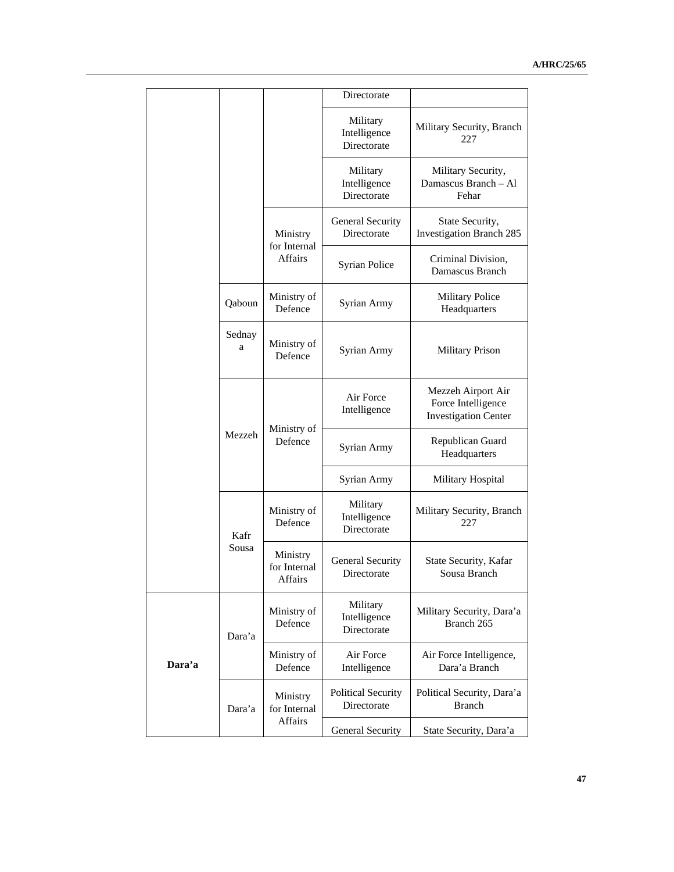|        |                  |                                     | Directorate                              |                                                                         |
|--------|------------------|-------------------------------------|------------------------------------------|-------------------------------------------------------------------------|
|        |                  |                                     | Military<br>Intelligence<br>Directorate  | Military Security, Branch<br>227                                        |
|        |                  |                                     | Military<br>Intelligence<br>Directorate  | Military Security,<br>Damascus Branch - Al<br>Fehar                     |
|        |                  | Ministry                            | General Security<br>Directorate          | State Security,<br><b>Investigation Branch 285</b>                      |
|        |                  | for Internal<br><b>Affairs</b>      | Syrian Police                            | Criminal Division,<br>Damascus Branch                                   |
|        | Qaboun           | Ministry of<br>Defence              | Syrian Army                              | <b>Military Police</b><br>Headquarters                                  |
|        | Sednay<br>a      | Ministry of<br>Defence              | Syrian Army                              | Military Prison                                                         |
|        | Mezzeh           | Ministry of<br>Defence              | Air Force<br>Intelligence                | Mezzeh Airport Air<br>Force Intelligence<br><b>Investigation Center</b> |
|        |                  |                                     | Syrian Army                              | Republican Guard<br>Headquarters                                        |
|        |                  |                                     | Syrian Army                              | Military Hospital                                                       |
|        | Kafr<br>Sousa    | Ministry of<br>Defence              | Military<br>Intelligence<br>Directorate  | Military Security, Branch<br>227                                        |
|        |                  | Ministry<br>for Internal<br>Affairs | General Security<br>Directorate          | State Security, Kafar<br>Sousa Branch                                   |
|        | Dara'a<br>Dara'a | Ministry of<br>Defence              | Military<br>Intelligence<br>Directorate  | Military Security, Dara'a<br>Branch 265                                 |
| Dara'a |                  | Ministry of<br>Defence              | Air Force<br>Intelligence                | Air Force Intelligence,<br>Dara'a Branch                                |
|        |                  | Ministry<br>for Internal<br>Affairs | <b>Political Security</b><br>Directorate | Political Security, Dara'a<br><b>Branch</b>                             |
|        |                  |                                     | <b>General Security</b>                  | State Security, Dara'a                                                  |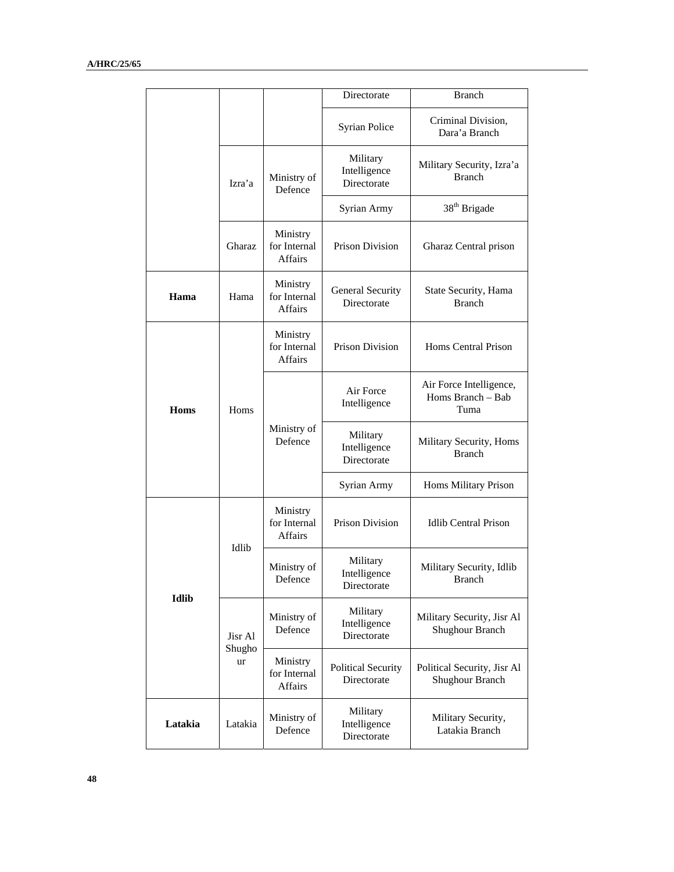|              |              |                                            | Directorate                              | <b>Branch</b>                                         |
|--------------|--------------|--------------------------------------------|------------------------------------------|-------------------------------------------------------|
|              |              |                                            | <b>Syrian Police</b>                     | Criminal Division,<br>Dara'a Branch                   |
|              | Izra'a       | Ministry of<br>Defence                     | Military<br>Intelligence<br>Directorate  | Military Security, Izra'a<br><b>Branch</b>            |
|              |              |                                            | Syrian Army                              | 38 <sup>th</sup> Brigade                              |
|              | Gharaz       | Ministry<br>for Internal<br><b>Affairs</b> | <b>Prison Division</b>                   | Gharaz Central prison                                 |
| Hama         | Hama         | Ministry<br>for Internal<br><b>Affairs</b> | General Security<br>Directorate          | State Security, Hama<br><b>Branch</b>                 |
|              | Homs         | Ministry<br>for Internal<br>Affairs        | <b>Prison Division</b>                   | Homs Central Prison                                   |
| Homs         |              | Ministry of<br>Defence                     | Air Force<br>Intelligence                | Air Force Intelligence,<br>Homs Branch - Bab<br>Tuma  |
|              |              |                                            | Military<br>Intelligence<br>Directorate  | Military Security, Homs<br><b>Branch</b>              |
|              |              |                                            | Syrian Army                              | Homs Military Prison                                  |
|              | Idlib        | Ministry<br>for Internal<br>Affairs        | Prison Division                          | <b>Idlib Central Prison</b>                           |
| <b>Idlib</b> |              | Ministry of<br>Defence                     | Military<br>Intelligence<br>Directorate  | Military Security, Idlib<br><b>Branch</b>             |
|              | Jisr Al      | Ministry of<br>Defence                     | Military<br>Intelligence<br>Directorate  | Military Security, Jisr Al<br><b>Shughour Branch</b>  |
|              | Shugho<br>ur | Ministry<br>for Internal<br>Affairs        | <b>Political Security</b><br>Directorate | Political Security, Jisr Al<br><b>Shughour Branch</b> |
| Latakia      | Latakia      | Ministry of<br>Defence                     | Military<br>Intelligence<br>Directorate  | Military Security,<br>Latakia Branch                  |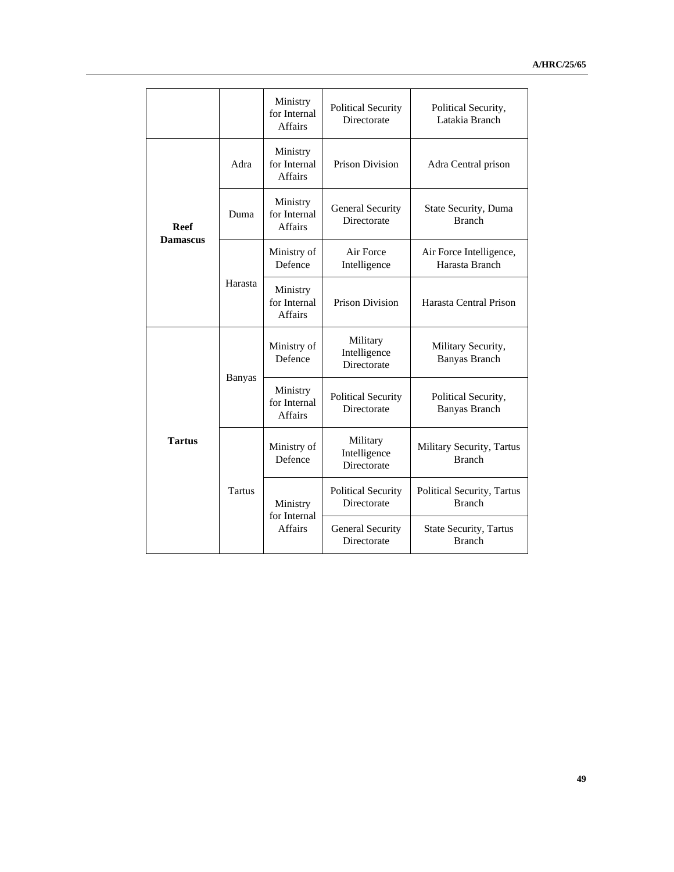|                 |               | Ministry<br>for Internal<br><b>Affairs</b> | <b>Political Security</b><br>Directorate | Political Security,<br>Latakia Branch          |
|-----------------|---------------|--------------------------------------------|------------------------------------------|------------------------------------------------|
|                 | Adra          | Ministry<br>for Internal<br>Affairs        | Prison Division                          | Adra Central prison                            |
| Reef            | Duma          | Ministry<br>for Internal<br><b>Affairs</b> | General Security<br>Directorate          | State Security, Duma<br><b>Branch</b>          |
| <b>Damascus</b> |               | Ministry of<br>Defence                     | Air Force<br>Intelligence                | Air Force Intelligence,<br>Harasta Branch      |
|                 | Harasta       | Ministry<br>for Internal<br><b>Affairs</b> | <b>Prison Division</b>                   | Harasta Central Prison                         |
|                 |               | Ministry of<br>Defence                     | Military<br>Intelligence<br>Directorate  | Military Security,<br><b>Banyas Branch</b>     |
|                 | <b>Banyas</b> | Ministry<br>for Internal<br>Affairs        | <b>Political Security</b><br>Directorate | Political Security,<br><b>Banyas Branch</b>    |
| Tartus          | Tartus        | Ministry of<br>Defence                     | Military<br>Intelligence<br>Directorate  | Military Security, Tartus<br><b>Branch</b>     |
|                 |               | Ministry<br>for Internal<br><b>Affairs</b> | <b>Political Security</b><br>Directorate | Political Security, Tartus<br><b>Branch</b>    |
|                 |               |                                            | <b>General Security</b><br>Directorate   | <b>State Security, Tartus</b><br><b>Branch</b> |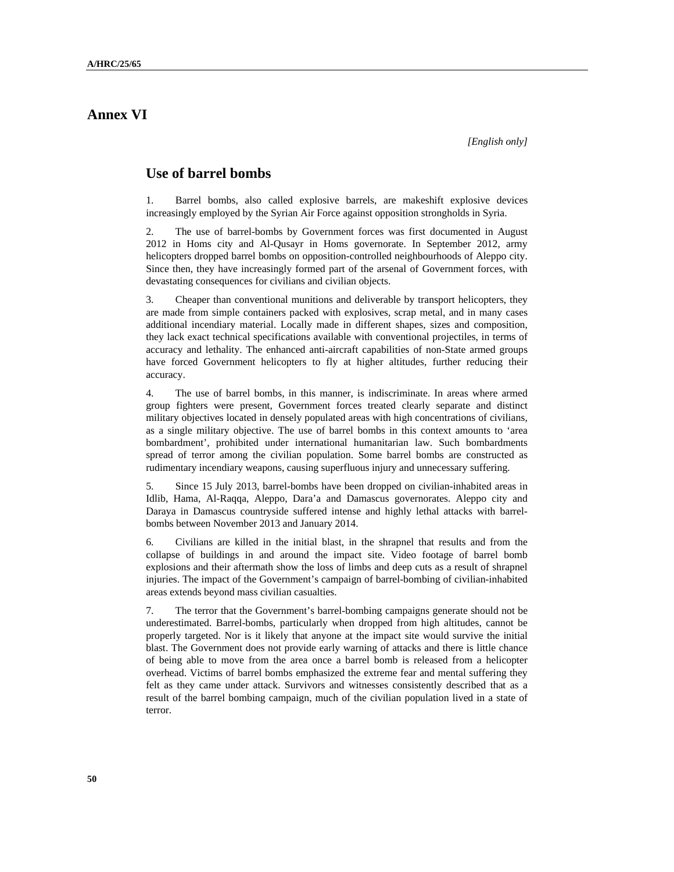## **Annex VI**

## **Use of barrel bombs**

1. Barrel bombs, also called explosive barrels, are makeshift explosive devices increasingly employed by the Syrian Air Force against opposition strongholds in Syria.

2. The use of barrel-bombs by Government forces was first documented in August 2012 in Homs city and Al-Qusayr in Homs governorate. In September 2012, army helicopters dropped barrel bombs on opposition-controlled neighbourhoods of Aleppo city. Since then, they have increasingly formed part of the arsenal of Government forces, with devastating consequences for civilians and civilian objects.

3. Cheaper than conventional munitions and deliverable by transport helicopters, they are made from simple containers packed with explosives, scrap metal, and in many cases additional incendiary material. Locally made in different shapes, sizes and composition, they lack exact technical specifications available with conventional projectiles, in terms of accuracy and lethality. The enhanced anti-aircraft capabilities of non-State armed groups have forced Government helicopters to fly at higher altitudes, further reducing their accuracy.

4. The use of barrel bombs, in this manner, is indiscriminate. In areas where armed group fighters were present, Government forces treated clearly separate and distinct military objectives located in densely populated areas with high concentrations of civilians, as a single military objective. The use of barrel bombs in this context amounts to 'area bombardment', prohibited under international humanitarian law. Such bombardments spread of terror among the civilian population. Some barrel bombs are constructed as rudimentary incendiary weapons, causing superfluous injury and unnecessary suffering.

5. Since 15 July 2013, barrel-bombs have been dropped on civilian-inhabited areas in Idlib, Hama, Al-Raqqa, Aleppo, Dara'a and Damascus governorates. Aleppo city and Daraya in Damascus countryside suffered intense and highly lethal attacks with barrelbombs between November 2013 and January 2014.

6. Civilians are killed in the initial blast, in the shrapnel that results and from the collapse of buildings in and around the impact site. Video footage of barrel bomb explosions and their aftermath show the loss of limbs and deep cuts as a result of shrapnel injuries. The impact of the Government's campaign of barrel-bombing of civilian-inhabited areas extends beyond mass civilian casualties.

7. The terror that the Government's barrel-bombing campaigns generate should not be underestimated. Barrel-bombs, particularly when dropped from high altitudes, cannot be properly targeted. Nor is it likely that anyone at the impact site would survive the initial blast. The Government does not provide early warning of attacks and there is little chance of being able to move from the area once a barrel bomb is released from a helicopter overhead. Victims of barrel bombs emphasized the extreme fear and mental suffering they felt as they came under attack. Survivors and witnesses consistently described that as a result of the barrel bombing campaign, much of the civilian population lived in a state of terror.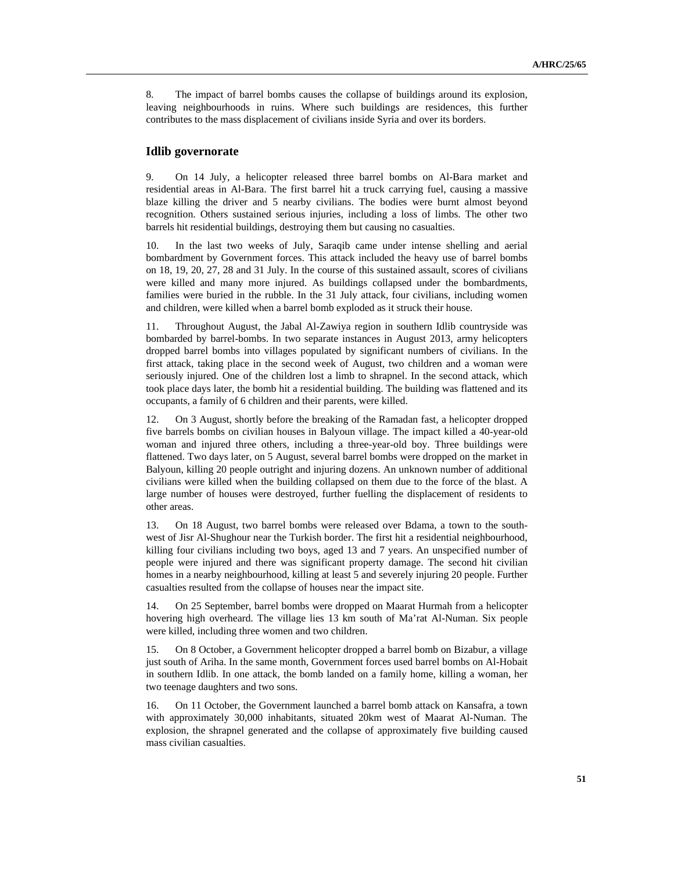8. The impact of barrel bombs causes the collapse of buildings around its explosion, leaving neighbourhoods in ruins. Where such buildings are residences, this further contributes to the mass displacement of civilians inside Syria and over its borders.

### **Idlib governorate**

9. On 14 July, a helicopter released three barrel bombs on Al-Bara market and residential areas in Al-Bara. The first barrel hit a truck carrying fuel, causing a massive blaze killing the driver and 5 nearby civilians. The bodies were burnt almost beyond recognition. Others sustained serious injuries, including a loss of limbs. The other two barrels hit residential buildings, destroying them but causing no casualties.

10. In the last two weeks of July, Saraqib came under intense shelling and aerial bombardment by Government forces. This attack included the heavy use of barrel bombs on 18, 19, 20, 27, 28 and 31 July. In the course of this sustained assault, scores of civilians were killed and many more injured. As buildings collapsed under the bombardments, families were buried in the rubble. In the 31 July attack, four civilians, including women and children, were killed when a barrel bomb exploded as it struck their house.

11. Throughout August, the Jabal Al-Zawiya region in southern Idlib countryside was bombarded by barrel-bombs. In two separate instances in August 2013, army helicopters dropped barrel bombs into villages populated by significant numbers of civilians. In the first attack, taking place in the second week of August, two children and a woman were seriously injured. One of the children lost a limb to shrapnel. In the second attack, which took place days later, the bomb hit a residential building. The building was flattened and its occupants, a family of 6 children and their parents, were killed.

12. On 3 August, shortly before the breaking of the Ramadan fast, a helicopter dropped five barrels bombs on civilian houses in Balyoun village. The impact killed a 40-year-old woman and injured three others, including a three-year-old boy. Three buildings were flattened. Two days later, on 5 August, several barrel bombs were dropped on the market in Balyoun, killing 20 people outright and injuring dozens. An unknown number of additional civilians were killed when the building collapsed on them due to the force of the blast. A large number of houses were destroyed, further fuelling the displacement of residents to other areas.

13. On 18 August, two barrel bombs were released over Bdama, a town to the southwest of Jisr Al-Shughour near the Turkish border. The first hit a residential neighbourhood, killing four civilians including two boys, aged 13 and 7 years. An unspecified number of people were injured and there was significant property damage. The second hit civilian homes in a nearby neighbourhood, killing at least 5 and severely injuring 20 people. Further casualties resulted from the collapse of houses near the impact site.

14. On 25 September, barrel bombs were dropped on Maarat Hurmah from a helicopter hovering high overheard. The village lies 13 km south of Ma'rat Al-Numan. Six people were killed, including three women and two children.

15. On 8 October, a Government helicopter dropped a barrel bomb on Bizabur, a village just south of Ariha. In the same month, Government forces used barrel bombs on Al-Hobait in southern Idlib. In one attack, the bomb landed on a family home, killing a woman, her two teenage daughters and two sons.

16. On 11 October, the Government launched a barrel bomb attack on Kansafra, a town with approximately 30,000 inhabitants, situated 20km west of Maarat Al-Numan. The explosion, the shrapnel generated and the collapse of approximately five building caused mass civilian casualties.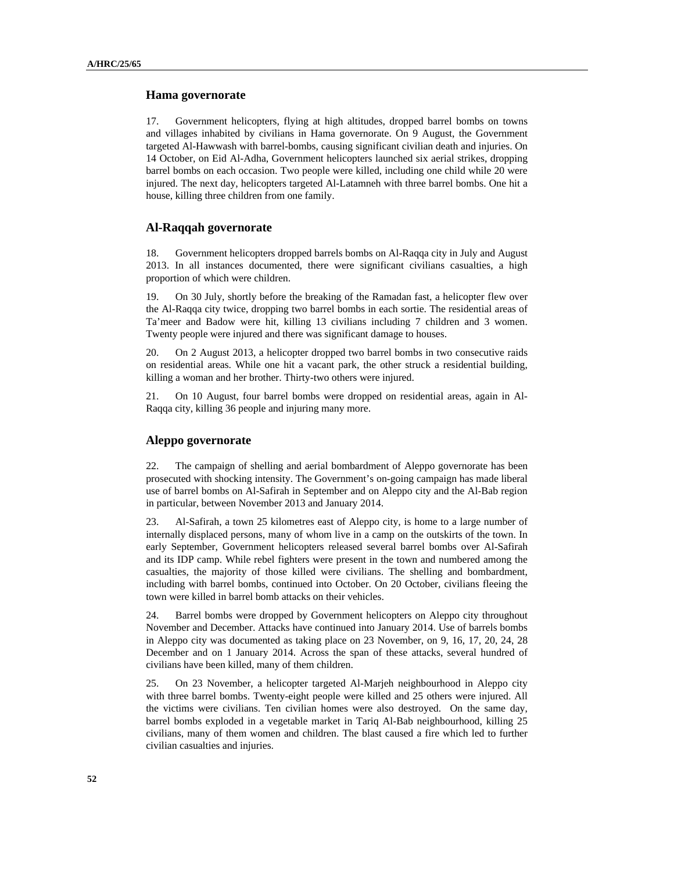#### **Hama governorate**

17. Government helicopters, flying at high altitudes, dropped barrel bombs on towns and villages inhabited by civilians in Hama governorate. On 9 August, the Government targeted Al-Hawwash with barrel-bombs, causing significant civilian death and injuries. On 14 October, on Eid Al-Adha, Government helicopters launched six aerial strikes, dropping barrel bombs on each occasion. Two people were killed, including one child while 20 were injured. The next day, helicopters targeted Al-Latamneh with three barrel bombs. One hit a house, killing three children from one family.

### **Al-Raqqah governorate**

18. Government helicopters dropped barrels bombs on Al-Raqqa city in July and August 2013. In all instances documented, there were significant civilians casualties, a high proportion of which were children.

19. On 30 July, shortly before the breaking of the Ramadan fast, a helicopter flew over the Al-Raqqa city twice, dropping two barrel bombs in each sortie. The residential areas of Ta'meer and Badow were hit, killing 13 civilians including 7 children and 3 women. Twenty people were injured and there was significant damage to houses.

20. On 2 August 2013, a helicopter dropped two barrel bombs in two consecutive raids on residential areas. While one hit a vacant park, the other struck a residential building, killing a woman and her brother. Thirty-two others were injured.

21. On 10 August, four barrel bombs were dropped on residential areas, again in Al-Raqqa city, killing 36 people and injuring many more.

### **Aleppo governorate**

22. The campaign of shelling and aerial bombardment of Aleppo governorate has been prosecuted with shocking intensity. The Government's on-going campaign has made liberal use of barrel bombs on Al-Safirah in September and on Aleppo city and the Al-Bab region in particular, between November 2013 and January 2014.

23. Al-Safirah, a town 25 kilometres east of Aleppo city, is home to a large number of internally displaced persons, many of whom live in a camp on the outskirts of the town. In early September, Government helicopters released several barrel bombs over Al-Safirah and its IDP camp. While rebel fighters were present in the town and numbered among the casualties, the majority of those killed were civilians. The shelling and bombardment, including with barrel bombs, continued into October. On 20 October, civilians fleeing the town were killed in barrel bomb attacks on their vehicles.

24. Barrel bombs were dropped by Government helicopters on Aleppo city throughout November and December. Attacks have continued into January 2014. Use of barrels bombs in Aleppo city was documented as taking place on 23 November, on 9, 16, 17, 20, 24, 28 December and on 1 January 2014. Across the span of these attacks, several hundred of civilians have been killed, many of them children.

25. On 23 November, a helicopter targeted Al-Marjeh neighbourhood in Aleppo city with three barrel bombs. Twenty-eight people were killed and 25 others were injured. All the victims were civilians. Ten civilian homes were also destroyed. On the same day, barrel bombs exploded in a vegetable market in Tariq Al-Bab neighbourhood, killing 25 civilians, many of them women and children. The blast caused a fire which led to further civilian casualties and injuries.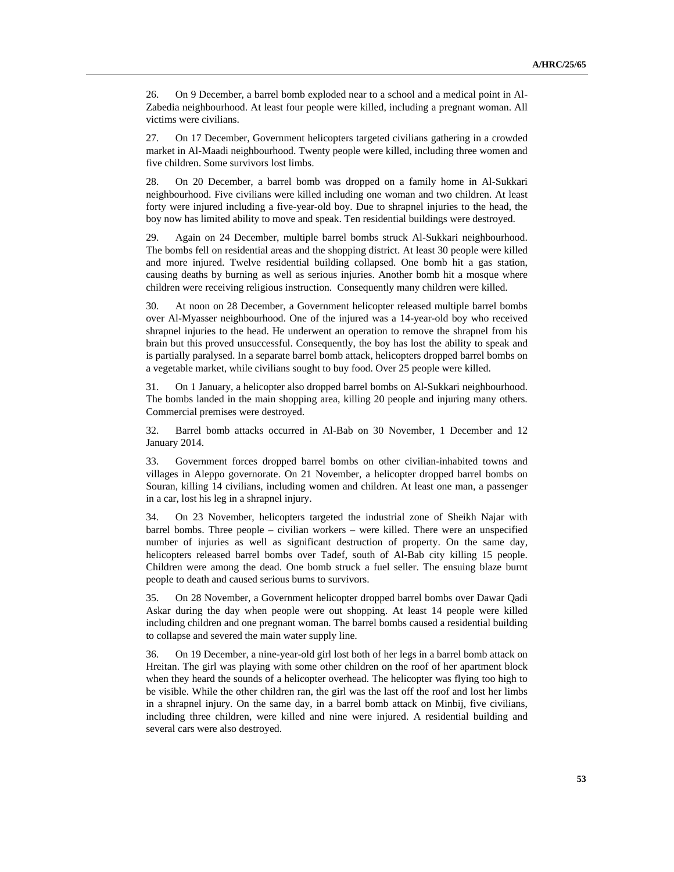26. On 9 December, a barrel bomb exploded near to a school and a medical point in Al-Zabedia neighbourhood. At least four people were killed, including a pregnant woman. All victims were civilians.

27. On 17 December, Government helicopters targeted civilians gathering in a crowded market in Al-Maadi neighbourhood. Twenty people were killed, including three women and five children. Some survivors lost limbs.

28. On 20 December, a barrel bomb was dropped on a family home in Al-Sukkari neighbourhood. Five civilians were killed including one woman and two children. At least forty were injured including a five-year-old boy. Due to shrapnel injuries to the head, the boy now has limited ability to move and speak. Ten residential buildings were destroyed.

29. Again on 24 December, multiple barrel bombs struck Al-Sukkari neighbourhood. The bombs fell on residential areas and the shopping district. At least 30 people were killed and more injured. Twelve residential building collapsed. One bomb hit a gas station, causing deaths by burning as well as serious injuries. Another bomb hit a mosque where children were receiving religious instruction. Consequently many children were killed.

30. At noon on 28 December, a Government helicopter released multiple barrel bombs over Al-Myasser neighbourhood. One of the injured was a 14-year-old boy who received shrapnel injuries to the head. He underwent an operation to remove the shrapnel from his brain but this proved unsuccessful. Consequently, the boy has lost the ability to speak and is partially paralysed. In a separate barrel bomb attack, helicopters dropped barrel bombs on a vegetable market, while civilians sought to buy food. Over 25 people were killed.

31. On 1 January, a helicopter also dropped barrel bombs on Al-Sukkari neighbourhood. The bombs landed in the main shopping area, killing 20 people and injuring many others. Commercial premises were destroyed.

32. Barrel bomb attacks occurred in Al-Bab on 30 November, 1 December and 12 January 2014.

33. Government forces dropped barrel bombs on other civilian-inhabited towns and villages in Aleppo governorate. On 21 November, a helicopter dropped barrel bombs on Souran, killing 14 civilians, including women and children. At least one man, a passenger in a car, lost his leg in a shrapnel injury.

34. On 23 November, helicopters targeted the industrial zone of Sheikh Najar with barrel bombs. Three people – civilian workers – were killed. There were an unspecified number of injuries as well as significant destruction of property. On the same day, helicopters released barrel bombs over Tadef, south of Al-Bab city killing 15 people. Children were among the dead. One bomb struck a fuel seller. The ensuing blaze burnt people to death and caused serious burns to survivors.

35. On 28 November, a Government helicopter dropped barrel bombs over Dawar Qadi Askar during the day when people were out shopping. At least 14 people were killed including children and one pregnant woman. The barrel bombs caused a residential building to collapse and severed the main water supply line.

36. On 19 December, a nine-year-old girl lost both of her legs in a barrel bomb attack on Hreitan. The girl was playing with some other children on the roof of her apartment block when they heard the sounds of a helicopter overhead. The helicopter was flying too high to be visible. While the other children ran, the girl was the last off the roof and lost her limbs in a shrapnel injury. On the same day, in a barrel bomb attack on Minbij, five civilians, including three children, were killed and nine were injured. A residential building and several cars were also destroyed.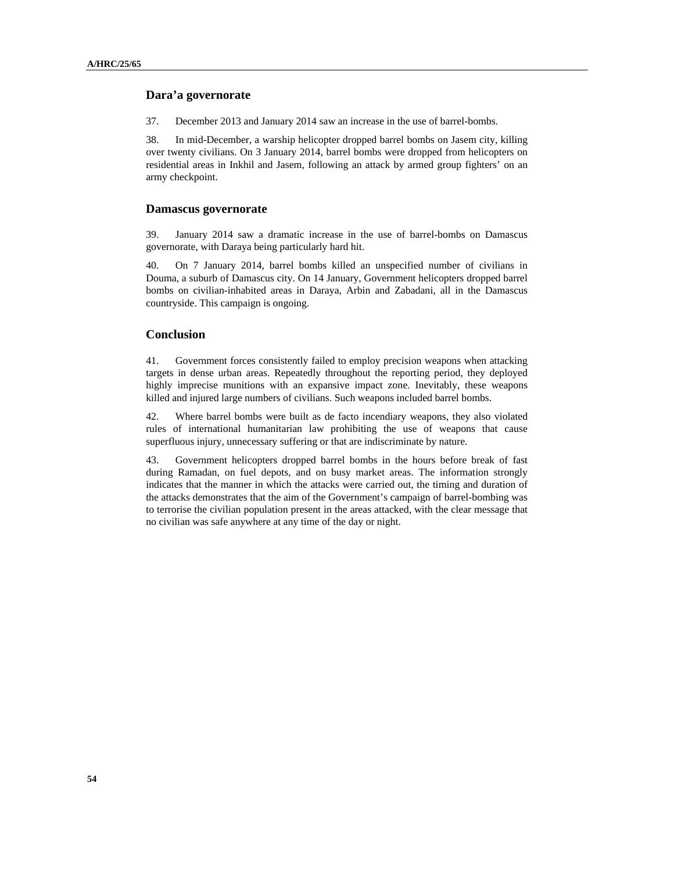### **Dara'a governorate**

37. December 2013 and January 2014 saw an increase in the use of barrel-bombs.

38. In mid-December, a warship helicopter dropped barrel bombs on Jasem city, killing over twenty civilians. On 3 January 2014, barrel bombs were dropped from helicopters on residential areas in Inkhil and Jasem, following an attack by armed group fighters' on an army checkpoint.

#### **Damascus governorate**

39. January 2014 saw a dramatic increase in the use of barrel-bombs on Damascus governorate, with Daraya being particularly hard hit.

40. On 7 January 2014, barrel bombs killed an unspecified number of civilians in Douma, a suburb of Damascus city. On 14 January, Government helicopters dropped barrel bombs on civilian-inhabited areas in Daraya, Arbin and Zabadani, all in the Damascus countryside. This campaign is ongoing.

### **Conclusion**

41. Government forces consistently failed to employ precision weapons when attacking targets in dense urban areas. Repeatedly throughout the reporting period, they deployed highly imprecise munitions with an expansive impact zone. Inevitably, these weapons killed and injured large numbers of civilians. Such weapons included barrel bombs.

42. Where barrel bombs were built as de facto incendiary weapons, they also violated rules of international humanitarian law prohibiting the use of weapons that cause superfluous injury, unnecessary suffering or that are indiscriminate by nature.

43. Government helicopters dropped barrel bombs in the hours before break of fast during Ramadan, on fuel depots, and on busy market areas. The information strongly indicates that the manner in which the attacks were carried out, the timing and duration of the attacks demonstrates that the aim of the Government's campaign of barrel-bombing was to terrorise the civilian population present in the areas attacked, with the clear message that no civilian was safe anywhere at any time of the day or night.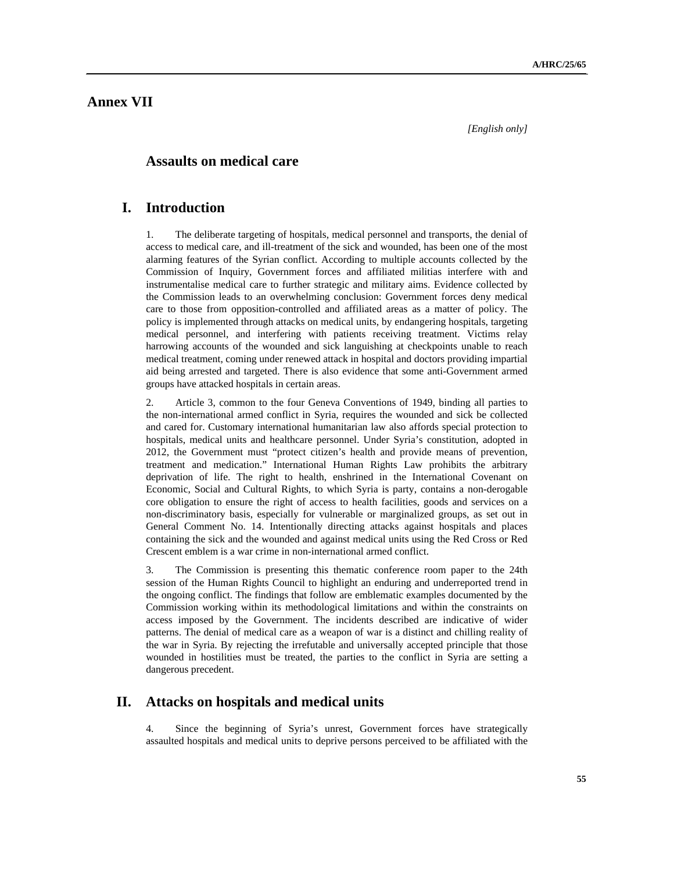**Annex VII** 

*[English only]* 

## **Assaults on medical care**

## **I. Introduction**

1. The deliberate targeting of hospitals, medical personnel and transports, the denial of access to medical care, and ill-treatment of the sick and wounded, has been one of the most alarming features of the Syrian conflict. According to multiple accounts collected by the Commission of Inquiry, Government forces and affiliated militias interfere with and instrumentalise medical care to further strategic and military aims. Evidence collected by the Commission leads to an overwhelming conclusion: Government forces deny medical care to those from opposition-controlled and affiliated areas as a matter of policy. The policy is implemented through attacks on medical units, by endangering hospitals, targeting medical personnel, and interfering with patients receiving treatment. Victims relay harrowing accounts of the wounded and sick languishing at checkpoints unable to reach medical treatment, coming under renewed attack in hospital and doctors providing impartial aid being arrested and targeted. There is also evidence that some anti-Government armed groups have attacked hospitals in certain areas.

2. Article 3, common to the four Geneva Conventions of 1949, binding all parties to the non-international armed conflict in Syria, requires the wounded and sick be collected and cared for. Customary international humanitarian law also affords special protection to hospitals, medical units and healthcare personnel. Under Syria's constitution, adopted in 2012, the Government must "protect citizen's health and provide means of prevention, treatment and medication." International Human Rights Law prohibits the arbitrary deprivation of life. The right to health, enshrined in the International Covenant on Economic, Social and Cultural Rights, to which Syria is party, contains a non-derogable core obligation to ensure the right of access to health facilities, goods and services on a non-discriminatory basis, especially for vulnerable or marginalized groups, as set out in General Comment No. 14. Intentionally directing attacks against hospitals and places containing the sick and the wounded and against medical units using the Red Cross or Red Crescent emblem is a war crime in non-international armed conflict.

3. The Commission is presenting this thematic conference room paper to the 24th session of the Human Rights Council to highlight an enduring and underreported trend in the ongoing conflict. The findings that follow are emblematic examples documented by the Commission working within its methodological limitations and within the constraints on access imposed by the Government. The incidents described are indicative of wider patterns. The denial of medical care as a weapon of war is a distinct and chilling reality of the war in Syria. By rejecting the irrefutable and universally accepted principle that those wounded in hostilities must be treated, the parties to the conflict in Syria are setting a dangerous precedent.

## **II. Attacks on hospitals and medical units**

4. Since the beginning of Syria's unrest, Government forces have strategically assaulted hospitals and medical units to deprive persons perceived to be affiliated with the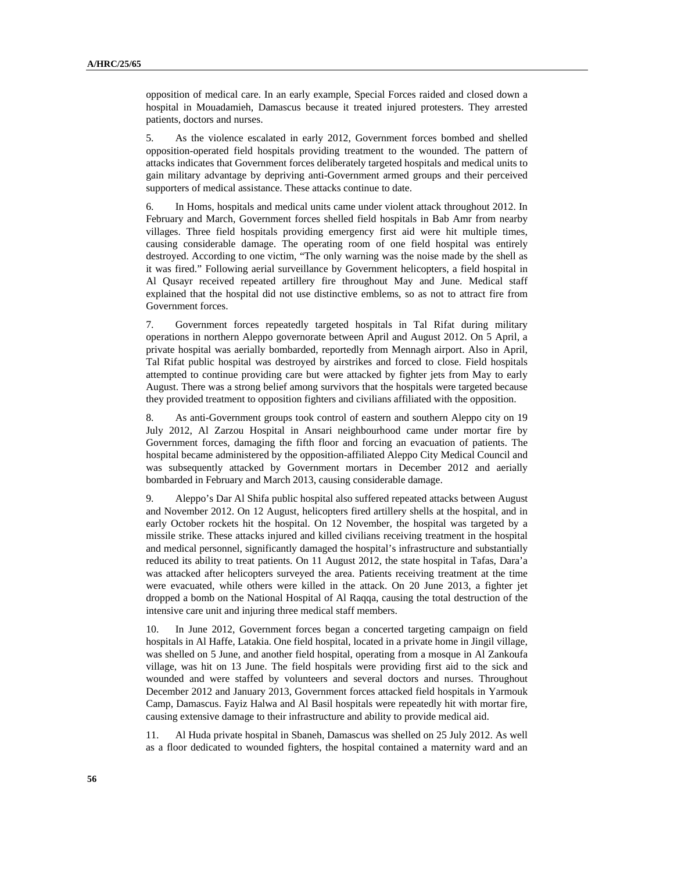opposition of medical care. In an early example, Special Forces raided and closed down a hospital in Mouadamieh, Damascus because it treated injured protesters. They arrested patients, doctors and nurses.

5. As the violence escalated in early 2012, Government forces bombed and shelled opposition-operated field hospitals providing treatment to the wounded. The pattern of attacks indicates that Government forces deliberately targeted hospitals and medical units to gain military advantage by depriving anti-Government armed groups and their perceived supporters of medical assistance. These attacks continue to date.

6. In Homs, hospitals and medical units came under violent attack throughout 2012. In February and March, Government forces shelled field hospitals in Bab Amr from nearby villages. Three field hospitals providing emergency first aid were hit multiple times, causing considerable damage. The operating room of one field hospital was entirely destroyed. According to one victim, "The only warning was the noise made by the shell as it was fired." Following aerial surveillance by Government helicopters, a field hospital in Al Qusayr received repeated artillery fire throughout May and June. Medical staff explained that the hospital did not use distinctive emblems, so as not to attract fire from Government forces.

7. Government forces repeatedly targeted hospitals in Tal Rifat during military operations in northern Aleppo governorate between April and August 2012. On 5 April, a private hospital was aerially bombarded, reportedly from Mennagh airport. Also in April, Tal Rifat public hospital was destroyed by airstrikes and forced to close. Field hospitals attempted to continue providing care but were attacked by fighter jets from May to early August. There was a strong belief among survivors that the hospitals were targeted because they provided treatment to opposition fighters and civilians affiliated with the opposition.

8. As anti-Government groups took control of eastern and southern Aleppo city on 19 July 2012, Al Zarzou Hospital in Ansari neighbourhood came under mortar fire by Government forces, damaging the fifth floor and forcing an evacuation of patients. The hospital became administered by the opposition-affiliated Aleppo City Medical Council and was subsequently attacked by Government mortars in December 2012 and aerially bombarded in February and March 2013, causing considerable damage.

9. Aleppo's Dar Al Shifa public hospital also suffered repeated attacks between August and November 2012. On 12 August, helicopters fired artillery shells at the hospital, and in early October rockets hit the hospital. On 12 November, the hospital was targeted by a missile strike. These attacks injured and killed civilians receiving treatment in the hospital and medical personnel, significantly damaged the hospital's infrastructure and substantially reduced its ability to treat patients. On 11 August 2012, the state hospital in Tafas, Dara'a was attacked after helicopters surveyed the area. Patients receiving treatment at the time were evacuated, while others were killed in the attack. On 20 June 2013, a fighter jet dropped a bomb on the National Hospital of Al Raqqa, causing the total destruction of the intensive care unit and injuring three medical staff members.

10. In June 2012, Government forces began a concerted targeting campaign on field hospitals in Al Haffe, Latakia. One field hospital, located in a private home in Jingil village, was shelled on 5 June, and another field hospital, operating from a mosque in Al Zankoufa village, was hit on 13 June. The field hospitals were providing first aid to the sick and wounded and were staffed by volunteers and several doctors and nurses. Throughout December 2012 and January 2013, Government forces attacked field hospitals in Yarmouk Camp, Damascus. Fayiz Halwa and Al Basil hospitals were repeatedly hit with mortar fire, causing extensive damage to their infrastructure and ability to provide medical aid.

11. Al Huda private hospital in Sbaneh, Damascus was shelled on 25 July 2012. As well as a floor dedicated to wounded fighters, the hospital contained a maternity ward and an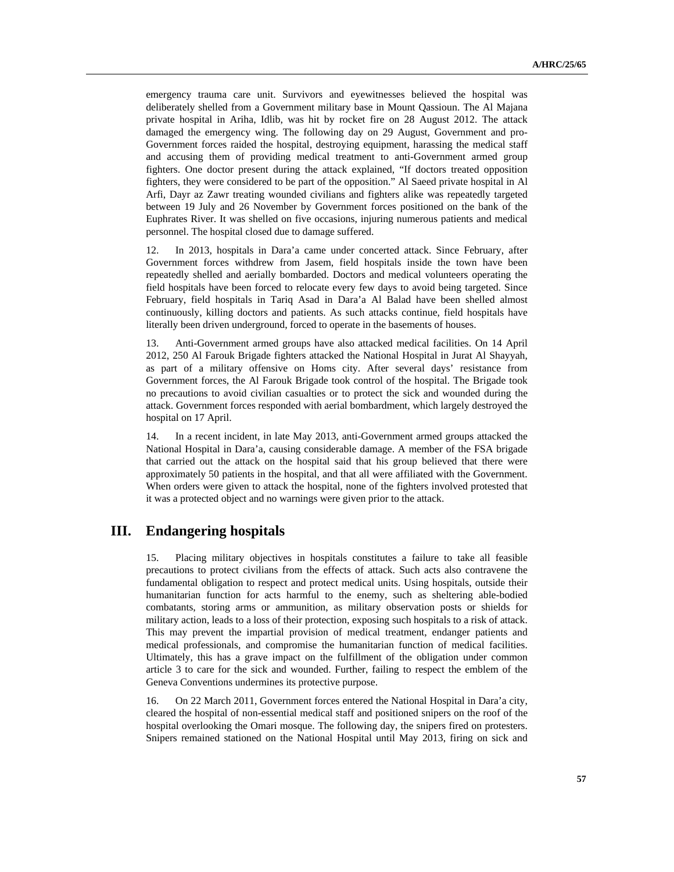emergency trauma care unit. Survivors and eyewitnesses believed the hospital was deliberately shelled from a Government military base in Mount Qassioun. The Al Majana private hospital in Ariha, Idlib, was hit by rocket fire on 28 August 2012. The attack damaged the emergency wing. The following day on 29 August, Government and pro-Government forces raided the hospital, destroying equipment, harassing the medical staff and accusing them of providing medical treatment to anti-Government armed group fighters. One doctor present during the attack explained, "If doctors treated opposition fighters, they were considered to be part of the opposition." Al Saeed private hospital in Al Arfi, Dayr az Zawr treating wounded civilians and fighters alike was repeatedly targeted between 19 July and 26 November by Government forces positioned on the bank of the Euphrates River. It was shelled on five occasions, injuring numerous patients and medical personnel. The hospital closed due to damage suffered.

12. In 2013, hospitals in Dara'a came under concerted attack. Since February, after Government forces withdrew from Jasem, field hospitals inside the town have been repeatedly shelled and aerially bombarded. Doctors and medical volunteers operating the field hospitals have been forced to relocate every few days to avoid being targeted. Since February, field hospitals in Tariq Asad in Dara'a Al Balad have been shelled almost continuously, killing doctors and patients. As such attacks continue, field hospitals have literally been driven underground, forced to operate in the basements of houses.

13. Anti-Government armed groups have also attacked medical facilities. On 14 April 2012, 250 Al Farouk Brigade fighters attacked the National Hospital in Jurat Al Shayyah, as part of a military offensive on Homs city. After several days' resistance from Government forces, the Al Farouk Brigade took control of the hospital. The Brigade took no precautions to avoid civilian casualties or to protect the sick and wounded during the attack. Government forces responded with aerial bombardment, which largely destroyed the hospital on 17 April.

14. In a recent incident, in late May 2013, anti-Government armed groups attacked the National Hospital in Dara'a, causing considerable damage. A member of the FSA brigade that carried out the attack on the hospital said that his group believed that there were approximately 50 patients in the hospital, and that all were affiliated with the Government. When orders were given to attack the hospital, none of the fighters involved protested that it was a protected object and no warnings were given prior to the attack.

## **III. Endangering hospitals**

15. Placing military objectives in hospitals constitutes a failure to take all feasible precautions to protect civilians from the effects of attack. Such acts also contravene the fundamental obligation to respect and protect medical units. Using hospitals, outside their humanitarian function for acts harmful to the enemy, such as sheltering able-bodied combatants, storing arms or ammunition, as military observation posts or shields for military action, leads to a loss of their protection, exposing such hospitals to a risk of attack. This may prevent the impartial provision of medical treatment, endanger patients and medical professionals, and compromise the humanitarian function of medical facilities. Ultimately, this has a grave impact on the fulfillment of the obligation under common article 3 to care for the sick and wounded. Further, failing to respect the emblem of the Geneva Conventions undermines its protective purpose.

16. On 22 March 2011, Government forces entered the National Hospital in Dara'a city, cleared the hospital of non-essential medical staff and positioned snipers on the roof of the hospital overlooking the Omari mosque. The following day, the snipers fired on protesters. Snipers remained stationed on the National Hospital until May 2013, firing on sick and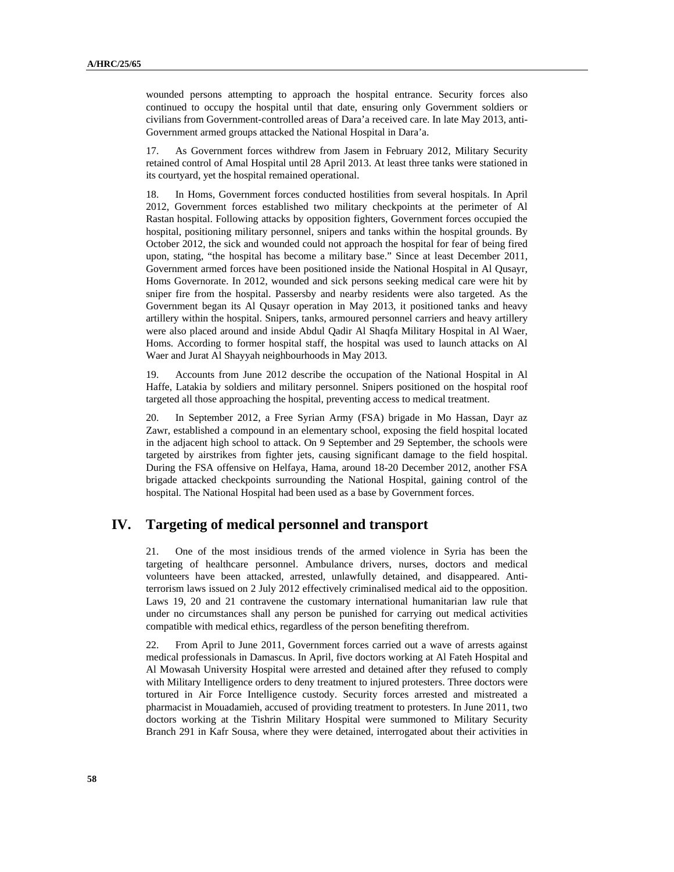wounded persons attempting to approach the hospital entrance. Security forces also continued to occupy the hospital until that date, ensuring only Government soldiers or civilians from Government-controlled areas of Dara'a received care. In late May 2013, anti-Government armed groups attacked the National Hospital in Dara'a.

17. As Government forces withdrew from Jasem in February 2012, Military Security retained control of Amal Hospital until 28 April 2013. At least three tanks were stationed in its courtyard, yet the hospital remained operational.

18. In Homs, Government forces conducted hostilities from several hospitals. In April 2012, Government forces established two military checkpoints at the perimeter of Al Rastan hospital. Following attacks by opposition fighters, Government forces occupied the hospital, positioning military personnel, snipers and tanks within the hospital grounds. By October 2012, the sick and wounded could not approach the hospital for fear of being fired upon, stating, "the hospital has become a military base." Since at least December 2011, Government armed forces have been positioned inside the National Hospital in Al Qusayr, Homs Governorate. In 2012, wounded and sick persons seeking medical care were hit by sniper fire from the hospital. Passersby and nearby residents were also targeted. As the Government began its Al Qusayr operation in May 2013, it positioned tanks and heavy artillery within the hospital. Snipers, tanks, armoured personnel carriers and heavy artillery were also placed around and inside Abdul Qadir Al Shaqfa Military Hospital in Al Waer, Homs. According to former hospital staff, the hospital was used to launch attacks on Al Waer and Jurat Al Shayyah neighbourhoods in May 2013.

19. Accounts from June 2012 describe the occupation of the National Hospital in Al Haffe, Latakia by soldiers and military personnel. Snipers positioned on the hospital roof targeted all those approaching the hospital, preventing access to medical treatment.

20. In September 2012, a Free Syrian Army (FSA) brigade in Mo Hassan, Dayr az Zawr, established a compound in an elementary school, exposing the field hospital located in the adjacent high school to attack. On 9 September and 29 September, the schools were targeted by airstrikes from fighter jets, causing significant damage to the field hospital. During the FSA offensive on Helfaya, Hama, around 18-20 December 2012, another FSA brigade attacked checkpoints surrounding the National Hospital, gaining control of the hospital. The National Hospital had been used as a base by Government forces.

## **IV. Targeting of medical personnel and transport**

21. One of the most insidious trends of the armed violence in Syria has been the targeting of healthcare personnel. Ambulance drivers, nurses, doctors and medical volunteers have been attacked, arrested, unlawfully detained, and disappeared. Antiterrorism laws issued on 2 July 2012 effectively criminalised medical aid to the opposition. Laws 19, 20 and 21 contravene the customary international humanitarian law rule that under no circumstances shall any person be punished for carrying out medical activities compatible with medical ethics, regardless of the person benefiting therefrom.

22. From April to June 2011, Government forces carried out a wave of arrests against medical professionals in Damascus. In April, five doctors working at Al Fateh Hospital and Al Mowasah University Hospital were arrested and detained after they refused to comply with Military Intelligence orders to deny treatment to injured protesters. Three doctors were tortured in Air Force Intelligence custody. Security forces arrested and mistreated a pharmacist in Mouadamieh, accused of providing treatment to protesters. In June 2011, two doctors working at the Tishrin Military Hospital were summoned to Military Security Branch 291 in Kafr Sousa, where they were detained, interrogated about their activities in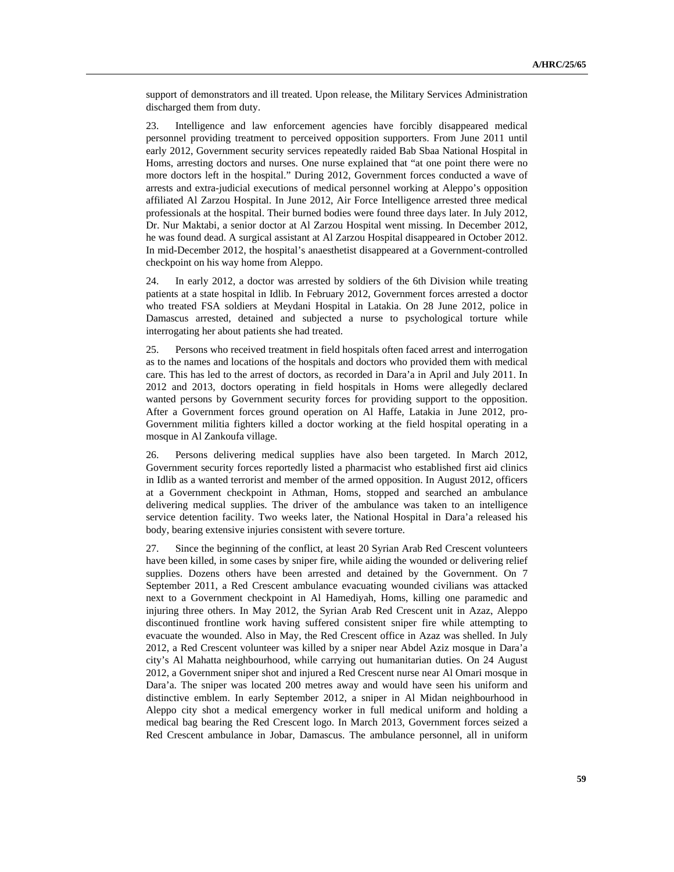support of demonstrators and ill treated. Upon release, the Military Services Administration discharged them from duty.

23. Intelligence and law enforcement agencies have forcibly disappeared medical personnel providing treatment to perceived opposition supporters. From June 2011 until early 2012, Government security services repeatedly raided Bab Sbaa National Hospital in Homs, arresting doctors and nurses. One nurse explained that "at one point there were no more doctors left in the hospital." During 2012, Government forces conducted a wave of arrests and extra-judicial executions of medical personnel working at Aleppo's opposition affiliated Al Zarzou Hospital. In June 2012, Air Force Intelligence arrested three medical professionals at the hospital. Their burned bodies were found three days later. In July 2012, Dr. Nur Maktabi, a senior doctor at Al Zarzou Hospital went missing. In December 2012, he was found dead. A surgical assistant at Al Zarzou Hospital disappeared in October 2012. In mid-December 2012, the hospital's anaesthetist disappeared at a Government-controlled checkpoint on his way home from Aleppo.

24. In early 2012, a doctor was arrested by soldiers of the 6th Division while treating patients at a state hospital in Idlib. In February 2012, Government forces arrested a doctor who treated FSA soldiers at Meydani Hospital in Latakia. On 28 June 2012, police in Damascus arrested, detained and subjected a nurse to psychological torture while interrogating her about patients she had treated.

25. Persons who received treatment in field hospitals often faced arrest and interrogation as to the names and locations of the hospitals and doctors who provided them with medical care. This has led to the arrest of doctors, as recorded in Dara'a in April and July 2011. In 2012 and 2013, doctors operating in field hospitals in Homs were allegedly declared wanted persons by Government security forces for providing support to the opposition. After a Government forces ground operation on Al Haffe, Latakia in June 2012, pro-Government militia fighters killed a doctor working at the field hospital operating in a mosque in Al Zankoufa village.

26. Persons delivering medical supplies have also been targeted. In March 2012, Government security forces reportedly listed a pharmacist who established first aid clinics in Idlib as a wanted terrorist and member of the armed opposition. In August 2012, officers at a Government checkpoint in Athman, Homs, stopped and searched an ambulance delivering medical supplies. The driver of the ambulance was taken to an intelligence service detention facility. Two weeks later, the National Hospital in Dara'a released his body, bearing extensive injuries consistent with severe torture.

27. Since the beginning of the conflict, at least 20 Syrian Arab Red Crescent volunteers have been killed, in some cases by sniper fire, while aiding the wounded or delivering relief supplies. Dozens others have been arrested and detained by the Government. On 7 September 2011, a Red Crescent ambulance evacuating wounded civilians was attacked next to a Government checkpoint in Al Hamediyah, Homs, killing one paramedic and injuring three others. In May 2012, the Syrian Arab Red Crescent unit in Azaz, Aleppo discontinued frontline work having suffered consistent sniper fire while attempting to evacuate the wounded. Also in May, the Red Crescent office in Azaz was shelled. In July 2012, a Red Crescent volunteer was killed by a sniper near Abdel Aziz mosque in Dara'a city's Al Mahatta neighbourhood, while carrying out humanitarian duties. On 24 August 2012, a Government sniper shot and injured a Red Crescent nurse near Al Omari mosque in Dara'a. The sniper was located 200 metres away and would have seen his uniform and distinctive emblem. In early September 2012, a sniper in Al Midan neighbourhood in Aleppo city shot a medical emergency worker in full medical uniform and holding a medical bag bearing the Red Crescent logo. In March 2013, Government forces seized a Red Crescent ambulance in Jobar, Damascus. The ambulance personnel, all in uniform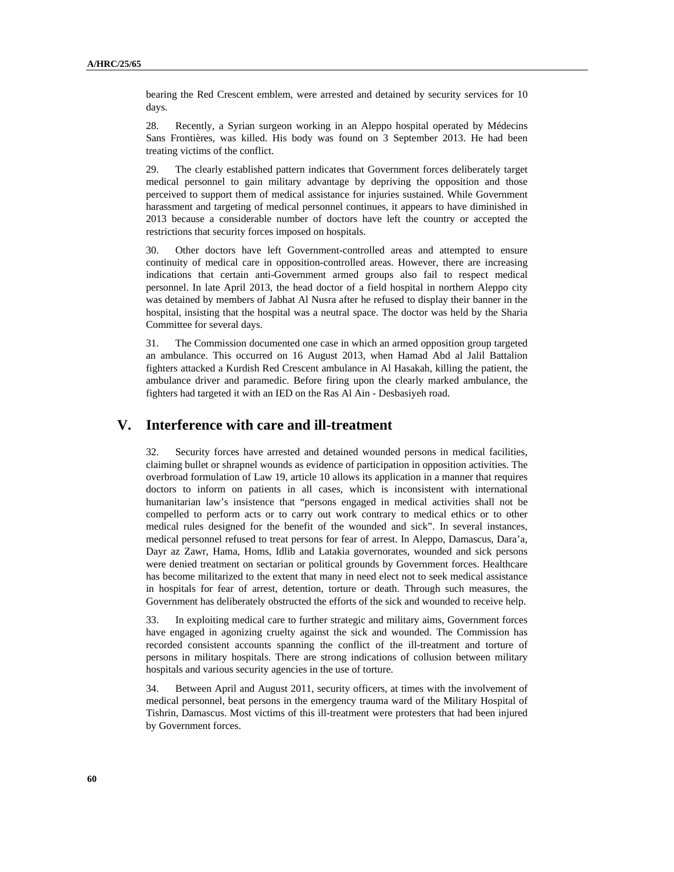bearing the Red Crescent emblem, were arrested and detained by security services for 10 days.

28. Recently, a Syrian surgeon working in an Aleppo hospital operated by Médecins Sans Frontières, was killed. His body was found on 3 September 2013. He had been treating victims of the conflict.

29. The clearly established pattern indicates that Government forces deliberately target medical personnel to gain military advantage by depriving the opposition and those perceived to support them of medical assistance for injuries sustained. While Government harassment and targeting of medical personnel continues, it appears to have diminished in 2013 because a considerable number of doctors have left the country or accepted the restrictions that security forces imposed on hospitals.

30. Other doctors have left Government-controlled areas and attempted to ensure continuity of medical care in opposition-controlled areas. However, there are increasing indications that certain anti-Government armed groups also fail to respect medical personnel. In late April 2013, the head doctor of a field hospital in northern Aleppo city was detained by members of Jabhat Al Nusra after he refused to display their banner in the hospital, insisting that the hospital was a neutral space. The doctor was held by the Sharia Committee for several days.

31. The Commission documented one case in which an armed opposition group targeted an ambulance. This occurred on 16 August 2013, when Hamad Abd al Jalil Battalion fighters attacked a Kurdish Red Crescent ambulance in Al Hasakah, killing the patient, the ambulance driver and paramedic. Before firing upon the clearly marked ambulance, the fighters had targeted it with an IED on the Ras Al Ain - Desbasiyeh road.

## **V. Interference with care and ill-treatment**

32. Security forces have arrested and detained wounded persons in medical facilities, claiming bullet or shrapnel wounds as evidence of participation in opposition activities. The overbroad formulation of Law 19, article 10 allows its application in a manner that requires doctors to inform on patients in all cases, which is inconsistent with international humanitarian law's insistence that "persons engaged in medical activities shall not be compelled to perform acts or to carry out work contrary to medical ethics or to other medical rules designed for the benefit of the wounded and sick". In several instances, medical personnel refused to treat persons for fear of arrest. In Aleppo, Damascus, Dara'a, Dayr az Zawr, Hama, Homs, Idlib and Latakia governorates, wounded and sick persons were denied treatment on sectarian or political grounds by Government forces. Healthcare has become militarized to the extent that many in need elect not to seek medical assistance in hospitals for fear of arrest, detention, torture or death. Through such measures, the Government has deliberately obstructed the efforts of the sick and wounded to receive help.

33. In exploiting medical care to further strategic and military aims, Government forces have engaged in agonizing cruelty against the sick and wounded. The Commission has recorded consistent accounts spanning the conflict of the ill-treatment and torture of persons in military hospitals. There are strong indications of collusion between military hospitals and various security agencies in the use of torture.

34. Between April and August 2011, security officers, at times with the involvement of medical personnel, beat persons in the emergency trauma ward of the Military Hospital of Tishrin, Damascus. Most victims of this ill-treatment were protesters that had been injured by Government forces.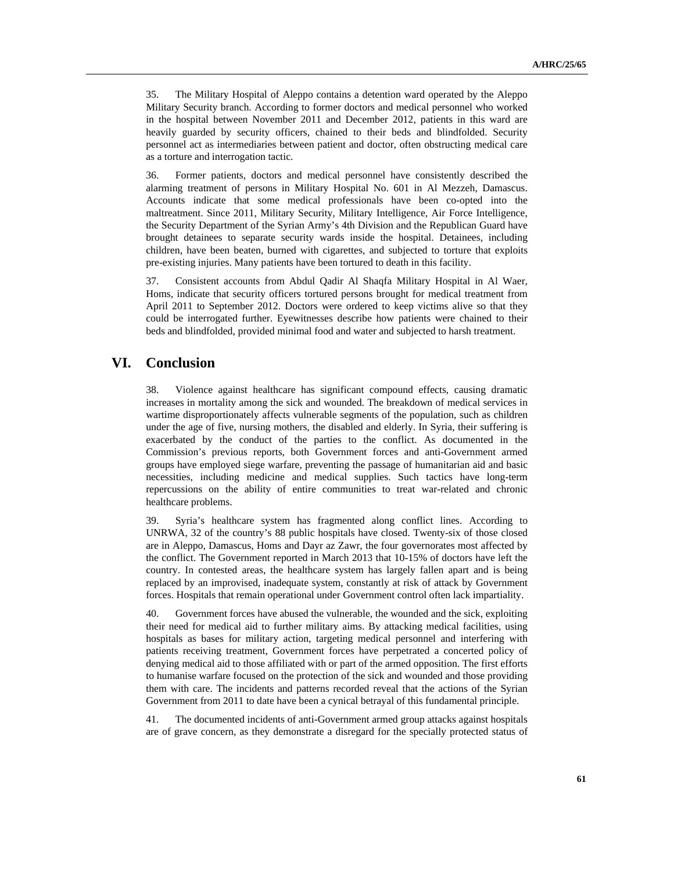35. The Military Hospital of Aleppo contains a detention ward operated by the Aleppo Military Security branch. According to former doctors and medical personnel who worked in the hospital between November 2011 and December 2012, patients in this ward are heavily guarded by security officers, chained to their beds and blindfolded. Security personnel act as intermediaries between patient and doctor, often obstructing medical care as a torture and interrogation tactic.

36. Former patients, doctors and medical personnel have consistently described the alarming treatment of persons in Military Hospital No. 601 in Al Mezzeh, Damascus. Accounts indicate that some medical professionals have been co-opted into the maltreatment. Since 2011, Military Security, Military Intelligence, Air Force Intelligence, the Security Department of the Syrian Army's 4th Division and the Republican Guard have brought detainees to separate security wards inside the hospital. Detainees, including children, have been beaten, burned with cigarettes, and subjected to torture that exploits pre-existing injuries. Many patients have been tortured to death in this facility.

37. Consistent accounts from Abdul Qadir Al Shaqfa Military Hospital in Al Waer, Homs, indicate that security officers tortured persons brought for medical treatment from April 2011 to September 2012. Doctors were ordered to keep victims alive so that they could be interrogated further. Eyewitnesses describe how patients were chained to their beds and blindfolded, provided minimal food and water and subjected to harsh treatment.

## **VI. Conclusion**

38. Violence against healthcare has significant compound effects, causing dramatic increases in mortality among the sick and wounded. The breakdown of medical services in wartime disproportionately affects vulnerable segments of the population, such as children under the age of five, nursing mothers, the disabled and elderly. In Syria, their suffering is exacerbated by the conduct of the parties to the conflict. As documented in the Commission's previous reports, both Government forces and anti-Government armed groups have employed siege warfare, preventing the passage of humanitarian aid and basic necessities, including medicine and medical supplies. Such tactics have long-term repercussions on the ability of entire communities to treat war-related and chronic healthcare problems.

39. Syria's healthcare system has fragmented along conflict lines. According to UNRWA, 32 of the country's 88 public hospitals have closed. Twenty-six of those closed are in Aleppo, Damascus, Homs and Dayr az Zawr, the four governorates most affected by the conflict. The Government reported in March 2013 that 10-15% of doctors have left the country. In contested areas, the healthcare system has largely fallen apart and is being replaced by an improvised, inadequate system, constantly at risk of attack by Government forces. Hospitals that remain operational under Government control often lack impartiality.

40. Government forces have abused the vulnerable, the wounded and the sick, exploiting their need for medical aid to further military aims. By attacking medical facilities, using hospitals as bases for military action, targeting medical personnel and interfering with patients receiving treatment, Government forces have perpetrated a concerted policy of denying medical aid to those affiliated with or part of the armed opposition. The first efforts to humanise warfare focused on the protection of the sick and wounded and those providing them with care. The incidents and patterns recorded reveal that the actions of the Syrian Government from 2011 to date have been a cynical betrayal of this fundamental principle.

41. The documented incidents of anti-Government armed group attacks against hospitals are of grave concern, as they demonstrate a disregard for the specially protected status of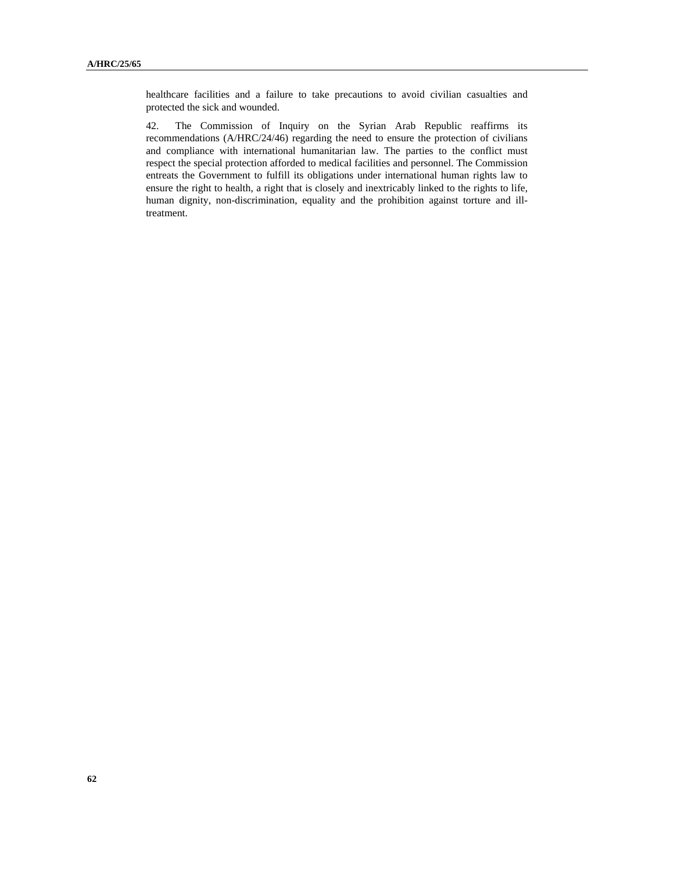healthcare facilities and a failure to take precautions to avoid civilian casualties and protected the sick and wounded.

42. The Commission of Inquiry on the Syrian Arab Republic reaffirms its recommendations (A/HRC/24/46) regarding the need to ensure the protection of civilians and compliance with international humanitarian law. The parties to the conflict must respect the special protection afforded to medical facilities and personnel. The Commission entreats the Government to fulfill its obligations under international human rights law to ensure the right to health, a right that is closely and inextricably linked to the rights to life, human dignity, non-discrimination, equality and the prohibition against torture and illtreatment.